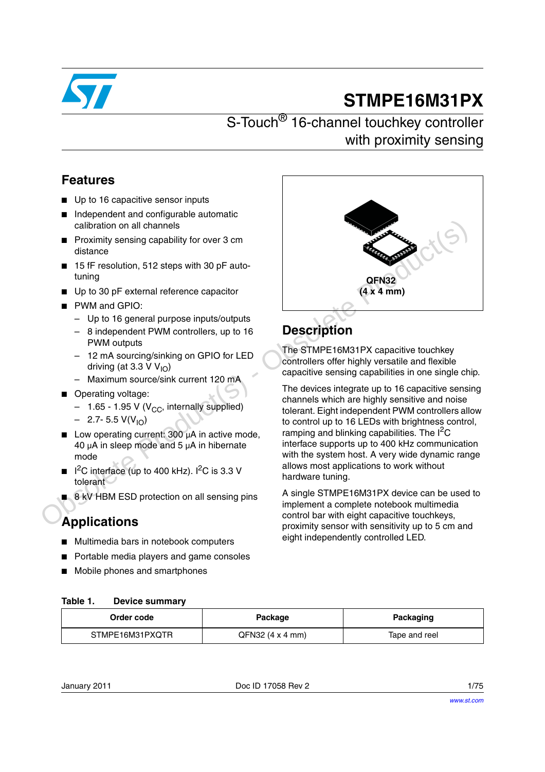

# **STMPE16M31PX**

# S-Touch<sup>®</sup> 16-channel touchkey controller with proximity sensing

# **Features**

- Up to 16 capacitive sensor inputs
- Independent and configurable automatic calibration on all channels
- Proximity sensing capability for over 3 cm distance
- 15 fF resolution, 512 steps with 30 pF autotuning
- Up to 30 pF external reference capacitor
- PWM and GPIO:
	- Up to 16 general purpose inputs/outputs
	- 8 independent PWM controllers, up to 16 **PWM** outputs
	- 12 mA sourcing/sinking on GPIO for LED driving (at 3.3 V  $V_{10}$ )
	- Maximum source/sink current 120 mA
- Operating voltage:
	- $-$  1.65 1.95 V (V<sub>CC</sub>, internally supplied)
	- $-$  2.7- 5.5 V(V<sub>IO</sub>)
- Low operating current:  $300 \mu A$  in active mode, 40  $\mu$ A in sleep mode and 5  $\mu$ A in hibernate mode
- $1<sup>2</sup>C$  interface (up to 400 kHz).  $1<sup>2</sup>C$  is 3.3 V tolerant
- 8 kV HBM ESD protection on all sensing pins

# **Applications**

- Multimedia bars in notebook computers
- Portable media players and game consoles
- Mobile phones and smartphones



# **Description**

The STMPE16M31PX capacitive touchkey controllers offer highly versatile and flexible capacitive sensing capabilities in one single chip.

The devices integrate up to 16 capacitive sensing channels which are highly sensitive and noise tolerant. Eight independent PWM controllers allow to control up to 16 LEDs with brightness control, ramping and blinking capabilities. The  $I^2C$ interface supports up to 400 kHz communication with the system host. A very wide dynamic range allows most applications to work without hardware tuning.

A single STMPE16M31PX device can be used to implement a complete notebook multimedia control bar with eight capacitive touchkeys, proximity sensor with sensitivity up to 5 cm and eight independently controlled LED.

### **Table 1. Device summary**

| Order code      | Package            | Packaging     |
|-----------------|--------------------|---------------|
| STMPE16M31PXQTR | $QFN32$ (4 x 4 mm) | Tape and reel |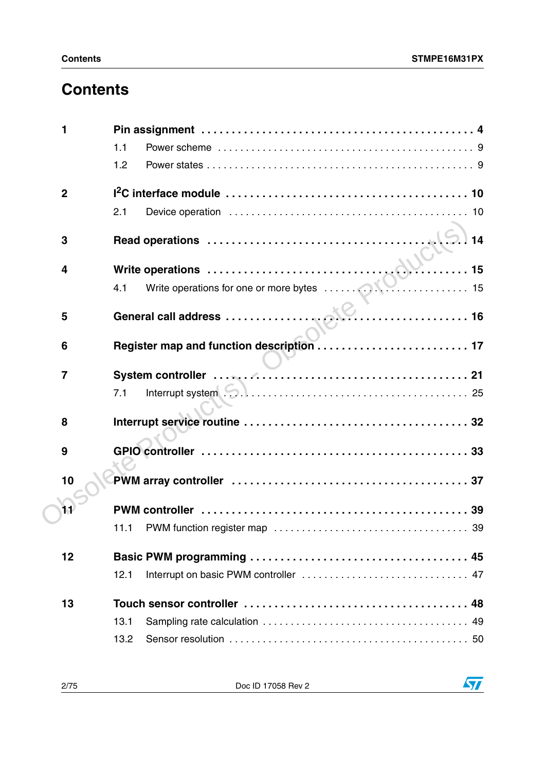# **Contents**

| 1                       |                                                                      |
|-------------------------|----------------------------------------------------------------------|
|                         | 1.1                                                                  |
|                         | 1.2                                                                  |
| $\overline{2}$          |                                                                      |
|                         | 2.1                                                                  |
| 3                       | 14                                                                   |
| $\overline{\mathbf{4}}$ |                                                                      |
|                         | Write operations<br>4.1 Write operations for one or more bytes<br>15 |
| 5                       |                                                                      |
| 6                       |                                                                      |
| $\overline{7}$          |                                                                      |
|                         | 7.1                                                                  |
| 8                       |                                                                      |
|                         |                                                                      |
| 9                       |                                                                      |
| 10                      |                                                                      |
| 11                      |                                                                      |
|                         | 11.1                                                                 |
| 12                      |                                                                      |
|                         | 12.1                                                                 |
| 13                      |                                                                      |
|                         | 13.1                                                                 |
|                         | 13.2                                                                 |

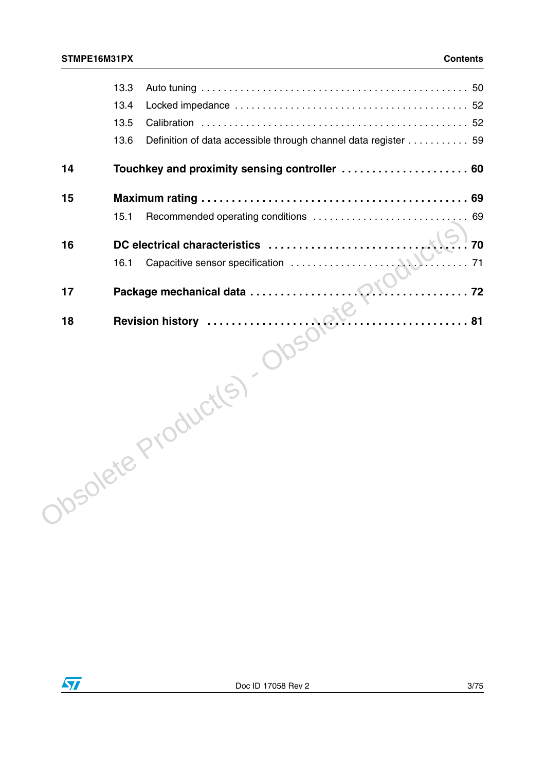|    | 13.3                                                                   |
|----|------------------------------------------------------------------------|
|    | 13.4                                                                   |
|    | 13.5                                                                   |
|    | 13.6<br>Definition of data accessible through channel data register 59 |
| 14 |                                                                        |
|    |                                                                        |
|    |                                                                        |
|    |                                                                        |
|    |                                                                        |
|    |                                                                        |
|    |                                                                        |
|    |                                                                        |
|    |                                                                        |

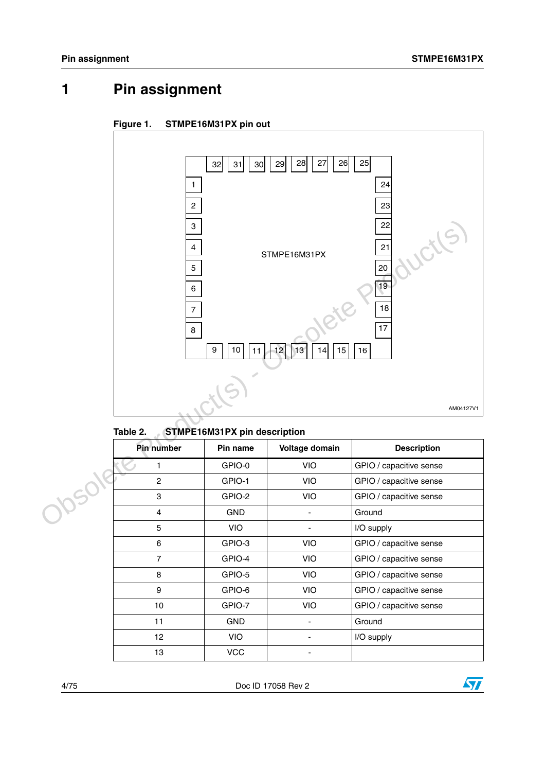# <span id="page-3-0"></span>**1 Pin assignment**





| <b>Pin number</b> | Pin name   | Voltage domain | <b>Description</b>      |
|-------------------|------------|----------------|-------------------------|
|                   | GPIO-0     | <b>VIO</b>     | GPIO / capacitive sense |
| $\overline{2}$    | GPIO-1     | <b>VIO</b>     | GPIO / capacitive sense |
| 3                 | GPIO-2     | <b>VIO</b>     | GPIO / capacitive sense |
| 4                 | <b>GND</b> |                | Ground                  |
| 5                 | <b>VIO</b> |                | I/O supply              |
| 6                 | GPIO-3     | <b>VIO</b>     | GPIO / capacitive sense |
| $\overline{7}$    | GPIO-4     | <b>VIO</b>     | GPIO / capacitive sense |
| 8                 | GPIO-5     | <b>VIO</b>     | GPIO / capacitive sense |
| 9                 | GPIO-6     | VIO.           | GPIO / capacitive sense |
| 10                | GPIO-7     | <b>VIO</b>     | GPIO / capacitive sense |
| 11                | <b>GND</b> |                | Ground                  |
| 12                | <b>VIO</b> |                | I/O supply              |
| 13                | <b>VCC</b> |                |                         |

|  | Table 2. | <b>STMPE16M31PX pin description</b> |
|--|----------|-------------------------------------|
|--|----------|-------------------------------------|

4/75 Doc ID 17058 Rev 2

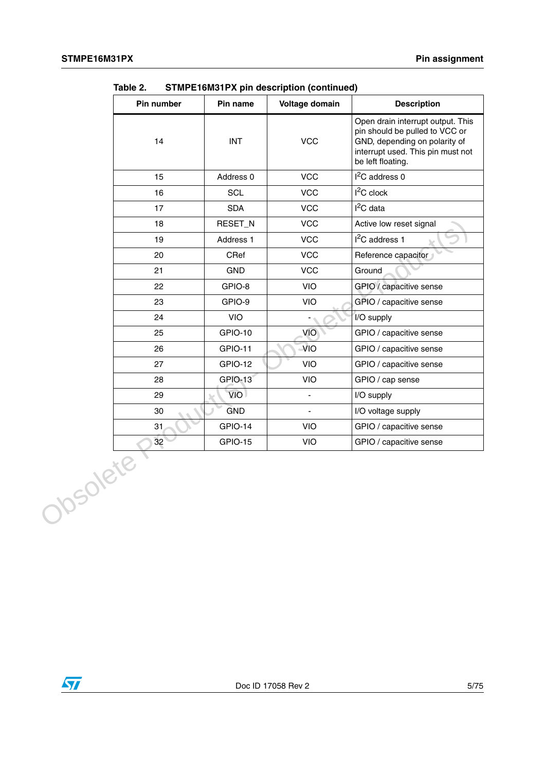| Pin number     | Pin name   | Voltage domain | <b>Description</b>                                                                                                                                             |
|----------------|------------|----------------|----------------------------------------------------------------------------------------------------------------------------------------------------------------|
| 14             | <b>INT</b> | VCC            | Open drain interrupt output. This<br>pin should be pulled to VCC or<br>GND, depending on polarity of<br>interrupt used. This pin must not<br>be left floating. |
| 15             | Address 0  | VCC            | $I2C$ address 0                                                                                                                                                |
| 16             | SCL        | VCC            | $I2C$ clock                                                                                                                                                    |
| 17             | <b>SDA</b> | <b>VCC</b>     | $I2C$ data                                                                                                                                                     |
| 18             | RESET_N    | VCC            | Active low reset signal                                                                                                                                        |
| 19             | Address 1  | <b>VCC</b>     | I <sup>2</sup> C address 1                                                                                                                                     |
| 20             | CRef       | <b>VCC</b>     | Reference capacitor                                                                                                                                            |
| 21             | <b>GND</b> | <b>VCC</b>     | Ground                                                                                                                                                         |
| 22             | GPIO-8     | VIO            | GPIO / capacitive sense                                                                                                                                        |
| 23             | GPIO-9     | VIO            | GPIO / capacitive sense                                                                                                                                        |
| 24             | VIO        |                | I/O supply                                                                                                                                                     |
| 25             | GPIO-10    | VIO            | GPIO / capacitive sense                                                                                                                                        |
| 26             | GPIO-11    | <b>VIO</b>     | GPIO / capacitive sense                                                                                                                                        |
| 27             | GPIO-12    | VIO            | GPIO / capacitive sense                                                                                                                                        |
| 28             | GPIO-13    | VIO            | GPIO / cap sense                                                                                                                                               |
| 29             | VIO        | $\frac{1}{2}$  | I/O supply                                                                                                                                                     |
| 30             | <b>GND</b> | $\blacksquare$ | I/O voltage supply                                                                                                                                             |
| 31             | GPIO-14    | VIO.           | GPIO / capacitive sense                                                                                                                                        |
| 32<br>Obsolete | GPIO-15    | <b>VIO</b>     | GPIO / capacitive sense                                                                                                                                        |

**Table 2. STMPE16M31PX pin description (continued)**

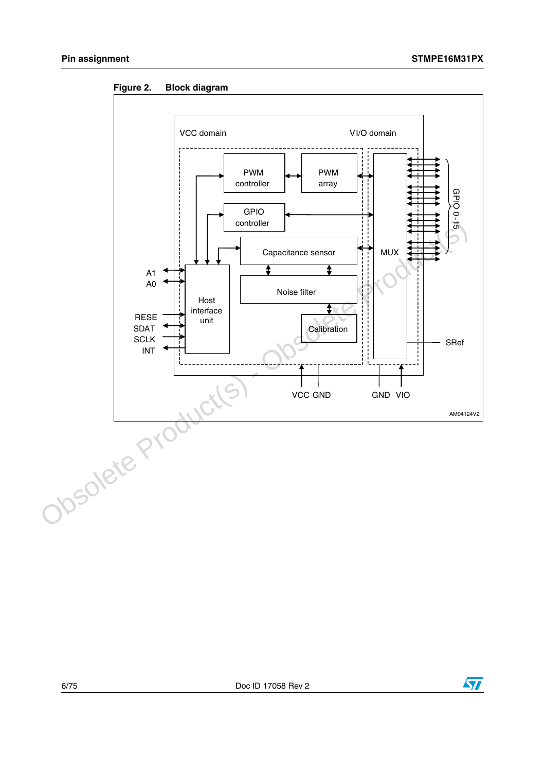



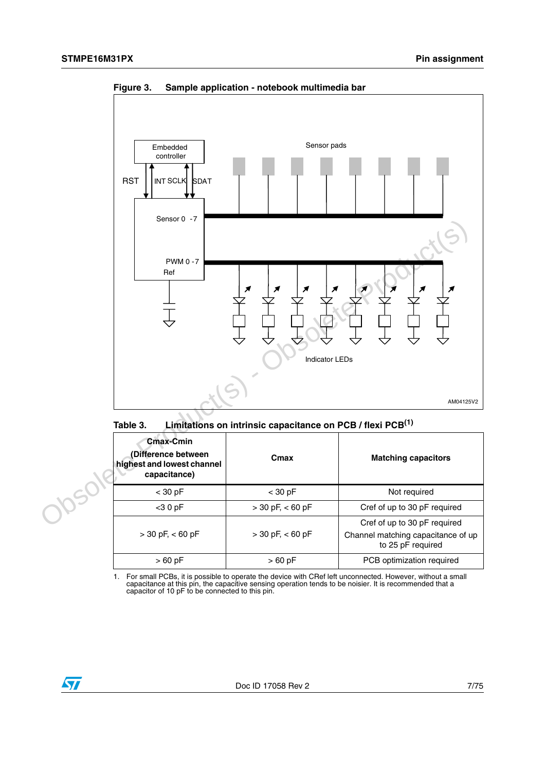

**Figure 3. Sample application - notebook multimedia bar**



| Cmax-Cmin<br>(Difference between<br>highest and lowest channel<br>capacitance) | Cmax                 | <b>Matching capacitors</b>                                                              |
|--------------------------------------------------------------------------------|----------------------|-----------------------------------------------------------------------------------------|
| $<$ 30 pF                                                                      | $<$ 30 pF            | Not required                                                                            |
| $<$ 30 pF                                                                      | $>$ 30 pF, $<$ 60 pF | Cref of up to 30 pF required                                                            |
| $>$ 30 pF, $<$ 60 pF                                                           | $>$ 30 pF, $<$ 60 pF | Cref of up to 30 pF required<br>Channel matching capacitance of up<br>to 25 pF required |
| $>60$ pF                                                                       | $>60$ pF             | PCB optimization required                                                               |

1. For small PCBs, it is possible to operate the device with CRef left unconnected. However, without a small capacitance at this pin, the capacitive sensing operation tends to be noisier. It is recommended that a capacitor of 10 pF to be connected to this pin.

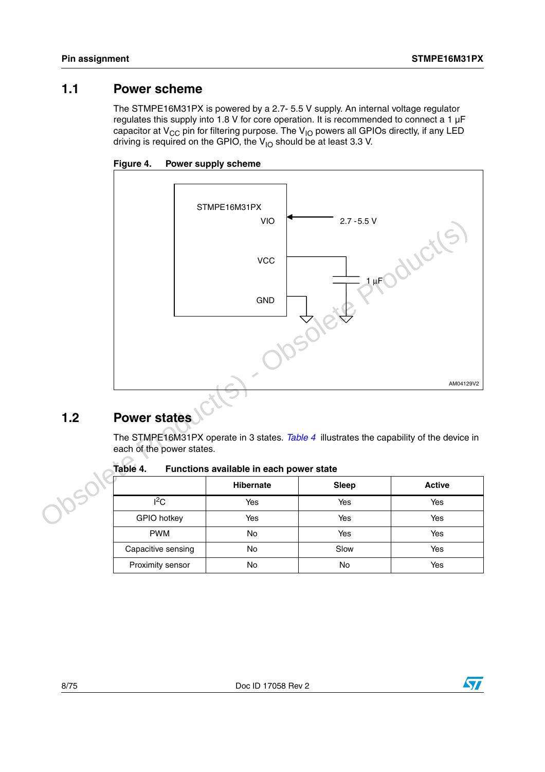## <span id="page-7-0"></span>**1.1 Power scheme**

The STMPE16M31PX is powered by a 2.7- 5.5 V supply. An internal voltage regulator regulates this supply into 1.8 V for core operation. It is recommended to connect a 1  $\mu$ F capacitor at  $V_{CC}$  pin for filtering purpose. The  $V_{IO}$  powers all GPIOs directly, if any LED driving is required on the GPIO, the  $V_{1O}$  should be at least 3.3 V.





# <span id="page-7-1"></span>**1.2 Power states**

The STMPE16M31PX operate in 3 states. *Table 4* illustrates the capability of the device in each of the power states.

**Table 4. Functions available in each power state**

|                    | <b>Hibernate</b> | <b>Sleep</b> | <b>Active</b> |
|--------------------|------------------|--------------|---------------|
| $l^2C$             | Yes              | Yes          | Yes           |
| GPIO hotkey        | Yes              | Yes          | Yes           |
| <b>PWM</b>         | No               | Yes          | Yes           |
| Capacitive sensing | No               | Slow         | Yes           |
| Proximity sensor   | No               | No           | Yes           |

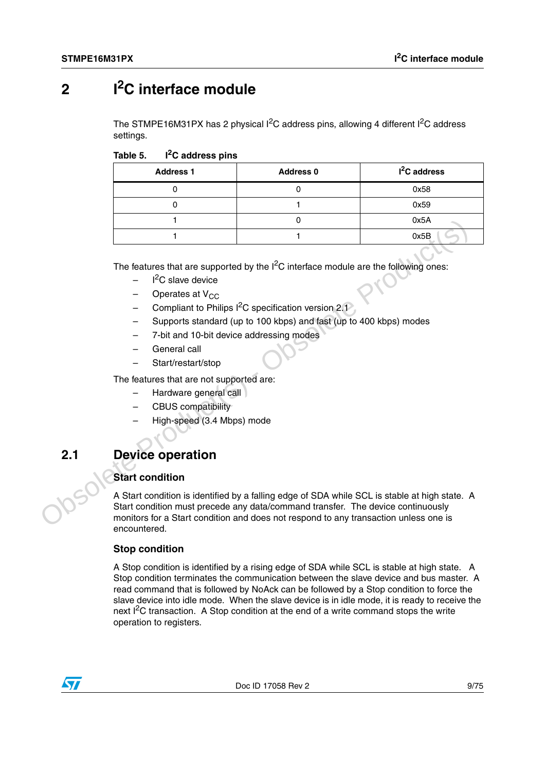# <span id="page-8-0"></span>**2 I2C interface module**

The STMPE16M31PX has 2 physical  $I^2C$  address pins, allowing 4 different  $I^2C$  address settings.

Table 5. I<sup>2</sup>C address pins

| <b>Address 1</b> | <b>Address 0</b> | I <sup>2</sup> C address |
|------------------|------------------|--------------------------|
|                  |                  | 0x58                     |
|                  |                  | 0x59                     |
|                  |                  | 0x5A                     |
|                  |                  | 0x5B                     |

The features that are supported by the  $I^2C$  interface module are the following ones:

- $-$  I<sup>2</sup>C slave device
- $-$  Operates at  $V_{CC}$
- Compliant to Philips  $I^2C$  specification version 2.1
- Supports standard (up to 100 kbps) and fast (up to 400 kbps) modes
- 7-bit and 10-bit device addressing modes
- General call
- Start/restart/stop

The features that are not supported are:

- Hardware general call
- CBUS compatibility
- High-speed (3.4 Mbps) mode

# <span id="page-8-1"></span>**2.1 Device operation**

### **Start condition**

A Start condition is identified by a falling edge of SDA while SCL is stable at high state. A Start condition must precede any data/command transfer. The device continuously monitors for a Start condition and does not respond to any transaction unless one is encountered. The features that are supported by the  $1^2$ C interface module are the following ones:<br>  $-$  If C slave device<br>  $-$  Operates at V<sub>CC</sub><br>  $-$  Compliant to Philips  $\frac{1^2}{1^2}$ C specification version 2.3<br>  $-$  Supports standed

### **Stop condition**

A Stop condition is identified by a rising edge of SDA while SCL is stable at high state. A Stop condition terminates the communication between the slave device and bus master. A read command that is followed by NoAck can be followed by a Stop condition to force the slave device into idle mode. When the slave device is in idle mode, it is ready to receive the next I<sup>2</sup>C transaction. A Stop condition at the end of a write command stops the write operation to registers.

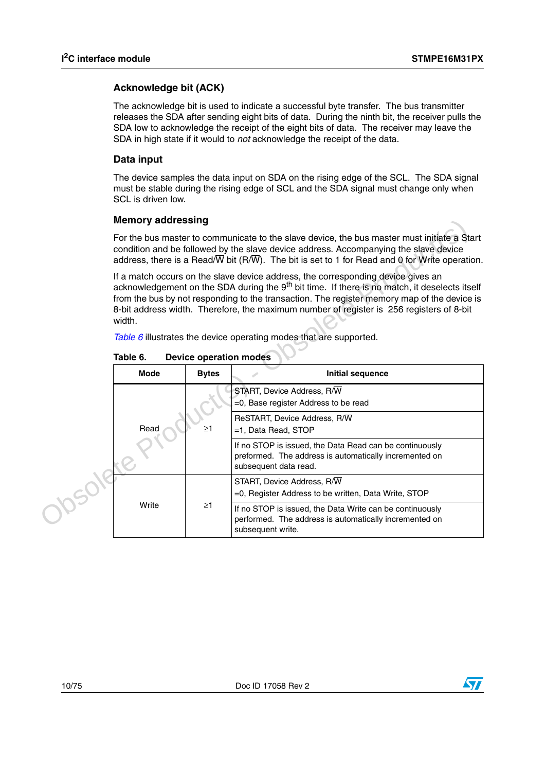### **Acknowledge bit (ACK)**

The acknowledge bit is used to indicate a successful byte transfer. The bus transmitter releases the SDA after sending eight bits of data. During the ninth bit, the receiver pulls the SDA low to acknowledge the receipt of the eight bits of data. The receiver may leave the SDA in high state if it would to *not* acknowledge the receipt of the data.

### **Data input**

The device samples the data input on SDA on the rising edge of the SCL. The SDA signal must be stable during the rising edge of SCL and the SDA signal must change only when SCL is driven low.

### **Memory addressing**

| <b>Memory addressing</b>                                                                                                                                                                                                                                                                                                                                                                           |                                                                                                                                            |                                                                                                                                         |  |
|----------------------------------------------------------------------------------------------------------------------------------------------------------------------------------------------------------------------------------------------------------------------------------------------------------------------------------------------------------------------------------------------------|--------------------------------------------------------------------------------------------------------------------------------------------|-----------------------------------------------------------------------------------------------------------------------------------------|--|
| For the bus master to communicate to the slave device, the bus master must initiate a Start<br>condition and be followed by the slave device address. Accompanying the slave device<br>address, there is a Read/ $\overline{W}$ bit (R/ $\overline{W}$ ). The bit is set to 1 for Read and 0 for Write operation.                                                                                  |                                                                                                                                            |                                                                                                                                         |  |
| If a match occurs on the slave device address, the corresponding device gives an<br>acknowledgement on the SDA during the 9 <sup>th</sup> bit time. If there is no match, it deselects itself<br>from the bus by not responding to the transaction. The register memory map of the device is<br>8-bit address width. Therefore, the maximum number of register is 256 registers of 8-bit<br>width. |                                                                                                                                            |                                                                                                                                         |  |
| Table 6 illustrates the device operating modes that are supported.                                                                                                                                                                                                                                                                                                                                 |                                                                                                                                            |                                                                                                                                         |  |
| Table 6.<br><b>Device operation modes</b>                                                                                                                                                                                                                                                                                                                                                          |                                                                                                                                            |                                                                                                                                         |  |
| <b>Mode</b>                                                                                                                                                                                                                                                                                                                                                                                        | <b>Bytes</b><br><b>Initial sequence</b>                                                                                                    |                                                                                                                                         |  |
|                                                                                                                                                                                                                                                                                                                                                                                                    |                                                                                                                                            | START, Device Address, R/W<br>=0, Base register Address to be read                                                                      |  |
| Read<br>$\geq$ 1                                                                                                                                                                                                                                                                                                                                                                                   |                                                                                                                                            | ReSTART, Device Address, R/W<br>=1, Data Read, STOP                                                                                     |  |
|                                                                                                                                                                                                                                                                                                                                                                                                    | If no STOP is issued, the Data Read can be continuously<br>preformed. The address is automatically incremented on<br>subsequent data read. |                                                                                                                                         |  |
|                                                                                                                                                                                                                                                                                                                                                                                                    |                                                                                                                                            | START, Device Address, R/W<br>$=$ 0. Register Address to be written, Data Write, STOP                                                   |  |
| Write                                                                                                                                                                                                                                                                                                                                                                                              | $\geq$ 1                                                                                                                                   | If no STOP is issued, the Data Write can be continuously<br>performed. The address is automatically incremented on<br>subsequent write. |  |

**Table 6. Device operation modes**



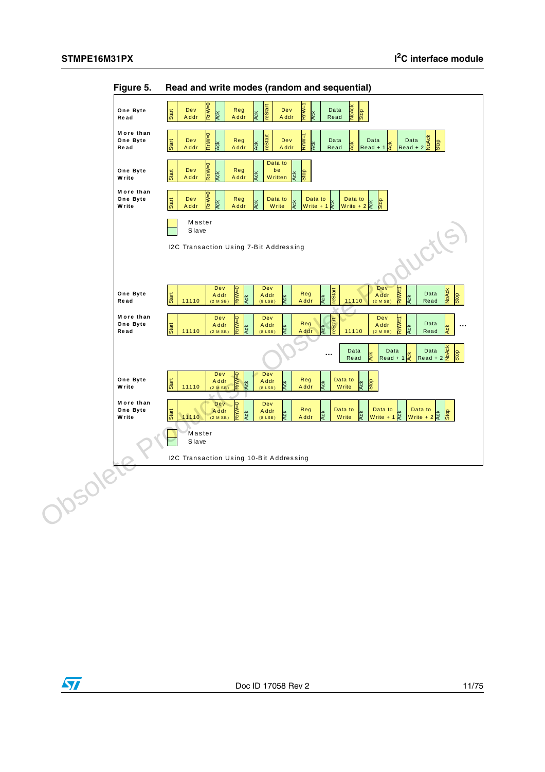

**Figure 5. Read and write modes (random and sequential)**

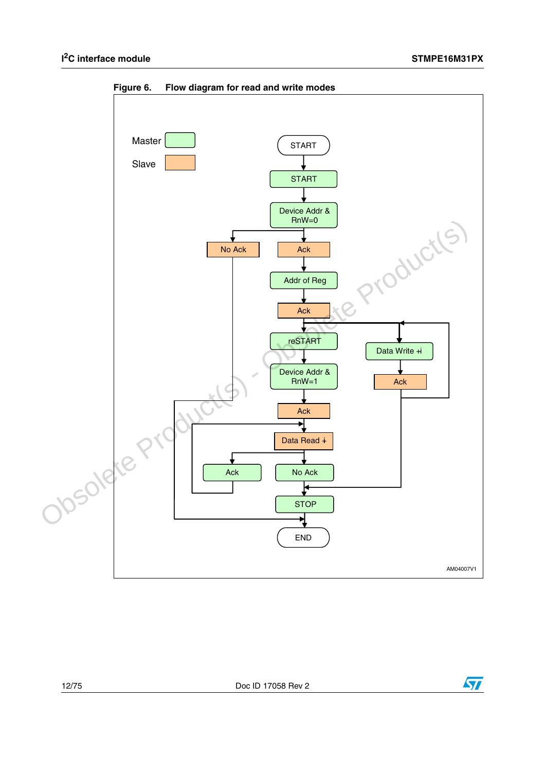

**Figure 6. Flow diagram for read and write modes**



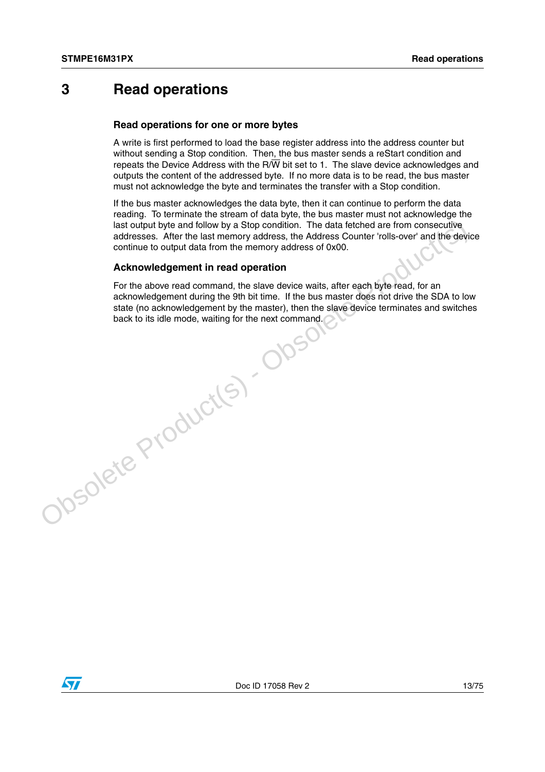# <span id="page-12-0"></span>**3 Read operations**

### **Read operations for one or more bytes**

A write is first performed to load the base register address into the address counter but without sending a Stop condition. Then, the bus master sends a reStart condition and repeats the Device Address with the  $R/\overline{W}$  bit set to 1. The slave device acknowledges and outputs the content of the addressed byte. If no more data is to be read, the bus master must not acknowledge the byte and terminates the transfer with a Stop condition.

If the bus master acknowledges the data byte, then it can continue to perform the data reading. To terminate the stream of data byte, the bus master must not acknowledge the last output byte and follow by a Stop condition. The data fetched are from consecutive addresses. After the last memory address, the Address Counter 'rolls-over' and the device continue to output data from the memory address of 0x00.

### **Acknowledgement in read operation**

For the above read command, the slave device waits, after each byte read, for an acknowledgement during the 9th bit time. If the bus master does not drive the SDA to low state (no acknowledgement by the master), then the slave device terminates and switches back to its idle mode, waiting for the next command.last curiout by the and follow by a Stop condition. The data feched are from consecutive<br>addresses. After the last memory address, the Address Counter 'rolls-over' and the device<br>continue to output data from the memory add

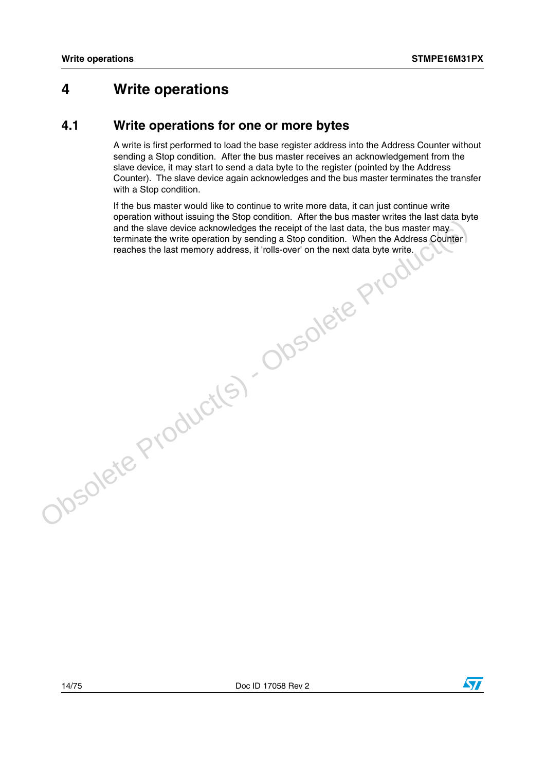# <span id="page-13-0"></span>**4 Write operations**

## <span id="page-13-1"></span>**4.1 Write operations for one or more bytes**

A write is first performed to load the base register address into the Address Counter without sending a Stop condition. After the bus master receives an acknowledgement from the slave device, it may start to send a data byte to the register (pointed by the Address Counter). The slave device again acknowledges and the bus master terminates the transfer with a Stop condition.

If the bus master would like to continue to write more data, it can just continue write operation without issuing the Stop condition. After the bus master writes the last data byte and the slave device acknowledges the receipt of the last data, the bus master may and the slave device acknowledges the receipt of the last data, the bus master may terminate the write operation by sending a Stop condition. When the Address Counter ephanon whole state and worker address the receipt of the last data, the bus master may terminate the write operation by sending a Stop condition. When the Address Counter reaches the last memory address, it 'rolls-over' o

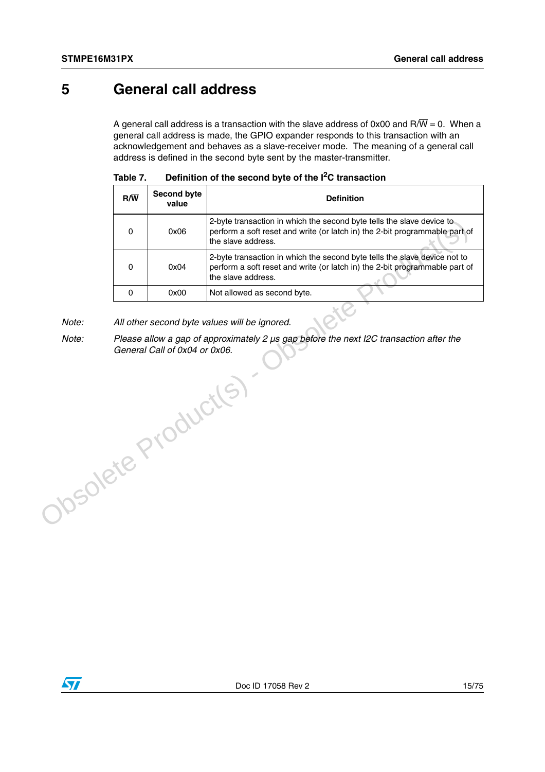# <span id="page-14-0"></span>**5 General call address**

A general call address is a transaction with the slave address of 0x00 and R/ $\overline{W}$  = 0. When a general call address is made, the GPIO expander responds to this transaction with an acknowledgement and behaves as a slave-receiver mode. The meaning of a general call address is defined in the second byte sent by the master-transmitter.

| $R/\overline{W}$ | <b>Second byte</b><br>value | <b>Definition</b>                                                                                                                                                              |  |
|------------------|-----------------------------|--------------------------------------------------------------------------------------------------------------------------------------------------------------------------------|--|
| 0                | 0x06                        | 2-byte transaction in which the second byte tells the slave device to<br>perform a soft reset and write (or latch in) the 2-bit programmable part of<br>the slave address.     |  |
| 0                | 0x04                        | 2-byte transaction in which the second byte tells the slave device not to<br>perform a soft reset and write (or latch in) the 2-bit programmable part of<br>the slave address. |  |
|                  | 0x00                        | Not allowed as second byte.                                                                                                                                                    |  |

| Table 7. | Definition of the second byte of the $I2C$ transaction |  |
|----------|--------------------------------------------------------|--|
|----------|--------------------------------------------------------|--|

*Note: All other second byte values will be ignored.*

*Note: Please allow a gap of approximately 2 µs gap before the next I2C transaction after the General Call of 0x04 or 0x06.* Obsolete Product(s) - Obsolete Product(s)

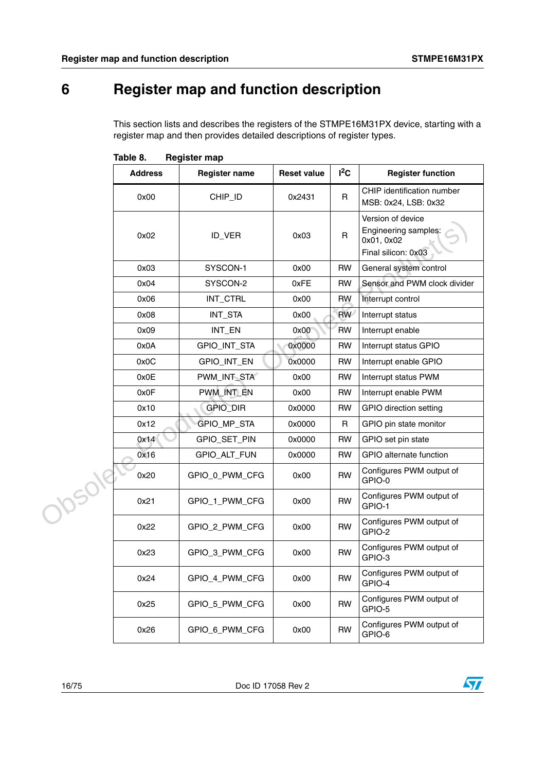# <span id="page-15-0"></span>**6 Register map and function description**

This section lists and describes the registers of the STMPE16M31PX device, starting with a register map and then provides detailed descriptions of register types.

|        | <b>Address</b> | <b>Register name</b> | <b>Reset value</b> | $I^2C$       | <b>Register function</b>                                                       |
|--------|----------------|----------------------|--------------------|--------------|--------------------------------------------------------------------------------|
|        | 0x00           | CHIP_ID              | 0x2431             | R            | CHIP identification number<br>MSB: 0x24, LSB: 0x32                             |
|        | 0x02           | ID_VER               | 0x03               | $\mathsf{R}$ | Version of device<br>Engineering samples:<br>0x01, 0x02<br>Final silicon: 0x03 |
|        | 0x03           | SYSCON-1             | 0x00               | <b>RW</b>    | General system control                                                         |
|        | 0x04           | SYSCON-2             | 0xFE               | <b>RW</b>    | Sensor and PWM clock divider                                                   |
|        | 0x06           | INT_CTRL             | 0x00               | <b>RW</b>    | Interrupt control                                                              |
|        | 0x08           | INT_STA              | 0x00               | <b>RW</b>    | Interrupt status                                                               |
|        | 0x09           | INT_EN               | 0x00               | <b>RW</b>    | Interrupt enable                                                               |
|        | 0x0A           | GPIO_INT_STA         | 0x0000             | <b>RW</b>    | Interrupt status GPIO                                                          |
|        | 0x0C           | GPIO_INT_EN          | 0x0000             | <b>RW</b>    | Interrupt enable GPIO                                                          |
|        | 0x0E           | PWM_INT_STA          | 0x00               | <b>RW</b>    | Interrupt status PWM                                                           |
|        | 0x0F           | PWM INT EN           | 0x00               | <b>RW</b>    | Interrupt enable PWM                                                           |
|        | 0x10           | GPIO_DIR             | 0x0000             | <b>RW</b>    | <b>GPIO direction setting</b>                                                  |
|        | 0x12           | GPIO_MP_STA          | 0x0000             | R            | GPIO pin state monitor                                                         |
|        | 0x14           | GPIO_SET_PIN         | 0x0000             | <b>RW</b>    | GPIO set pin state                                                             |
|        | 0x16           | GPIO_ALT_FUN         | 0x0000             | <b>RW</b>    | GPIO alternate function                                                        |
|        | 0x20           | GPIO_0_PWM_CFG       | 0x00               | <b>RW</b>    | Configures PWM output of<br>GPIO-0                                             |
| Josole | 0x21           | GPIO_1_PWM_CFG       | 0x00               | <b>RW</b>    | Configures PWM output of<br>GPIO-1                                             |
|        | 0x22           | GPIO_2_PWM_CFG       | 0x00               | <b>RW</b>    | Configures PWM output of<br>GPIO-2                                             |
|        | 0x23           | GPIO 3 PWM CFG       | 0x00               | <b>RW</b>    | Configures PWM output of<br>GPIO-3                                             |
|        | 0x24           | GPIO_4_PWM_CFG       | 0x00               | <b>RW</b>    | Configures PWM output of<br>GPIO-4                                             |
|        | 0x25           | GPIO_5_PWM_CFG       | 0x00               | <b>RW</b>    | Configures PWM output of<br>GPIO-5                                             |
|        | 0x26           | GPIO_6_PWM_CFG       | 0x00               | <b>RW</b>    | Configures PWM output of<br>GPIO-6                                             |

Table 8. **Register map** 

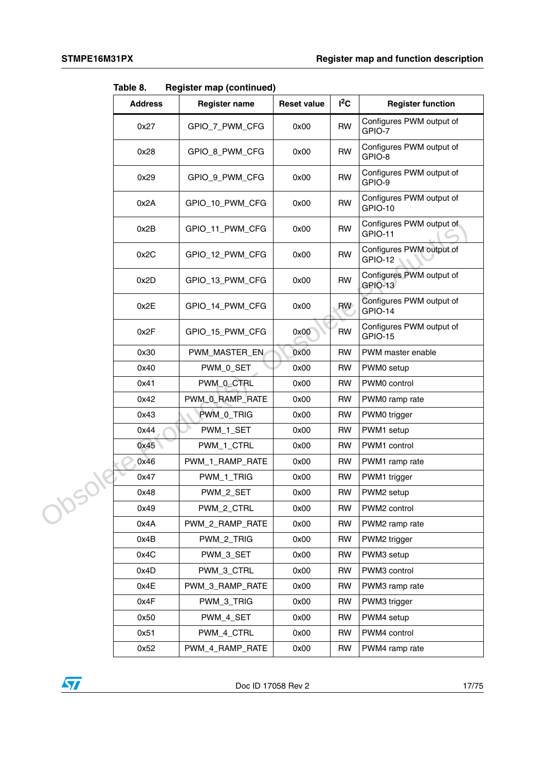**Table 8. Register map (continued)**

|  | <b>Address</b> | <b>Register name</b> | <b>Reset value</b> | $I^2C$    | <b>Register function</b>                   |
|--|----------------|----------------------|--------------------|-----------|--------------------------------------------|
|  | 0x27           | GPIO_7_PWM_CFG       | 0x00               | <b>RW</b> | Configures PWM output of<br>GPIO-7         |
|  | 0x28           | GPIO 8 PWM CFG       | 0x00               | <b>RW</b> | Configures PWM output of<br>GPIO-8         |
|  | 0x29           | GPIO_9_PWM_CFG       | 0x00               | <b>RW</b> | Configures PWM output of<br>GPIO-9         |
|  | 0x2A           | GPIO_10_PWM_CFG      | 0x00               | <b>RW</b> | Configures PWM output of<br><b>GPIO-10</b> |
|  | 0x2B           | GPIO_11_PWM_CFG      | 0x00               | <b>RW</b> | Configures PWM output of<br><b>GPIO-11</b> |
|  | 0x2C           | GPIO_12_PWM_CFG      | 0x00               | <b>RW</b> | Configures PWM output of<br>GPIO-12        |
|  | 0x2D           | GPIO_13_PWM_CFG      | 0x00               | <b>RW</b> | Configures PWM output of<br>GPIO-13        |
|  | 0x2E           | GPIO_14_PWM_CFG      | 0x00               | <b>RW</b> | Configures PWM output of<br>GPIO-14        |
|  | 0x2F           | GPIO 15 PWM CFG      | 0x00               | <b>RW</b> | Configures PWM output of<br>GPIO-15        |
|  | 0x30           | PWM_MASTER_EN        | 0x00               | <b>RW</b> | PWM master enable                          |
|  | 0x40           | PWM_0_SET            | 0x00               | <b>RW</b> | PWM0 setup                                 |
|  | 0x41           | PWM_0_CTRL           | 0x00               | <b>RW</b> | PWM0 control                               |
|  | 0x42           | PWM_0_RAMP_RATE      | 0x00               | <b>RW</b> | PWM0 ramp rate                             |
|  | 0x43           | PWM_0_TRIG           | 0x00               | <b>RW</b> | PWM0 trigger                               |
|  | 0x44           | PWM_1_SET            | 0x00               | <b>RW</b> | PWM1 setup                                 |
|  | 0x45           | PWM_1_CTRL           | 0x00               | <b>RW</b> | PWM1 control                               |
|  | 0x46           | PWM_1_RAMP_RATE      | 0x00               | <b>RW</b> | PWM1 ramp rate                             |
|  | 0x47           | PWM_1_TRIG           | 0x00               | <b>RW</b> | PWM1 trigger                               |
|  | 0x48           | PWM_2_SET            | 0x00               | <b>RW</b> | PWM2 setup                                 |
|  | 0x49           | PWM_2_CTRL           | 0x00               | <b>RW</b> | PWM2 control                               |
|  | 0x4A           | PWM_2_RAMP_RATE      | 0x00               | <b>RW</b> | PWM2 ramp rate                             |
|  | 0x4B           | PWM_2_TRIG           | 0x00               | <b>RW</b> | PWM2 trigger                               |
|  | 0x4C           | PWM_3_SET            | 0x00               | <b>RW</b> | PWM3 setup                                 |
|  | 0x4D           | PWM_3_CTRL           | 0x00               | <b>RW</b> | PWM3 control                               |
|  | 0x4E           | PWM_3_RAMP_RATE      | 0x00               | <b>RW</b> | PWM3 ramp rate                             |
|  | 0x4F           | PWM_3_TRIG           | 0x00               | <b>RW</b> | PWM3 trigger                               |
|  | 0x50           | PWM_4_SET            | 0x00               | RW        | PWM4 setup                                 |
|  | 0x51           | PWM_4_CTRL           | 0x00               | <b>RW</b> | PWM4 control                               |
|  | 0x52           | PWM_4_RAMP_RATE      | 0x00               | <b>RW</b> | PWM4 ramp rate                             |

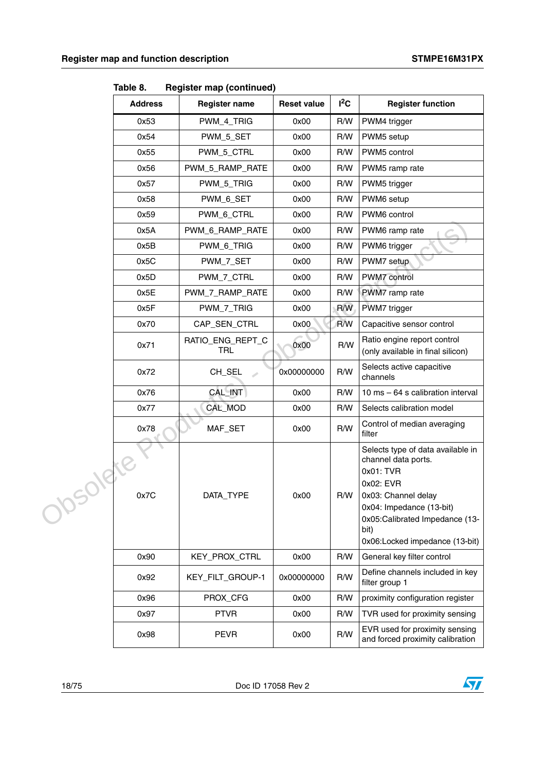|          | rabie o.<br><b>Address</b> | Register map (continued)<br><b>Register name</b> | <b>Reset value</b> | $I^2C$ | <b>Register function</b>                                                                                                                                                                                          |
|----------|----------------------------|--------------------------------------------------|--------------------|--------|-------------------------------------------------------------------------------------------------------------------------------------------------------------------------------------------------------------------|
|          | 0x53                       | PWM_4_TRIG                                       | 0x00               | R/W    | PWM4 trigger                                                                                                                                                                                                      |
|          | 0x54                       | PWM_5_SET                                        | 0x00               | R/W    | PWM5 setup                                                                                                                                                                                                        |
|          | 0x55                       | PWM_5_CTRL                                       | 0x00               | R/W    | PWM5 control                                                                                                                                                                                                      |
|          | 0x56                       | PWM_5_RAMP_RATE                                  | 0x00               | R/W    | PWM5 ramp rate                                                                                                                                                                                                    |
|          | 0x57                       | PWM_5_TRIG                                       | 0x00               | R/W    | PWM5 trigger                                                                                                                                                                                                      |
|          | 0x58                       | PWM_6_SET                                        | 0x00               | R/W    | PWM6 setup                                                                                                                                                                                                        |
|          | 0x59                       | PWM_6_CTRL                                       | 0x00               | R/W    | PWM6 control                                                                                                                                                                                                      |
|          | 0x5A                       | PWM_6_RAMP_RATE                                  | 0x00               | R/W    | PWM6 ramp rate                                                                                                                                                                                                    |
|          | 0x5B                       | PWM_6_TRIG                                       | 0x00               | R/W    | PWM6 trigger                                                                                                                                                                                                      |
|          | 0x5C                       | PWM_7_SET                                        | 0x00               | R/W    | PWM7 setup                                                                                                                                                                                                        |
|          | 0x5D                       | PWM_7_CTRL                                       | 0x00               | R/W    | PWM7 control                                                                                                                                                                                                      |
|          | 0x5E                       | PWM_7_RAMP_RATE                                  | 0x00               | R/W    | PWM7 ramp rate                                                                                                                                                                                                    |
|          | 0x5F                       | PWM_7_TRIG                                       | 0x00               | R/W    | PWM7 trigger                                                                                                                                                                                                      |
|          | 0x70                       | CAP_SEN_CTRL                                     | 0x00               | R/W    | Capacitive sensor control                                                                                                                                                                                         |
|          | 0x71                       | RATIO_ENG_REPT_C<br>TRL                          | 0x00               | R/W    | Ratio engine report control<br>(only available in final silicon)                                                                                                                                                  |
|          | 0x72                       | CH_SEL                                           | 0x00000000         | R/W    | Selects active capacitive<br>channels                                                                                                                                                                             |
|          | 0x76                       | <b>CAL_INT</b>                                   | 0x00               | R/W    | 10 ms - 64 s calibration interval                                                                                                                                                                                 |
|          | 0x77                       | CAL_MOD                                          | 0x00               | R/W    | Selects calibration model                                                                                                                                                                                         |
|          | 0x78                       | MAF_SET                                          | 0x00               | R/W    | Control of median averaging<br>filter                                                                                                                                                                             |
| 218<br>P | 0x7C                       | DATA_TYPE                                        | 0x00               | R/W    | Selects type of data available in<br>channel data ports.<br>0x01: TVR<br>0x02: EVR<br>0x03: Channel delay<br>0x04: Impedance (13-bit)<br>0x05:Calibrated Impedance (13-<br>bit)<br>0x06:Locked impedance (13-bit) |
|          | 0x90                       | KEY_PROX_CTRL                                    | 0x00               | R/W    | General key filter control                                                                                                                                                                                        |
|          | 0x92                       | KEY_FILT_GROUP-1                                 | 0x00000000         | R/W    | Define channels included in key<br>filter group 1                                                                                                                                                                 |
|          | 0x96                       | PROX_CFG                                         | 0x00               | R/W    | proximity configuration register                                                                                                                                                                                  |
|          | 0x97                       | <b>PTVR</b>                                      | 0x00               | R/W    | TVR used for proximity sensing                                                                                                                                                                                    |
|          | 0x98                       | <b>PEVR</b>                                      | 0x00               | R/W    | EVR used for proximity sensing<br>and forced proximity calibration                                                                                                                                                |

**Table 8. Register map (continued)**

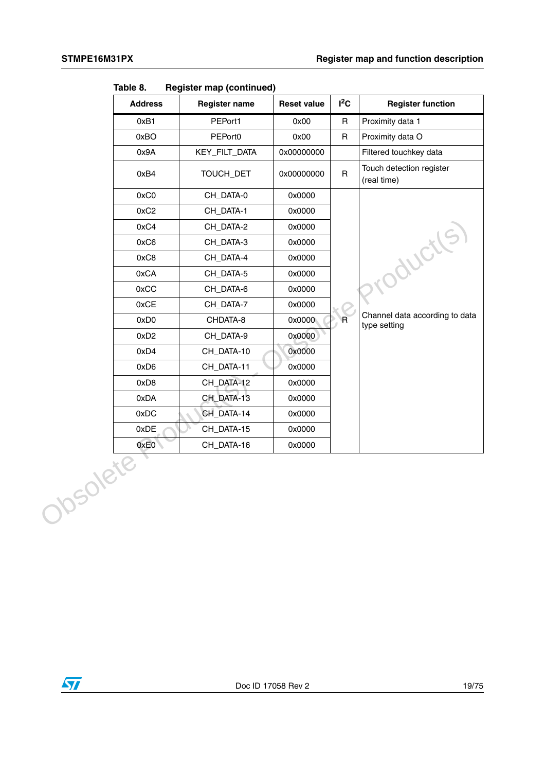| <b>Address</b>   | <b>Register name</b> | <b>Reset value</b> | $I^2C$       | <b>Register function</b>                       |
|------------------|----------------------|--------------------|--------------|------------------------------------------------|
| 0xB1             | PEPort1              | 0x00               | $\mathsf{R}$ | Proximity data 1                               |
| 0xBO             | PEPort0              | 0x00               | $\mathsf{R}$ | Proximity data O                               |
| 0x9A             | KEY_FILT_DATA        | 0x00000000         |              | Filtered touchkey data                         |
| 0xB4             | TOUCH_DET            | 0x00000000         | $\mathsf{R}$ | Touch detection register<br>(real time)        |
| 0xC0             | CH_DATA-0            | 0x0000             |              |                                                |
| 0xC2             | CH_DATA-1            | 0x0000             |              |                                                |
| 0xC4             | CH_DATA-2            | 0x0000             |              | Production                                     |
| 0xC6             | CH_DATA-3            | 0x0000             |              |                                                |
| 0xC8             | CH_DATA-4            | 0x0000             |              |                                                |
| 0xCA             | CH_DATA-5            | 0x0000             |              |                                                |
| 0xCC             | CH_DATA-6            | 0x0000             |              |                                                |
| 0xCE             | CH_DATA-7            | 0x0000             |              |                                                |
| 0xD0             | CHDATA-8             | 0x0000             | $\mathsf{R}$ | Channel data according to data<br>type setting |
| 0xD2             | CH_DATA-9            | 0x0000             |              |                                                |
| 0xD4             | CH_DATA-10           | 0x0000             |              |                                                |
| 0xD6             | CH_DATA-11           | 0x0000             |              |                                                |
| 0xD8             | CH_DATA-12           | 0x0000             |              |                                                |
| 0xDA             | CH_DATA-13           | 0x0000             |              |                                                |
| 0xDC             | CH_DATA-14           | 0x0000             |              |                                                |
| 0xDE             | CH_DATA-15           | 0x0000             |              |                                                |
| 0xE0<br>Obsolete | CH_DATA-16           | 0x0000             |              |                                                |

**Table 8. Register map (continued)**

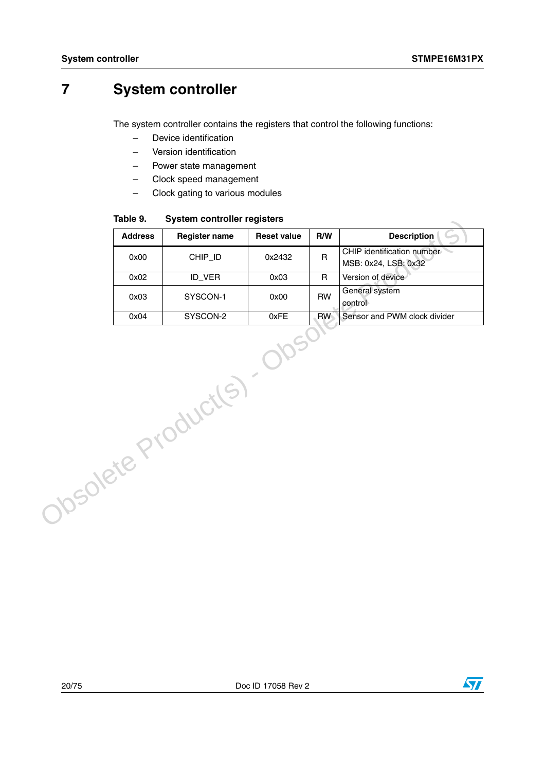# <span id="page-19-0"></span>**7 System controller**

The system controller contains the registers that control the following functions:

- Device identification
- Version identification
- Power state management
- Clock speed management
- Clock gating to various modules

**Table 9. System controller registers**

|                    | rapie 9.       | System controller registers |                    |              |                                                    |
|--------------------|----------------|-----------------------------|--------------------|--------------|----------------------------------------------------|
|                    | <b>Address</b> | <b>Register name</b>        | <b>Reset value</b> | R/W          | <b>Description</b>                                 |
|                    | 0x00           | CHIP_ID                     | 0x2432             | R.           | CHIP identification number<br>MSB: 0x24, LSB: 0x32 |
|                    | 0x02           | ID_VER                      | 0x03               | $\mathsf{R}$ | Version of device                                  |
|                    | 0x03           | SYSCON-1                    | 0x00               | <b>RW</b>    | General system<br>control                          |
|                    | 0x04           | SYSCON-2                    | 0xFE               | RW           | Sensor and PWM clock divider                       |
| Obsolete Products) |                |                             |                    |              |                                                    |

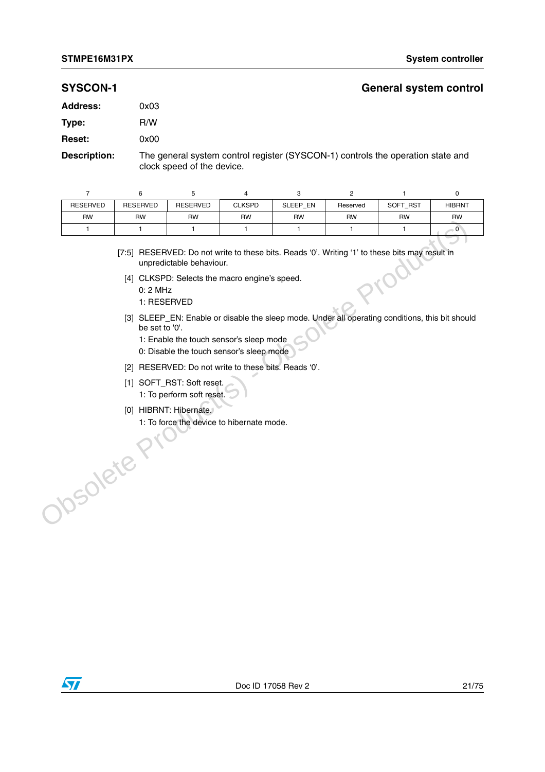### **SYSCON-1 General system control**

| 0x03 |
|------|
| R/W  |
| 0x00 |
|      |

**Description:** The general system control register (SYSCON-1) controls the operation state and clock speed of the device.

| <b>RESERVED</b> | <b>RESERVED</b> | <b>RESERVED</b> | <b>CLKSPD</b> | SLEEP EN | Reserved  | SOFT RST  | <b>HIBRNT</b> |
|-----------------|-----------------|-----------------|---------------|----------|-----------|-----------|---------------|
| <b>RW</b>       | <b>RW</b>       | <b>RW</b>       | <b>RW</b>     | RW       | <b>RW</b> | <b>RW</b> | <b>RW</b>     |
|                 |                 |                 |               |          |           |           | U             |

[7:5] RESERVED: Do not write to these bits. Reads '0'. Writing '1' to these bits may result in unpredictable behaviour.

- [4] CLKSPD: Selects the macro engine's speed.
	- 0: 2 MHz
	- 1: RESERVED
- [3] SLEEP\_EN: Enable or disable the sleep mode. Under all operating conditions, this bit should be set to '0'. The Control of the United States Control of the Control of the Control of the Control of the Control of the Control of the Control of the Control of the Control of the Control of the Control of the Control of the Control o
	- 1: Enable the touch sensor's sleep mode
	- 0: Disable the touch sensor's sleep mode
	- [2] RESERVED: Do not write to these bits. Reads '0'.
	- [1] SOFT\_RST: Soft reset.
		- 1: To perform soft reset.
	- [0] HIBRNT: Hibernate.
	- 1: To force the device to hibernate mode.

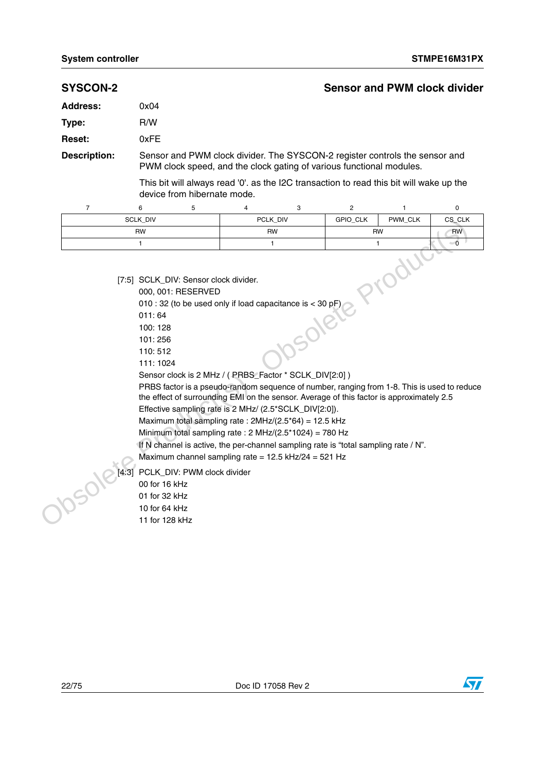| <b>SYSCON-2</b>     |                                                                                                                                             |                             |                                                                                                                                                                                                                                                                                                                                                                  |           |                                                                                                                                                                                                                                                                                |                              | <b>Sensor and PWM clock divider</b> |
|---------------------|---------------------------------------------------------------------------------------------------------------------------------------------|-----------------------------|------------------------------------------------------------------------------------------------------------------------------------------------------------------------------------------------------------------------------------------------------------------------------------------------------------------------------------------------------------------|-----------|--------------------------------------------------------------------------------------------------------------------------------------------------------------------------------------------------------------------------------------------------------------------------------|------------------------------|-------------------------------------|
| <b>Address:</b>     | 0x04                                                                                                                                        |                             |                                                                                                                                                                                                                                                                                                                                                                  |           |                                                                                                                                                                                                                                                                                |                              |                                     |
| Type:               | R/W                                                                                                                                         |                             |                                                                                                                                                                                                                                                                                                                                                                  |           |                                                                                                                                                                                                                                                                                |                              |                                     |
| <b>Reset:</b>       | 0xFE                                                                                                                                        |                             |                                                                                                                                                                                                                                                                                                                                                                  |           |                                                                                                                                                                                                                                                                                |                              |                                     |
| <b>Description:</b> |                                                                                                                                             |                             |                                                                                                                                                                                                                                                                                                                                                                  |           | Sensor and PWM clock divider. The SYSCON-2 register controls the sensor and<br>PWM clock speed, and the clock gating of various functional modules.                                                                                                                            |                              |                                     |
|                     |                                                                                                                                             | device from hibernate mode. |                                                                                                                                                                                                                                                                                                                                                                  |           | This bit will always read '0'. as the I2C transaction to read this bit will wake up the                                                                                                                                                                                        |                              |                                     |
| $\overline{7}$      | 6                                                                                                                                           | 5                           | 4                                                                                                                                                                                                                                                                                                                                                                | 3         | $\overline{2}$                                                                                                                                                                                                                                                                 | 1                            | 0                                   |
|                     | SCLK_DIV                                                                                                                                    |                             |                                                                                                                                                                                                                                                                                                                                                                  | PCLK_DIV  | GPIO_CLK                                                                                                                                                                                                                                                                       | PWM_CLK                      | CS_CLK                              |
|                     | <b>RW</b>                                                                                                                                   |                             |                                                                                                                                                                                                                                                                                                                                                                  | <b>RW</b> |                                                                                                                                                                                                                                                                                | <b>RW</b>                    | <b>RW</b>                           |
|                     | 1                                                                                                                                           |                             |                                                                                                                                                                                                                                                                                                                                                                  | 1         |                                                                                                                                                                                                                                                                                | $\mathbf{1}$<br><b>TUBOT</b> | $\overline{\bullet}$                |
| JOSON               | 011:64<br>100:128<br>101:256<br>110:512<br>111:1024<br>[4:3] PCLK_DIV: PWM clock divider<br>00 for 16 kHz<br>01 for 32 kHz<br>10 for 64 kHz |                             | 010 : 32 (to be used only if load capacitance is < 30 pF)<br>Sensor clock is 2 MHz / ( PRBS_Factor * SCLK_DIV[2:0] )<br>Effective sampling rate is 2 MHz/ (2.5*SCLK_DIV[2:0]).<br>Maximum total sampling rate: $2MHz/(2.5*64) = 12.5 kHz$<br>Minimum total sampling rate : 2 MHz/(2.5*1024) = 780 Hz<br>Maximum channel sampling rate = $12.5$ kHz/24 = $521$ Hz | Solet     | PRBS factor is a pseudo-random sequence of number, ranging from 1-8. This is used to reduce<br>the effect of surrounding EMI on the sensor. Average of this factor is approximately 2.5<br>If N channel is active, the per-channel sampling rate is "total sampling rate / N". |                              |                                     |

- 011: 64
- 100: 128
- 101: 256
- 110: 512
- 111: 1024
- Sensor clock is 2 MHz / ( PRBS\_Factor \* SCLK\_DIV[2:0] )



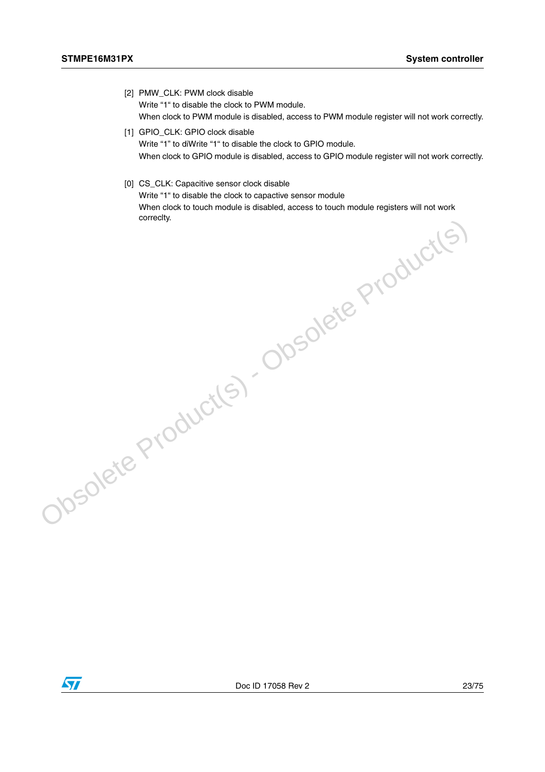- [2] PMW CLK: PWM clock disable Write "1" to disable the clock to PWM module. When clock to PWM module is disabled, access to PWM module register will not work correctly.
- [1] GPIO\_CLK: GPIO clock disable Write "1" to diWrite "1" to disable the clock to GPIO module. When clock to GPIO module is disabled, access to GPIO module register will not work correctly.
- [0] CS\_CLK: Capacitive sensor clock disable

Write "1" to disable the clock to capactive sensor module When clock to touch module is disabled, access to touch module registers will not work omety.<br>Correct Product(s) - Obsolete Product(s)

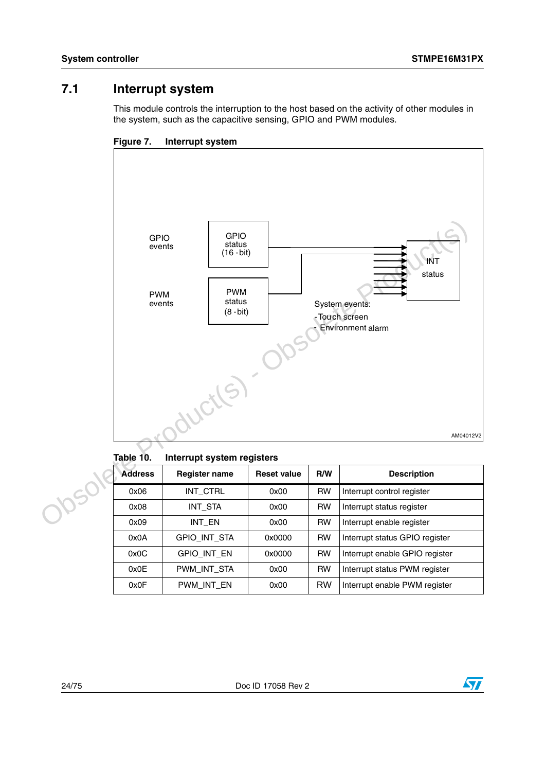# <span id="page-23-0"></span>**7.1 Interrupt system**

This module controls the interruption to the host based on the activity of other modules in the system, such as the capacitive sensing, GPIO and PWM modules.



**Figure 7. Interrupt system**

Table 10. **Interrupt system registers** 

| <b>Address</b> | <b>Register name</b> | <b>Reset value</b> | R/W       | <b>Description</b>             |
|----------------|----------------------|--------------------|-----------|--------------------------------|
| 0x06           | INT CTRL             | 0x00               | <b>RW</b> | Interrupt control register     |
| 0x08           | INT STA              | 0x00               | <b>RW</b> | Interrupt status register      |
| 0x09           | INT EN               | 0x00               | <b>RW</b> | Interrupt enable register      |
| 0x0A           | <b>GPIO INT STA</b>  | 0x0000             | <b>RW</b> | Interrupt status GPIO register |
| 0x0C           | <b>GPIO INT EN</b>   | 0x0000             | <b>RW</b> | Interrupt enable GPIO register |
| 0x0E           | PWM_INT_STA          | 0x00               | <b>RW</b> | Interrupt status PWM register  |
| 0x0F           | PWM INT EN           | 0x00               | <b>RW</b> | Interrupt enable PWM register  |

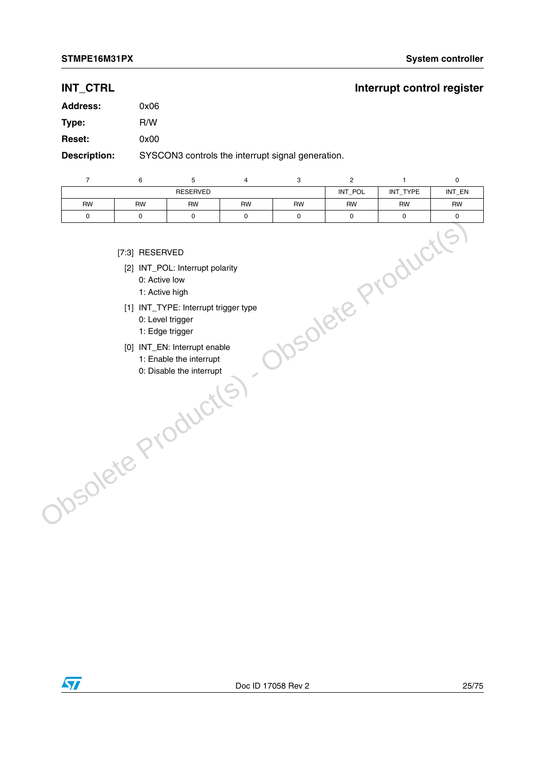## **INT\_CTRL INT\_CTRL**

| <b>Address:</b>     | 0x06                                              |
|---------------------|---------------------------------------------------|
| Type:               | R/W                                               |
| <b>Reset:</b>       | 0x00                                              |
| <b>Description:</b> | SYSCON3 controls the interrupt signal generation. |

| $\overline{7}$    | 6                                                                     | 5                                                                                                                                                                                 | $\overline{4}$ | 3         | $\overline{2}$          | $\mathbf{1}$ | $\mathsf 0$         |
|-------------------|-----------------------------------------------------------------------|-----------------------------------------------------------------------------------------------------------------------------------------------------------------------------------|----------------|-----------|-------------------------|--------------|---------------------|
|                   |                                                                       | <b>RESERVED</b>                                                                                                                                                                   |                |           | INT_POL                 | INT_TYPE     | INT_EN              |
| <b>RW</b>         | <b>RW</b>                                                             | <b>RW</b>                                                                                                                                                                         | <b>RW</b>      | <b>RW</b> | <b>RW</b>               | RW           | <b>RW</b>           |
| 0                 | $\mathsf{O}\xspace$                                                   | 0                                                                                                                                                                                 | 0              | 0         | 0                       | 0            | $\mathsf{O}\xspace$ |
| Obsolete Products | [7:3] RESERVED<br>0: Active low<br>1: Active high<br>0: Level trigger | [2] INT_POL: Interrupt polarity<br>[1] INT_TYPE: Interrupt trigger type<br>1: Edge trigger<br>[0] INT_EN: Interrupt enable<br>1: Enable the interrupt<br>0: Disable the interrupt |                |           | <b>NSOlete Products</b> |              |                     |

- [7:3] RESERVED
	- [2] INT\_POL: Interrupt polarity
		- 0: Active low
		- 1: Active high
- [1] INT\_TYPE: Interrupt trigger type
	- 0: Level trigger
	- 1: Edge trigger
- [0] INT\_EN: Interrupt enable
	- 1: Enable the interrupt
	- 0: Disable the interrupt

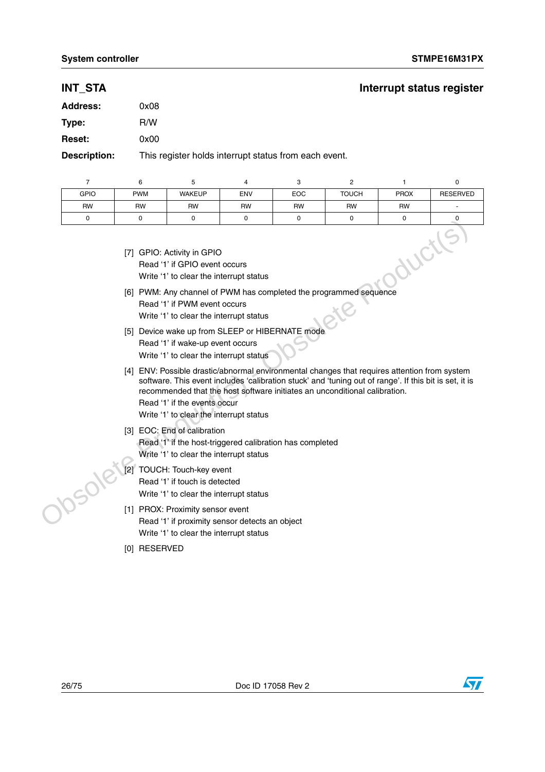### **INT\_STA** INT\_STA

# **Address:** 0x08 **Type:** R/W **Reset:** 0x00

**Description:** This register holds interrupt status from each event.

|             | 6          | 5                                                                                                      | 4          |            |              |             |                 |
|-------------|------------|--------------------------------------------------------------------------------------------------------|------------|------------|--------------|-------------|-----------------|
| <b>GPIO</b> | <b>PWM</b> | <b>WAKEUP</b>                                                                                          | <b>ENV</b> | <b>EOC</b> | <b>TOUCH</b> | <b>PROX</b> | <b>RESERVED</b> |
| <b>RW</b>   | <b>RW</b>  | <b>RW</b>                                                                                              | <b>RW</b>  | <b>RW</b>  | <b>RW</b>    | <b>RW</b>   |                 |
|             |            |                                                                                                        | $\Omega$   | n          |              | O           |                 |
|             |            | [7] GPIO: Activity in GPIO<br>Read '1' if GPIO event occurs<br>Write '1' to clear the interrupt status |            |            |              |             |                 |

- [7] GPIO: Activity in GPIO Read '1' if GPIO event occurs Write '1' to clear the interrupt status
- [6] PWM: Any channel of PWM has completed the programmed sequence Read '1' if PWM event occurs Write '1' to clear the interrupt status
- [5] Device wake up from SLEEP or HIBERNATE mode Read '1' if wake-up event occurs Write '1' to clear the interrupt status
- [4] ENV: Possible drastic/abnormal environmental changes that requires attention from system software. This event includes 'calibration stuck' and 'tuning out of range'. If this bit is set, it is recommended that the host software initiates an unconditional calibration. Trimate and the off of Control of Control of The Control of The Control of The Control of The Control of Product Control of Product Control of Product in the Control of The Control of The Control of The Control of The Cont
	- Read '1' if the events occur
	- Write '1' to clear the interrupt status
	- [3] EOC: End of calibration Read '1' if the host-triggered calibration has completed Write '1' to clear the interrupt status
	- [2] TOUCH: Touch-key event Read '1' if touch is detected Write '1' to clear the interrupt status
	- [1] PROX: Proximity sensor event Read '1' if proximity sensor detects an object Write '1' to clear the interrupt status
	- [0] RESERVED



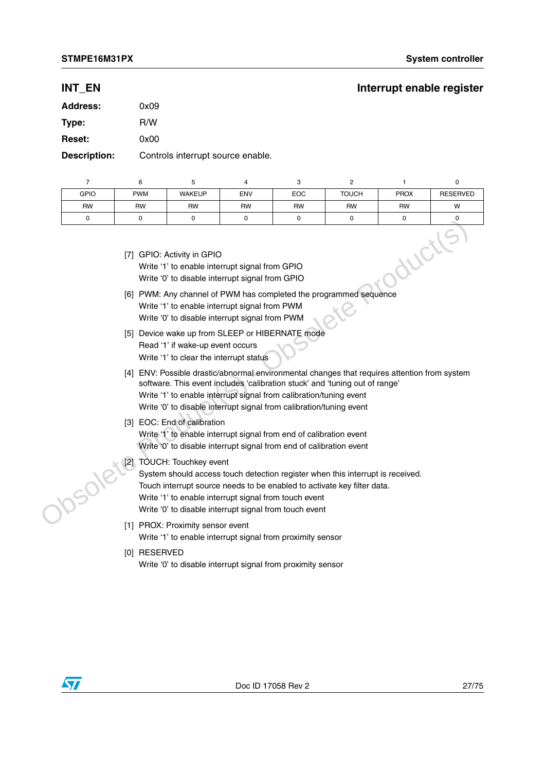### **INT\_EN** INT\_EN

| <b>Address:</b> | 0x09 |
|-----------------|------|
| Type:           | R/W  |
| <b>Reset:</b>   | 0x00 |
|                 | .    |

**Description:** Controls interrupt source enable.

|                                                                                                                                 | 6          | 5             |            | 3            |              |             |                 |
|---------------------------------------------------------------------------------------------------------------------------------|------------|---------------|------------|--------------|--------------|-------------|-----------------|
| <b>GPIO</b>                                                                                                                     | <b>PWM</b> | <b>WAKEUP</b> | <b>ENV</b> | <b>EOC</b>   | <b>TOUCH</b> | <b>PROX</b> | <b>RESERVED</b> |
| <b>RW</b>                                                                                                                       | <b>RW</b>  | <b>RW</b>     | <b>RW</b>  | <b>RW</b>    | <b>RW</b>    | <b>RW</b>   | W               |
| $\Omega$                                                                                                                        |            |               | $\Omega$   | <sup>0</sup> |              |             |                 |
| [7] GPIO: Activity in GPIO<br>Write '1' to enable interrupt signal from GPIO<br>Write '0' to disable interrupt signal from GPIO |            |               |            |              |              |             |                 |

| [7] GPIO: Activity in GPIO                      |
|-------------------------------------------------|
| Write '1' to enable interrupt signal from GPIO  |
| Write '0' to disable interrupt signal from GPIO |

- [6] PWM: Any channel of PWM has completed the programmed sequence Write '1' to enable interrupt signal from PWM Write '0' to disable interrupt signal from PWM
- [5] Device wake up from SLEEP or HIBERNATE mode Read '1' if wake-up event occurs Write '1' to clear the interrupt status
- [4] ENV: Possible drastic/abnormal environmental changes that requires attention from system software. This event includes 'calibration stuck' and 'tuning out of range' Write '1' to enable interrupt signal from calibration/tuning event Write '0' to disable interrupt signal from calibration/tuning event (7) GPIC: Activity in GPIC<br>
Write "1" to enable interprupt signal from GPIC<br>
Write "1" to elabele interprupt signal from GPIC<br>
(6) PWM. Any channel of PWM has completed the programmed sequence<br>
Write "1" to cisable interpr

### [3] EOC: End of calibration

Write '1' to enable interrupt signal from end of calibration event Write '0' to disable interrupt signal from end of calibration event

[2] TOUCH: Touchkey event

System should access touch detection register when this interrupt is received. Touch interrupt source needs to be enabled to activate key filter data. Write '1' to enable interrupt signal from touch event Write '0' to disable interrupt signal from touch event

- [1] PROX: Proximity sensor event Write '1' to enable interrupt signal from proximity sensor
- [0] RESERVED Write '0' to disable interrupt signal from proximity sensor

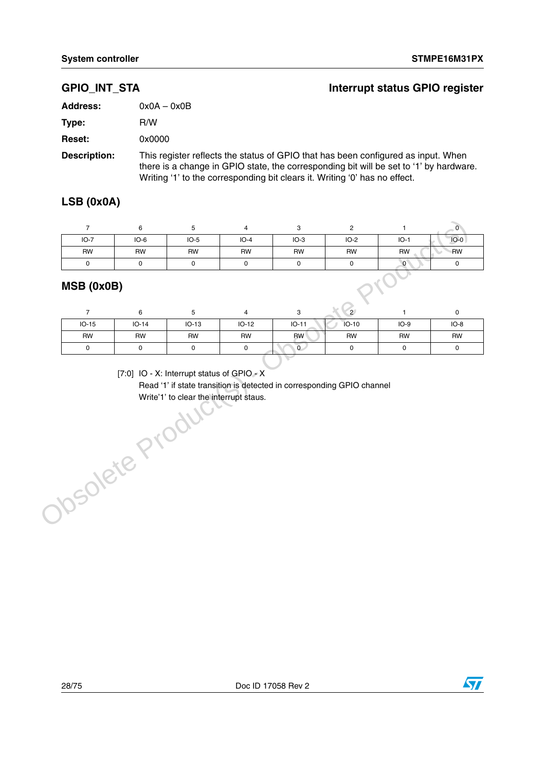| <b>GPIO INT STA</b> | Interrupt status GPIO register                                                                                                                                             |
|---------------------|----------------------------------------------------------------------------------------------------------------------------------------------------------------------------|
| <b>Address:</b>     | $0x0A - 0x0B$                                                                                                                                                              |
| Type:               | R/W                                                                                                                                                                        |
| <b>Reset:</b>       | 0x0000                                                                                                                                                                     |
| <b>Description:</b> | This register reflects the status of GPIO that has been configured as input. When<br>there is a change in GPIO state, the corresponding bit will be set to '1' by hardware |

there is a change in GPIO state, the corresponding bit will be set to '1' by hardware. Writing '1' to the corresponding bit clears it. Writing '0' has no effect.

# **LSB (0x0A)**

| $IO-7$    | $IO-6$ | $IO-5$    | $IO-4$    | $IO-3$    | $IO-2$    | $IO-1$    | $IO-0$ |
|-----------|--------|-----------|-----------|-----------|-----------|-----------|--------|
| <b>RW</b> | RW     | <b>RW</b> | <b>RW</b> | <b>RW</b> | <b>RW</b> | <b>RW</b> | RW     |
|           |        |           |           |           |           |           |        |

## **MSB (0x0B)**

|           |           |           |           |           | $\overline{2}$ |           |        |
|-----------|-----------|-----------|-----------|-----------|----------------|-----------|--------|
| $IO-15$   | $IO-14$   | $IO-13$   | $IO-12$   | $IO-11$   | $IO-10$        | $IO-9$    | $IO-8$ |
| <b>RW</b> | <b>RW</b> | <b>RW</b> | <b>RW</b> | <b>RW</b> | <b>RW</b>      | <b>RW</b> | RW     |
|           |           |           |           | .∪        |                |           |        |

[7:0] IO - X: Interrupt status of GPIO - X

Read '1' if state transition is detected in corresponding GPIO channel Write'1' to clear the interrupt staus.[7:0] IO - X: Interrupt status of GPIO - X<br>Read '1' if state transition is detected in co<br>Write'1' to clear the interrupt staus.

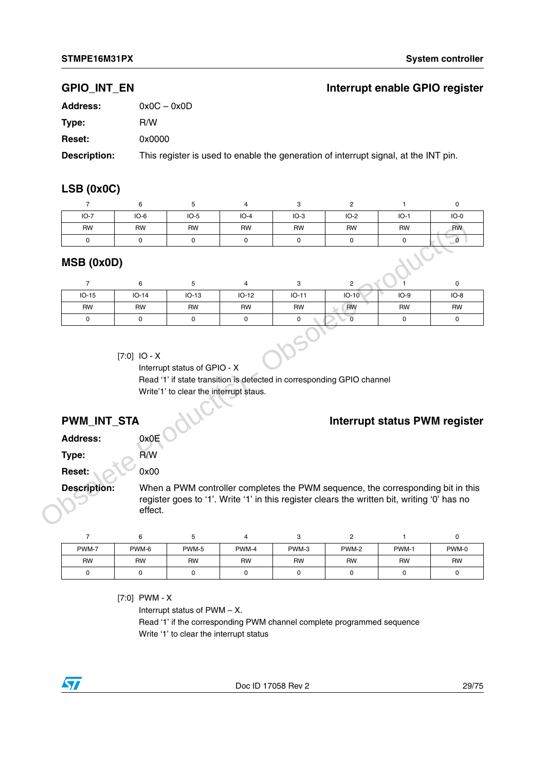### **GPIO\_INT\_EN Interrupt enable GPIO register**

| <b>Address:</b> | $0x0C - 0x0D$                                                                       |
|-----------------|-------------------------------------------------------------------------------------|
| Type:           | R/W                                                                                 |
| <b>Reset:</b>   | 0x0000                                                                              |
| Description:    | This register is used to enable the generation of interrupt signal, at the INT pin. |

### **LSB (0x0C)**

|            |           |           | 4         | ت         |           |           |           |
|------------|-----------|-----------|-----------|-----------|-----------|-----------|-----------|
| $IO-7$     | $IO-6$    | $IO-5$    | $IO-4$    | $IO-3$    | $IO-2$    | $IO-1$    | $IO-0$    |
| <b>RW</b>  | <b>RW</b> | <b>RW</b> | <b>RW</b> | <b>RW</b> | <b>RW</b> | <b>RW</b> | <b>RW</b> |
| 0          |           |           | C         |           |           |           |           |
| MSB (0x0D) |           |           |           |           |           |           |           |

### **MSB (0x0D)**

|        | <b>RW</b>                      | <b>RW</b>   | <b>RW</b>                                                              | <b>RW</b> | <b>RW</b>                                                                                                                                                                      | <b>RW</b>               | <b>RW</b>                            | <b>RW</b>            |
|--------|--------------------------------|-------------|------------------------------------------------------------------------|-----------|--------------------------------------------------------------------------------------------------------------------------------------------------------------------------------|-------------------------|--------------------------------------|----------------------|
|        | 0                              | $\mathbf 0$ | $\mathbf 0$                                                            | 0         | $\mathbf 0$                                                                                                                                                                    | $\mathbf 0$             | $\mathbf 0$                          | $\overline{\bullet}$ |
|        | MSB (0x0D)                     |             |                                                                        |           |                                                                                                                                                                                |                         |                                      |                      |
|        | $\overline{7}$                 | 6           | 5                                                                      | 4         | 3                                                                                                                                                                              | $\overline{2}$          |                                      | 0                    |
|        | $IO-15$                        | $IO-14$     | $IO-13$                                                                | $IO-12$   | $IO-11$                                                                                                                                                                        | $IO-10$                 | $IO-9$                               | $IO-8$               |
|        | <b>RW</b>                      | <b>RW</b>   | <b>RW</b>                                                              | <b>RW</b> | <b>RW</b>                                                                                                                                                                      | <b>RW</b>               | <b>RW</b>                            | <b>RW</b>            |
|        | 0                              | 0           | 0                                                                      | 0         | 0                                                                                                                                                                              | $\overline{\mathbf{0}}$ | $\mathbf 0$                          | $\mathbf 0$          |
|        | PWM_INT_STA<br><b>Address:</b> | 0x0E        | Interrupt status of GPIO - X<br>Write'1' to clear the interrupt staus. |           | Read '1' if state transition is detected in corresponding GPIO channel                                                                                                         |                         | <b>Interrupt status PWM register</b> |                      |
|        |                                |             |                                                                        |           |                                                                                                                                                                                |                         |                                      |                      |
| Type:  |                                | R/W         |                                                                        |           |                                                                                                                                                                                |                         |                                      |                      |
| Reset: |                                | 0x00        |                                                                        |           |                                                                                                                                                                                |                         |                                      |                      |
|        | <b>Description:</b>            | effect.     |                                                                        |           | When a PWM controller completes the PWM sequence, the corresponding bit in this<br>register goes to '1'. Write '1' in this register clears the written bit, writing '0' has no |                         |                                      |                      |
|        | $\overline{7}$                 | 6           | 5                                                                      | 4         | 3                                                                                                                                                                              | $\overline{c}$          | 1                                    | 0                    |
|        | PWM-7                          | PWM-6       | PWM-5                                                                  | PWM-4     | PWM-3                                                                                                                                                                          | PWM-2                   | PWM-1                                | PWM-0                |

### [7:0] IO - X

## **PWM\_INT\_STA**  $\bigcup$

| PWM-7     | PWM-6     | PWM-5 | PWM-4     | PWM-3 | PWM-2     | PWM-1     | PWM-0     |
|-----------|-----------|-------|-----------|-------|-----------|-----------|-----------|
| <b>RW</b> | <b>RW</b> | RW    | <b>RW</b> | RW    | <b>RW</b> | <b>RW</b> | <b>RW</b> |
|           |           |       |           |       |           |           |           |

[7:0] PWM - X

Interrupt status of PWM – X. Read '1' if the corresponding PWM channel complete programmed sequence Write '1' to clear the interrupt status

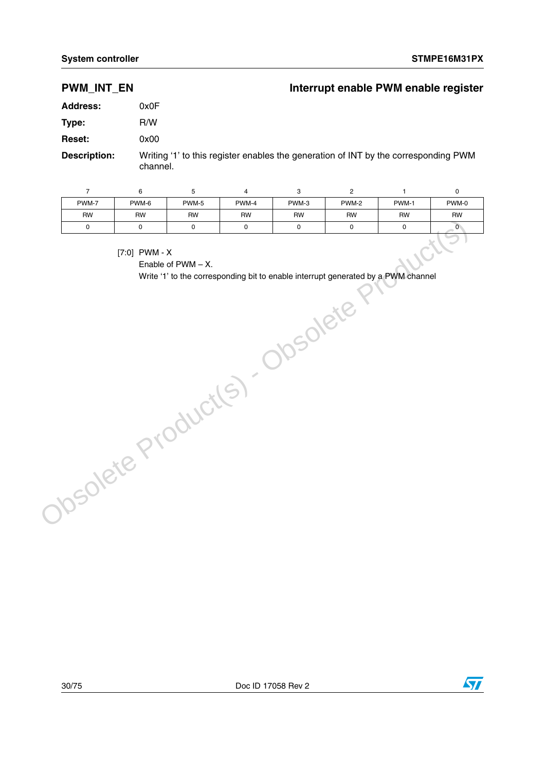## **PWM\_INT\_EN** Interrupt enable PWM enable register

| <b>Address:</b>     | 0x0F                                                                                            |
|---------------------|-------------------------------------------------------------------------------------------------|
| Type:               | R/W                                                                                             |
| <b>Reset:</b>       | 0x00                                                                                            |
| <b>Description:</b> | Writing '1' to this register enables the generation of INT by the corresponding PWM<br>channel. |

76543210 PWM-7 PWM-6 PWM-5 PWM-4 PWM-3 PWM-2 PWM-1 PWM-0 RW | RW | RW | RW | RW | RW | RW 0 0 0 0 0 0 0 0 0 0 Production Control City City Control Control City of Control City of Control City of Control City of Control City of Control City of Control City of Control City of Control City of Control City of Control City of Control C

[7:0] PWM - X

Enable of PWM – X.

Write '1' to the corresponding bit to enable interrupt generated by a PWM channel

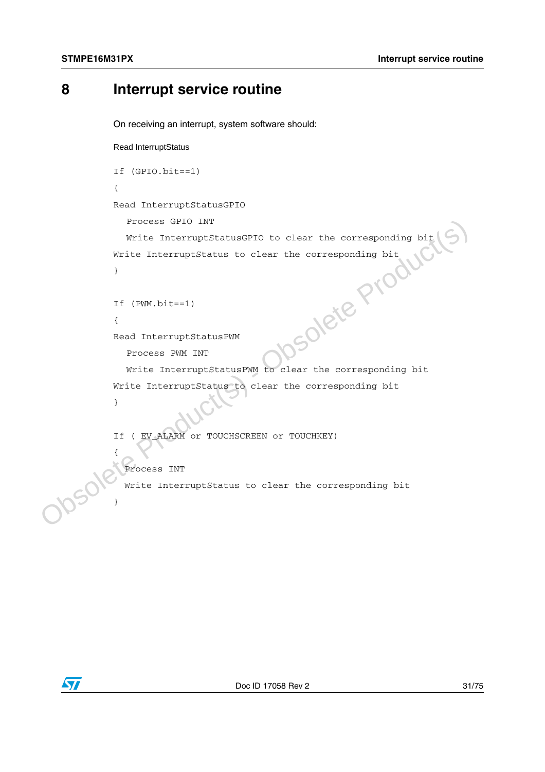# <span id="page-30-0"></span>**8 Interrupt service routine**

On receiving an interrupt, system software should:

```
Read InterruptStatus
```

```
If (GPIO.bit==1) 
{ 
Read InterruptStatusGPIO
```
Process GPIO INT

```
Write InterruptStatusGPIO to clear the corresponding bit
Write InterruptStatus to clear the corresponding bit
```

```
If (PWM.bit==1)
```
{

{

}

}

Read InterruptStatusPWM

Process PWM INT

Write InterruptStatusPWM to clear the corresponding bit Write InterruptStatus to clear the corresponding bit } -sponding bit<br>
(xim) - sponding bit<br>
(Read InterruptStatusPWM<br>
Process PMM INT<br>
Write InterruptStatusPWM to clear the corresponding bit<br>
Write InterruptStatus to clear the corresponding bit<br>
(Fig. ALAM or TOUCHSCREEN or TO

```
If ( EV_ALARM or TOUCHSCREEN or TOUCHKEY)
```

```
 Process INT
```
Write InterruptStatus to clear the corresponding bit

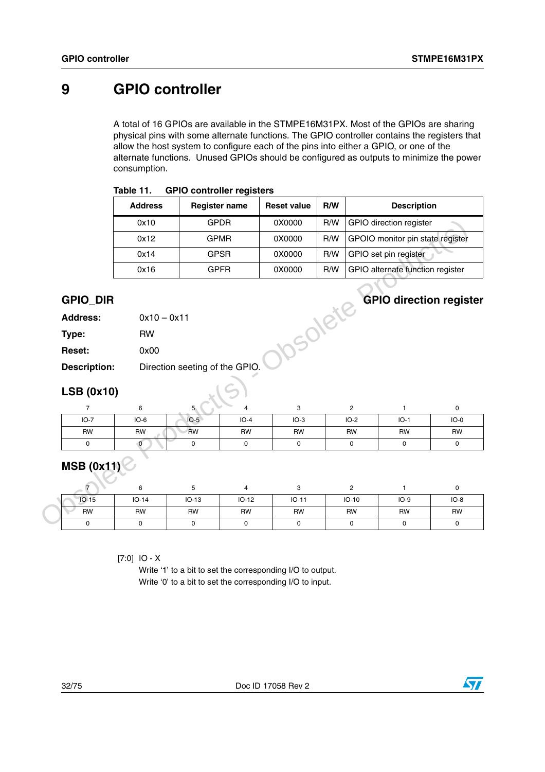# <span id="page-31-0"></span>**9 GPIO controller**

A total of 16 GPIOs are available in the STMPE16M31PX. Most of the GPIOs are sharing physical pins with some alternate functions. The GPIO controller contains the registers that allow the host system to configure each of the pins into either a GPIO, or one of the alternate functions. Unused GPIOs should be configured as outputs to minimize the power consumption.

| Table 11. | <b>GPIO controller registers</b> |
|-----------|----------------------------------|
|-----------|----------------------------------|

|                                    | <b>Address</b> |                                | <b>Register name</b> | <b>Reset value</b> | R/W |                | <b>Description</b>               |             |
|------------------------------------|----------------|--------------------------------|----------------------|--------------------|-----|----------------|----------------------------------|-------------|
|                                    | 0x10           |                                | <b>GPDR</b>          | 0X0000             | R/W |                | <b>GPIO</b> direction register   |             |
|                                    | 0x12           |                                | <b>GPMR</b>          | 0X0000             | R/W |                | GPOIO monitor pin state register |             |
|                                    | 0x14           |                                | <b>GPSR</b>          | 0X0000             | R/W |                | GPIO set pin register            |             |
|                                    | 0x16           |                                | <b>GPFR</b>          | 0X0000             | R/W |                | GPIO alternate function register |             |
| <b>GPIO_DIR</b><br><b>Address:</b> | $0x10 - 0x11$  |                                |                      | DSORIE             |     |                | <b>GPIO direction register</b>   |             |
| Type:                              | <b>RW</b>      |                                |                      |                    |     |                |                                  |             |
| Reset:                             | 0x00           |                                |                      |                    |     |                |                                  |             |
| <b>Description:</b>                |                | Direction seeting of the GPIO. |                      |                    |     |                |                                  |             |
| <b>LSB (0x10)</b>                  |                |                                |                      |                    |     |                |                                  |             |
| 7                                  | 6              | 5                              | 4                    | 3                  |     | $\overline{2}$ | $\mathbf{1}$                     | 0           |
| $IO-7$                             | $IO-6$         | $IO-5$                         | $IO-4$               | $IO-3$             |     | $IO-2$         | $IO-1$                           | $IO-0$      |
| <b>RW</b>                          | <b>RW</b>      | <b>RW</b>                      | <b>RW</b>            | <b>RW</b>          |     | <b>RW</b>      | <b>RW</b>                        | <b>RW</b>   |
| 0                                  | $\overline{0}$ | 0                              | 0                    | 0                  |     | $\mathbf 0$    | $\mathsf{O}$                     | $\mathbf 0$ |
| <b>MSB (0x11)</b>                  |                |                                |                      |                    |     |                |                                  |             |
| 7                                  | 6              | 5                              | 4                    | 3                  |     | $\overline{c}$ | $\mathbf{1}$                     | $\mathbf 0$ |
|                                    |                |                                |                      | $IO-11$            |     | $IO-10$        | $IO-9$                           | $IO-8$      |
| $IO-15$                            | $IO-14$        | $IO-13$                        | $IO-12$              |                    |     |                |                                  |             |
| <b>RW</b>                          | <b>RW</b>      | <b>RW</b>                      | <b>RW</b>            | <b>RW</b>          |     | <b>RW</b>      | <b>RW</b>                        | <b>RW</b>   |

## **GPIO\_DIR GPIO direction register**

| <b>Address:</b> | $0x10 - 0x11$ |
|-----------------|---------------|
|                 |               |

| Type:               | RW                             |
|---------------------|--------------------------------|
| <b>Reset:</b>       | 0x00                           |
| <b>Description:</b> | Direction seeting of the GPIO. |

## **LSB (0x10)**

| $IO-7$    | $IO-6$    | $IO-5$    | $IO-4$    | $IO-3$    | $IO-2$    | $IO-1$    | $IO-0$    |
|-----------|-----------|-----------|-----------|-----------|-----------|-----------|-----------|
| <b>RW</b> | <b>RW</b> | <b>RW</b> | <b>RW</b> | <b>RW</b> | <b>RW</b> | <b>RW</b> | <b>RW</b> |
|           |           |           |           |           |           |           |           |

# **MSB (0x11)**

| $IO-15$   | $IO-14$ | $IO-13$ | $IO-12$   | $IO-11$   | $IO-10$   | $IO-9$    | $IO-8$    |
|-----------|---------|---------|-----------|-----------|-----------|-----------|-----------|
| <b>RW</b> | RW      | RW      | <b>RW</b> | <b>RW</b> | <b>RW</b> | <b>RW</b> | <b>RW</b> |
|           |         |         |           |           |           |           |           |

[7:0] IO - X

Write '1' to a bit to set the corresponding I/O to output. Write '0' to a bit to set the corresponding I/O to input.

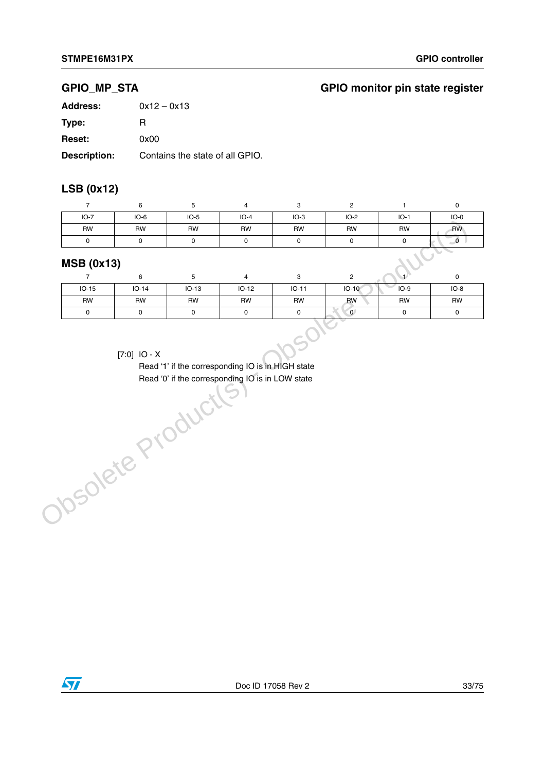## **GPIO\_MP\_STA GPIO monitor pin state register**

| Address:            | $0x12 - 0x13$                   |
|---------------------|---------------------------------|
| Type:               | R                               |
| <b>Reset:</b>       | 0x00                            |
| <b>Description:</b> | Contains the state of all GPIO. |

## **LSB (0x12)**

| $IO-7$            | $IO-6$    | $IO-5$    | $IO-4$    | $IO-3$    | IO-2      | $IO-1$    | $IO-0$    |
|-------------------|-----------|-----------|-----------|-----------|-----------|-----------|-----------|
| <b>RW</b>         | <b>RW</b> | <b>RW</b> | <b>RW</b> | <b>RW</b> | <b>RW</b> | <b>RW</b> | <b>RW</b> |
|                   |           |           |           |           |           |           |           |
| <b>MSB (0x13)</b> | c         |           |           | C         | C         |           | $\sim$    |

### **MSB (0x13)**

|                | 6       | G         | 4         |           | っ         |           |        |
|----------------|---------|-----------|-----------|-----------|-----------|-----------|--------|
| $IO-15$        | $IO-14$ | $IO-13$   | $IO-12$   | $IO-11$   | $IO-10$   | $IO-9$    | $IO-8$ |
| <b>RW</b>      | RW      | <b>RW</b> | <b>RW</b> | <b>RW</b> | <b>RW</b> | <b>RW</b> | RW     |
| 0              |         |           | O         |           | 0         |           |        |
| $[7:0]$ IO - X |         |           |           |           |           |           |        |

### [7:0] IO - X

Read '1' if the corresponding IO is in HIGH state Read '0' if the corresponding IO is in LOW stateObsolete Product

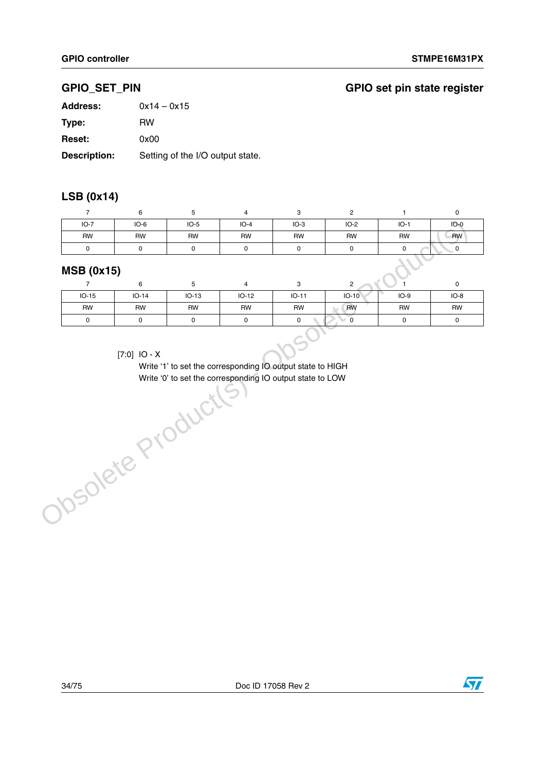# **GPIO\_SET\_PIN GPIO set pin state register**

| <b>Address:</b>     | $0x14 - 0x15$                    |
|---------------------|----------------------------------|
| Type:               | <b>RW</b>                        |
| <b>Reset:</b>       | 0x00                             |
| <b>Description:</b> | Setting of the I/O output state. |

## **LSB (0x14)**

| $IO-7$            | $IO-6$    | $IO-5$    | $IO-4$    | $IO-3$    | $IO-2$                             | $IO-1$    | $IO-0$    |
|-------------------|-----------|-----------|-----------|-----------|------------------------------------|-----------|-----------|
| <b>RW</b>         | <b>RW</b> | <b>RW</b> | <b>RW</b> | <b>RW</b> | <b>RW</b>                          | <b>RW</b> | <b>RW</b> |
| 0                 |           |           |           |           |                                    |           |           |
| <b>MSB (0x15)</b> | $\sim$    |           |           | C         | <b>Contract Contract</b><br>$\sim$ |           | $\sim$    |

## **MSB (0x15)**

| . .            |           |           |           |           |           |           |        |
|----------------|-----------|-----------|-----------|-----------|-----------|-----------|--------|
|                | 6         |           | 4         |           | C         |           |        |
| $IO-15$        | $IO-14$   | $IO-13$   | $IO-12$   | $IO-11$   | $IO-10$   | $IO-9$    | $IO-8$ |
| RW             | <b>RW</b> | <b>RW</b> | <b>RW</b> | <b>RW</b> | <b>RW</b> | <b>RW</b> | RW     |
| 0              | 0         |           | 0         | 0         |           |           |        |
| $17.01$ $10.4$ |           |           |           |           |           |           |        |

### [7:0] IO - X

Write '1' to set the corresponding IO output state to HIGH Write '0' to set the corresponding IO output state to LOWObsolete Product(s)

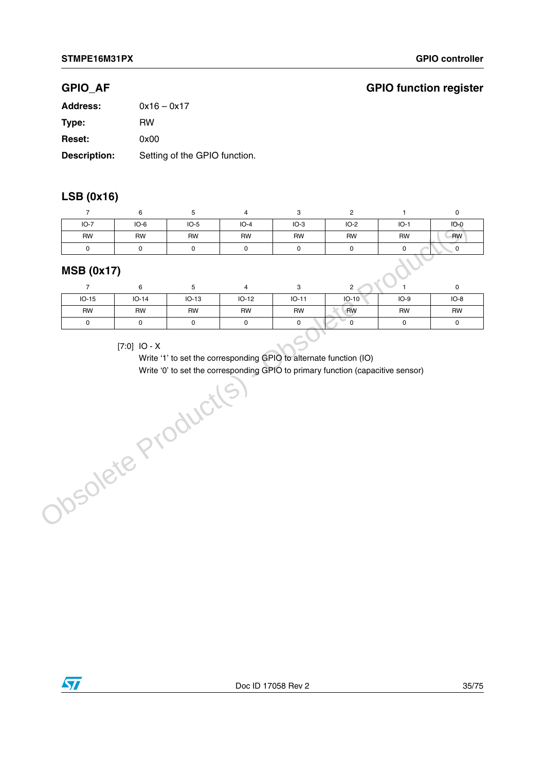### **GPIO\_AF**

|  | <b>GPIO function register</b> |  |
|--|-------------------------------|--|
|--|-------------------------------|--|

| <b>Address:</b>     | $0x16 - 0x17$                 |
|---------------------|-------------------------------|
| Type:               | RW                            |
| <b>Reset:</b>       | 0x00                          |
| <b>Description:</b> | Setting of the GPIO function. |

## **LSB (0x16)**

|                   |           |           | 4         | ີ<br>ت    |           |           |           |  |  |  |
|-------------------|-----------|-----------|-----------|-----------|-----------|-----------|-----------|--|--|--|
| $IO-7$            | $IO-6$    | $IO-5$    | $IO-4$    | $IO-3$    | $IO-2$    | $IO-1$    | $IO-0$    |  |  |  |
| <b>RW</b>         | <b>RW</b> | <b>RW</b> | <b>RW</b> | <b>RW</b> | <b>RW</b> | <b>RW</b> | <b>RW</b> |  |  |  |
|                   |           |           | r         |           |           |           |           |  |  |  |
| <b>MSB (0x17)</b> |           |           |           |           |           |           |           |  |  |  |

### **MSB (0x17)**

| $IO-15$ | $IO-14$ | $IO-13$ | $IO-12$ | $IO-11$   | $IO-10$   | $IO-9$    | $IO-8$    |
|---------|---------|---------|---------|-----------|-----------|-----------|-----------|
| RW      | RW      | RW      | RW      | <b>RW</b> | <b>RW</b> | <b>RW</b> | <b>RW</b> |
|         |         |         |         |           |           |           | υ         |

### [7:0] IO - X

Write '1' to set the corresponding GPIO to alternate function (IO) Write '0' to set the corresponding GPIO to primary function (capacitive sensor)[7:0] IO - X<br>
Write '1' to set the corresponding GPIO to alternat<br>
Write '0' to set the corresponding GPIO to primary<br>
Obsolete Product(S)<br>
Obsolete Product(S)

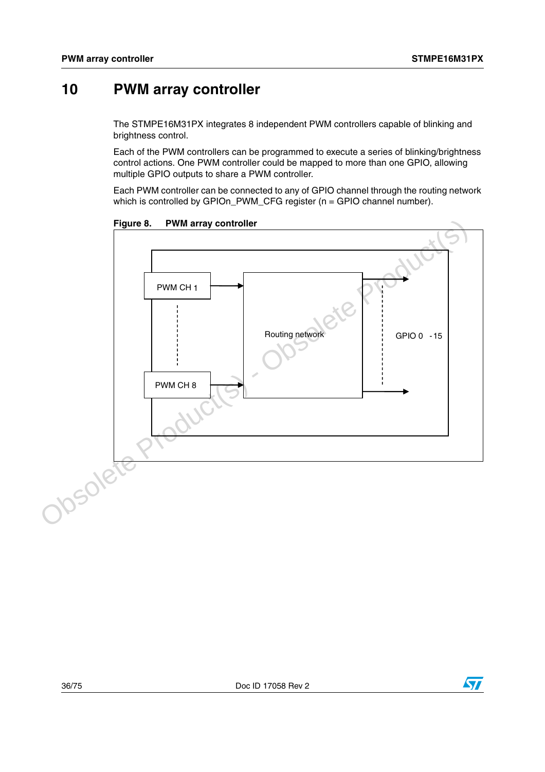# <span id="page-35-0"></span>**10 PWM array controller**

The STMPE16M31PX integrates 8 independent PWM controllers capable of blinking and brightness control.

Each of the PWM controllers can be programmed to execute a series of blinking/brightness control actions. One PWM controller could be mapped to more than one GPIO, allowing multiple GPIO outputs to share a PWM controller.

Each PWM controller can be connected to any of GPIO channel through the routing network which is controlled by GPIOn\_PWM\_CFG register (n = GPIO channel number).

**Figure 8. PWM array controller**



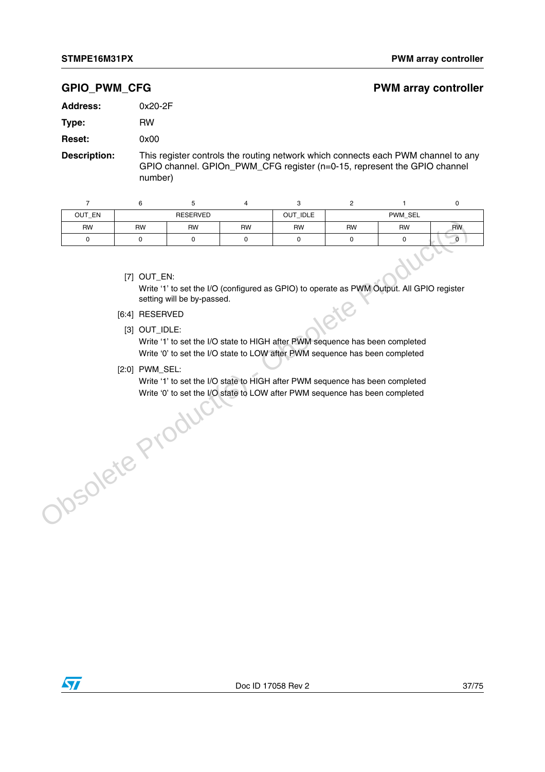#### **GPIO\_PWM\_CFG PWM array controller**

| <b>Address:</b> | $0x20-2F$ |
|-----------------|-----------|
|                 |           |

**Type:** RW

**Reset:** 0x00

**Description:** This register controls the routing network which connects each PWM channel to any GPIO channel. GPIOn\_PWM\_CFG register (n=0-15, represent the GPIO channel number)

| OUT_EN    |    |                 |           |           |           |           |           |
|-----------|----|-----------------|-----------|-----------|-----------|-----------|-----------|
|           |    | <b>RESERVED</b> |           | OUT_IDLE  | PWM_SEL   |           |           |
| <b>RW</b> | RW | <b>RW</b>       | <b>RW</b> | <b>RW</b> | <b>RW</b> | <b>RW</b> | <b>RW</b> |
|           |    |                 |           |           |           |           |           |

[7] OUT\_EN:

Write '1' to set the I/O (configured as GPIO) to operate as PWM Output. All GPIO register setting will be by-passed.

- [6:4] RESERVED
	- [3] OUT\_IDLE:

Write '1' to set the I/O state to HIGH after PWM sequence has been completed Write '0' to set the I/O state to LOW after PWM sequence has been completed T7 OUT\_EN:<br>
Write '1' to set the I/O (configured as GPIO) to operate as PWM Output. All GPIO re<br>
setting will be by-passed.<br>
[6:4] RESERVED<br>
(3) OUT\_IDLE:<br>
Write '1' to set the I/O state to HIGH after PWM sequence has been

[2:0] PWM\_SEL:

Write '1' to set the I/O state to HIGH after PWM sequence has been completed Write '0' to set the I/O state to LOW after PWM sequence has been completed

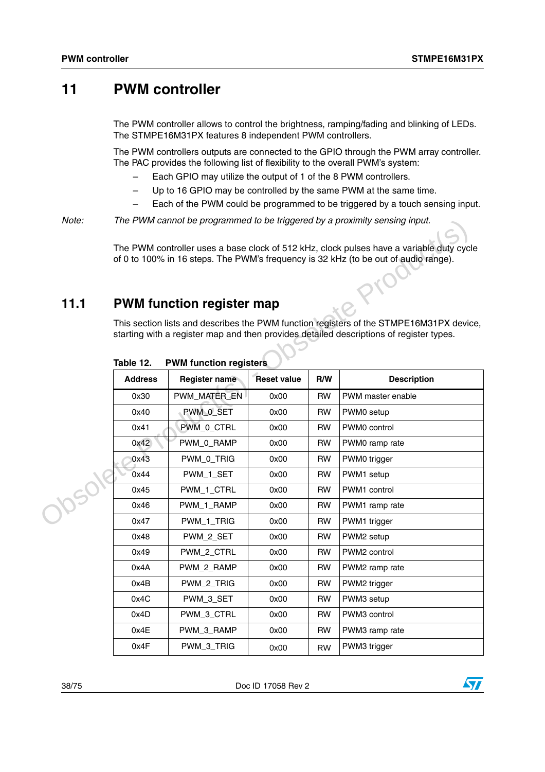# **11 PWM controller**

The PWM controller allows to control the brightness, ramping/fading and blinking of LEDs. The STMPE16M31PX features 8 independent PWM controllers.

The PWM controllers outputs are connected to the GPIO through the PWM array controller. The PAC provides the following list of flexibility to the overall PWM's system:

- Each GPIO may utilize the output of 1 of the 8 PWM controllers.
- Up to 16 GPIO may be controlled by the same PWM at the same time.
- Each of the PWM could be programmed to be triggered by a touch sensing input.

*Note: The PWM cannot be programmed to be triggered by a proximity sensing input.*

## **11.1 PWM function register map**

| Note:         |                                                                                                                                                                                    |                                  |                    |           | The PWM cannot be programmed to be triggered by a proximity sensing input.                                                                                                      |  |  |  |  |  |  |  |
|---------------|------------------------------------------------------------------------------------------------------------------------------------------------------------------------------------|----------------------------------|--------------------|-----------|---------------------------------------------------------------------------------------------------------------------------------------------------------------------------------|--|--|--|--|--|--|--|
|               |                                                                                                                                                                                    |                                  |                    |           | The PWM controller uses a base clock of 512 kHz, clock pulses have a variable duty cycle<br>of 0 to 100% in 16 steps. The PWM's frequency is 32 kHz (to be out of audio range). |  |  |  |  |  |  |  |
|               |                                                                                                                                                                                    |                                  |                    |           |                                                                                                                                                                                 |  |  |  |  |  |  |  |
| 11.1          |                                                                                                                                                                                    | <b>PWM function register map</b> |                    |           |                                                                                                                                                                                 |  |  |  |  |  |  |  |
|               | This section lists and describes the PWM function registers of the STMPE16M31PX device,<br>starting with a register map and then provides detailed descriptions of register types. |                                  |                    |           |                                                                                                                                                                                 |  |  |  |  |  |  |  |
|               | Table 12.                                                                                                                                                                          | <b>PWM function registers</b>    |                    |           |                                                                                                                                                                                 |  |  |  |  |  |  |  |
|               | <b>Address</b>                                                                                                                                                                     | Register name                    | <b>Reset value</b> | R/W       | <b>Description</b>                                                                                                                                                              |  |  |  |  |  |  |  |
|               | 0x30                                                                                                                                                                               | PWM_MATER_EN                     | 0x00               | <b>RW</b> | PWM master enable                                                                                                                                                               |  |  |  |  |  |  |  |
|               | 0x40                                                                                                                                                                               | PWM_0_SET                        | 0x00               | <b>RW</b> | PWM0 setup                                                                                                                                                                      |  |  |  |  |  |  |  |
|               | 0x41                                                                                                                                                                               | PWM_0_CTRL                       | 0x00               | <b>RW</b> | PWM0 control                                                                                                                                                                    |  |  |  |  |  |  |  |
|               | 0x42                                                                                                                                                                               | PWM_0_RAMP                       | 0x00               | <b>RW</b> | PWM0 ramp rate                                                                                                                                                                  |  |  |  |  |  |  |  |
|               | 0x43                                                                                                                                                                               | PWM_0_TRIG                       | 0x00               | <b>RW</b> | PWM0 trigger                                                                                                                                                                    |  |  |  |  |  |  |  |
| <b>70SO19</b> | 0x44                                                                                                                                                                               | PWM_1_SET                        | 0x00               | <b>RW</b> | PWM1 setup                                                                                                                                                                      |  |  |  |  |  |  |  |
|               | 0x45                                                                                                                                                                               | PWM_1_CTRL                       | 0x00               | <b>RW</b> | PWM1 control                                                                                                                                                                    |  |  |  |  |  |  |  |
|               | 0x46                                                                                                                                                                               | PWM_1_RAMP                       | 0x00               | <b>RW</b> | PWM1 ramp rate                                                                                                                                                                  |  |  |  |  |  |  |  |
|               | 0x47                                                                                                                                                                               | PWM_1_TRIG                       | 0x00               | <b>RW</b> | PWM1 trigger                                                                                                                                                                    |  |  |  |  |  |  |  |
|               | 0x48                                                                                                                                                                               | PWM_2_SET                        | 0x00               | <b>RW</b> | PWM2 setup                                                                                                                                                                      |  |  |  |  |  |  |  |
|               | 0x49                                                                                                                                                                               | PWM_2_CTRL                       | 0x00               | <b>RW</b> | PWM2 control                                                                                                                                                                    |  |  |  |  |  |  |  |
|               | 0x4A                                                                                                                                                                               | PWM_2_RAMP                       | 0x00               | <b>RW</b> | PWM2 ramp rate                                                                                                                                                                  |  |  |  |  |  |  |  |
|               | 0x4B                                                                                                                                                                               | PWM_2_TRIG                       | 0x00               | <b>RW</b> | PWM2 trigger                                                                                                                                                                    |  |  |  |  |  |  |  |
|               | 0x4C                                                                                                                                                                               | PWM_3_SET                        | 0x00               | <b>RW</b> | PWM3 setup                                                                                                                                                                      |  |  |  |  |  |  |  |
|               | 0x4D                                                                                                                                                                               | PWM_3_CTRL                       | 0x00               | <b>RW</b> | PWM3 control                                                                                                                                                                    |  |  |  |  |  |  |  |
|               | 0x4E                                                                                                                                                                               | PWM 3 RAMP                       | 0x00               | <b>RW</b> | PWM3 ramp rate                                                                                                                                                                  |  |  |  |  |  |  |  |
|               | 0x4F                                                                                                                                                                               | PWM_3_TRIG                       | 0x00               | <b>RW</b> | PWM3 trigger                                                                                                                                                                    |  |  |  |  |  |  |  |

| Table 12. |  |  | <b>PWM function registers</b> |
|-----------|--|--|-------------------------------|
|-----------|--|--|-------------------------------|

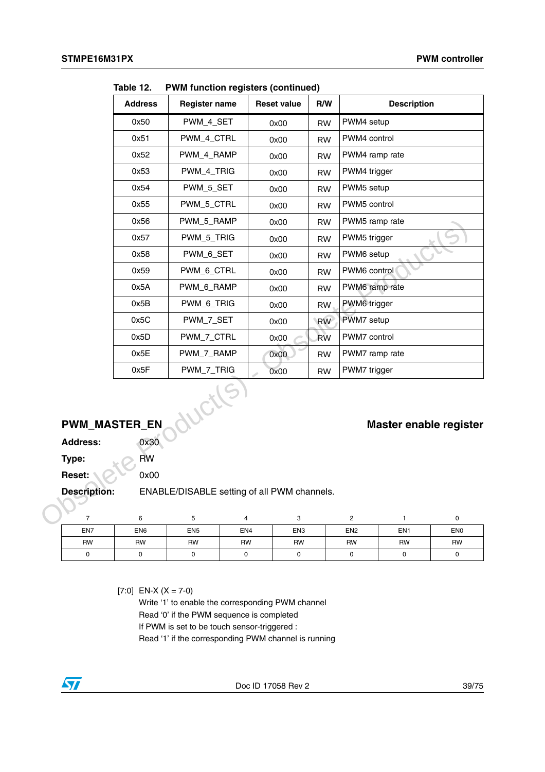|                      | <b>Address</b>      | <b>Register name</b>                        |                     | <b>Reset value</b>  | R/W       |                         | <b>Description</b>     |                     |
|----------------------|---------------------|---------------------------------------------|---------------------|---------------------|-----------|-------------------------|------------------------|---------------------|
|                      | 0x50                | PWM_4_SET                                   |                     | 0x00                | <b>RW</b> | PWM4 setup              |                        |                     |
|                      | 0x51                | PWM_4_CTRL                                  |                     | 0x00                | <b>RW</b> | PWM4 control            |                        |                     |
|                      | 0x52                | PWM_4_RAMP                                  |                     | 0x00                | <b>RW</b> | PWM4 ramp rate          |                        |                     |
|                      | 0x53                | PWM_4_TRIG                                  |                     | 0x00                | <b>RW</b> | PWM4 trigger            |                        |                     |
|                      | 0x54                | PWM_5_SET                                   |                     | 0x00                | <b>RW</b> | PWM5 setup              |                        |                     |
|                      | 0x55                | PWM_5_CTRL                                  |                     | 0x00                | <b>RW</b> | PWM5 control            |                        |                     |
|                      | 0x56                | PWM_5_RAMP                                  |                     | 0x00                | <b>RW</b> | PWM5 ramp rate          |                        |                     |
|                      | 0x57                | PWM_5_TRIG                                  |                     | 0x00                | <b>RW</b> | PWM5 trigger            |                        |                     |
|                      | 0x58                | PWM_6_SET                                   |                     | 0x00                | <b>RW</b> | PWM6 setup              |                        |                     |
|                      | 0x59                | PWM_6_CTRL                                  |                     | 0x00                | <b>RW</b> | PWM6 control            |                        |                     |
|                      | 0x5A                | PWM_6_RAMP                                  |                     | 0x00                | <b>RW</b> | PWM6 ramp rate          |                        |                     |
|                      | 0x5B                | PWM_6_TRIG                                  |                     | 0x00                | <b>RW</b> | PWM6 trigger            |                        |                     |
|                      | 0x5C                | PWM_7_SET                                   |                     | 0x00                | <b>RW</b> | PWM7 setup              |                        |                     |
|                      | 0x5D                | PWM_7_CTRL                                  |                     | 0x00                | <b>RW</b> | PWM7 control            |                        |                     |
|                      | 0x5E                | PWM_7_RAMP                                  |                     | 0x00                | <b>RW</b> | PWM7 ramp rate          |                        |                     |
|                      | 0x5F                | PWM_7_TRIG                                  |                     | 0x00                | <b>RW</b> | PWM7 trigger            |                        |                     |
| <b>PWM_MASTER_EN</b> |                     | ductl                                       |                     |                     |           |                         | Master enable register |                     |
| <b>Address:</b>      | 0x30                |                                             |                     |                     |           |                         |                        |                     |
| Type:                | <b>RW</b>           |                                             |                     |                     |           |                         |                        |                     |
| Reset:               | 0x00                |                                             |                     |                     |           |                         |                        |                     |
| <b>Description:</b>  |                     | ENABLE/DISABLE setting of all PWM channels. |                     |                     |           |                         |                        |                     |
|                      |                     |                                             |                     |                     |           |                         |                        |                     |
| 7                    | 6                   | 5                                           | 4                   | 3                   |           | $\overline{\mathbf{c}}$ | 1                      | 0                   |
| EN7                  | ${\sf EN6}$         | EN <sub>5</sub>                             | EN4                 | EN <sub>3</sub>     |           | EN <sub>2</sub>         | EN <sub>1</sub>        | EN <sub>0</sub>     |
| <b>RW</b>            | <b>RW</b><br>$\sim$ | <b>RW</b><br>$\sim$                         | <b>RW</b><br>$\sim$ | <b>RW</b><br>$\sim$ |           | <b>RW</b><br>$\Omega$   | <b>RW</b><br>$\sim$    | <b>RW</b><br>$\sim$ |

**Table 12. PWM function registers (continued)**

# **PWM\_MASTER\_EN Master enable register**

| Address: | 0x3 |
|----------|-----|
| Type:    | RW  |

| EN7 | EN <sub>6</sub> | EN <sub>5</sub> | EN <sub>4</sub> | EN <sub>3</sub> | EN <sub>2</sub> | EN <sub>1</sub> | EN <sub>0</sub> |
|-----|-----------------|-----------------|-----------------|-----------------|-----------------|-----------------|-----------------|
| RW  | RW              | RW              | <b>RW</b>       | <b>RW</b>       | <b>RW</b>       | <b>RW</b>       | <b>RW</b>       |
|     |                 |                 |                 |                 |                 |                 |                 |

 $[7:0]$  EN-X (X = 7-0)

Write '1' to enable the corresponding PWM channel Read '0' if the PWM sequence is completed If PWM is set to be touch sensor-triggered : Read '1' if the corresponding PWM channel is running

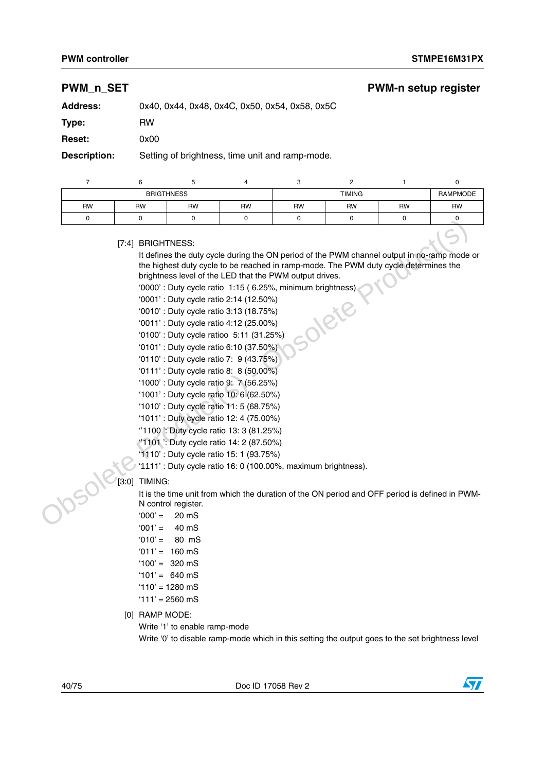# **PWM\_n\_SET PWM-n setup register Address:** 0x40, 0x44, 0x48, 0x4C, 0x50, 0x54, 0x58, 0x5C **Type:** RW **Reset:** 0x00 **Description:** Setting of brightness, time unit and ramp-mode.

|           |    | <b>BRIGTHNESS</b> |           |           | <b>TIMING</b> |           | <b>RAMPMODE</b> |
|-----------|----|-------------------|-----------|-----------|---------------|-----------|-----------------|
| <b>RW</b> | RW | <b>RW</b>         | <b>RW</b> | <b>RW</b> | <b>RW</b>     | <b>RW</b> | <b>RW</b>       |
|           |    |                   |           |           |               |           |                 |

[7:4] BRIGHTNESS:

It defines the duty cycle during the ON period of the PWM channel output in no-ramp mode or the highest duty cycle to be reached in ramp-mode. The PWM duty cycle determines the brightness level of the LED that the PWM output drives. Traditional Backlete Production of the PWM channel output in ne-rangement of the PWM channel output in ne-rangement<br>
the fighest daty cycle to be reached in narp-mode. The PWM duty cycle at the DED that the PWM during thr

'0000' : Duty cycle ratio 1:15 ( 6.25%, minimum brightness)

'0001' : Duty cycle ratio 2:14 (12.50%)

- '0010' : Duty cycle ratio 3:13 (18.75%)
- '0011' : Duty cycle ratio 4:12 (25.00%)
- '0100' : Duty cycle ratioo 5:11 (31.25%)
- '0101' : Duty cycle ratio 6:10 (37.50%)
- '0110' : Duty cycle ratio 7: 9 (43.75%)
- '0111' : Duty cycle ratio 8: 8 (50.00%)
- '1000' : Duty cycle ratio 9: 7 (56.25%)
- '1001' : Duty cycle ratio 10: 6 (62.50%)
- '1010' : Duty cycle ratio 11: 5 (68.75%)
- '1011' : Duty cycle ratio 12: 4 (75.00%)
- ''1100 ': Duty cycle ratio 13: 3 (81.25%)
- ''1101 ': Duty cycle ratio 14: 2 (87.50%)
- '1110' : Duty cycle ratio 15: 1 (93.75%)
- '1111' : Duty cycle ratio 16: 0 (100.00%, maximum brightness).

#### [3:0] TIMING:

It is the time unit from which the duration of the ON period and OFF period is defined in PWM-N control register.

- $'000' = 20 \text{ mS}$
- $'001' = 40$  mS
- $'010' = 80$  mS
- $'011' = 160$  mS
- $'100' = 320$  mS
- $'101' = 640 \text{ mS}$
- '110' = 1280 mS
- $'111' = 2560$  mS
- [0] RAMP MODE:

Write '1' to enable ramp-mode

Write '0' to disable ramp-mode which in this setting the output goes to the set brightness level

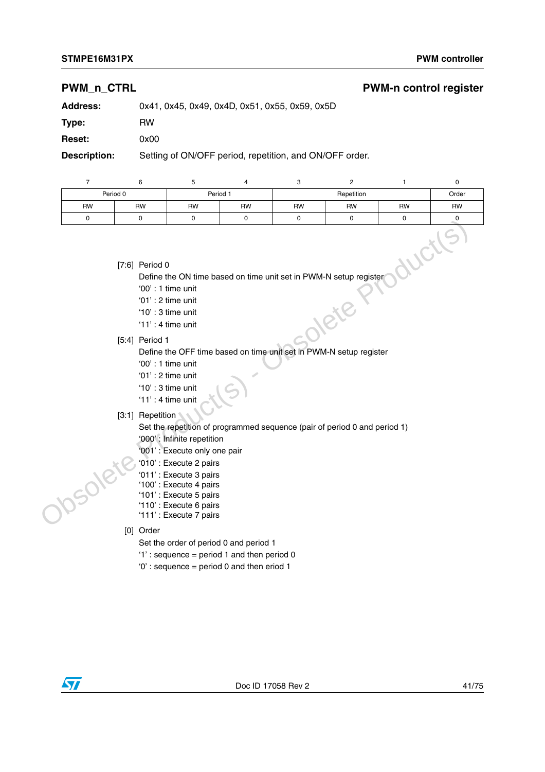#### **STMPE16M31PX** PWM controller

### **PWM\_n\_CTRL PWM-n control register**

| <b>Address:</b> | 0x41, 0x45, 0x49, 0x4D, 0x51, 0x55, 0x59, 0x5D |
|-----------------|------------------------------------------------|
|                 |                                                |

**Type:** RW

**Reset:** 0x00

**Description:** Setting of ON/OFF period, repetition, and ON/OFF order.

|           | 6                | 5                         |           | 3                                                                 |            |           |           |
|-----------|------------------|---------------------------|-----------|-------------------------------------------------------------------|------------|-----------|-----------|
|           | Period 0         |                           | Period 1  |                                                                   | Repetition |           |           |
| <b>RW</b> | <b>RW</b>        | <b>RW</b>                 | <b>RW</b> | <b>RW</b>                                                         | <b>RW</b>  | <b>RW</b> | <b>RW</b> |
|           |                  |                           | $\Omega$  |                                                                   |            |           |           |
|           | $[7:6]$ Period 0 | $^(00' \cdot 1$ time unit |           | Define the ON time based on time unit set in PWM-N setup register |            |           |           |

- '00' : 1 time unit
- '01' : 2 time unit
- '10' : 3 time unit
- '11' : 4 time unit
- [5:4] Period 1

Define the OFF time based on time unit set in PWM-N setup register (7:6) Period 0<br>
Define the ON time based on time unit set in PWM-N setup register<br>
00 : 1 sime unit<br>
10 : 3 time unit<br>
11 : 4 time unit<br>
15:4) Period 1<br>
00 : 1 sime unit<br>
15:4) Period 1<br>
10 : 3 time unit<br>
10 : 3 time unit

- '00' : 1 time unit
- '01' : 2 time unit
- '10' : 3 time unit
- '11' : 4 time unit

[3:1] Repetition

Set the repetition of programmed sequence (pair of period 0 and period 1)

- '000' : Infinite repetition
- '001' : Execute only one pair
- '010' : Execute 2 pairs
- '011' : Execute 3 pairs
- '100' : Execute 4 pairs
- '101' : Execute 5 pairs
- '110' : Execute 6 pairs
- '111' : Execute 7 pairs
- [0] Order
	- Set the order of period 0 and period 1
	- '1' : sequence = period 1 and then period 0
	- '0' : sequence = period 0 and then eriod 1

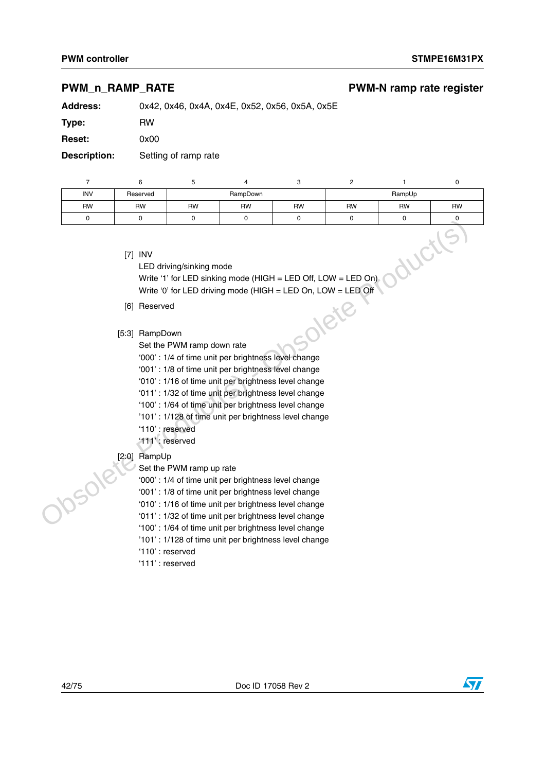### **PWM\_n\_RAMP\_RATE** PWM-N ramp rate register

**Address:** 0x42, 0x46, 0x4A, 0x4E, 0x52, 0x56, 0x5A, 0x5E

**Type:** RW

**Reset:** 0x00

**Description:** Setting of ramp rate

| <b>INV</b> | Reserved |           | RampDown  |           |           | RampUp    |           |
|------------|----------|-----------|-----------|-----------|-----------|-----------|-----------|
| <b>RW</b>  | RW       | <b>RW</b> | <b>RW</b> | <b>RW</b> | <b>RW</b> | <b>RW</b> | <b>RW</b> |
|            |          |           |           |           |           |           |           |

[7] INV

LED driving/sinking mode Write '1' for LED sinking mode (HIGH = LED Off, LOW = LED On) Write '0' for LED driving mode (HIGH = LED On, LOW = LED Off  $RampDown$ <br>
Set the PWM ramp down rate<br>
'000' : 1/4 of time unit per brightness level change Tri INV<br>
CEO driving/sinkling mode<br>
Write "0" for LED sinking mode (HIGH = LED Off, LOW = LED On)<br>
Write "0" for LED driving mode (HIGH = LED Off, LOW = LED On)<br>
(6) Reserved<br>
Set the PVM ramp down rate<br>
200°: 1/4 of time

- [6] Reserved
- [5:3] RampDown
	- Set the PWM ramp down rate
	-
	- '001' : 1/8 of time unit per brightness level change
	- '010' : 1/16 of time unit per brightness level change
	- '011' : 1/32 of time unit per brightness level change
	- '100' : 1/64 of time unit per brightness level change
	- '101' : 1/128 of time unit per brightness level change
	- '110' : reserved
	- '111' : reserved
- [2:0] RampUp
	- Set the PWM ramp up rate
	- '000' : 1/4 of time unit per brightness level change
	- '001' : 1/8 of time unit per brightness level change
	- '010' : 1/16 of time unit per brightness level change
	- '011' : 1/32 of time unit per brightness level change
	- '100' : 1/64 of time unit per brightness level change
	- '101' : 1/128 of time unit per brightness level change
	- '110' : reserved
	- '111' : reserved

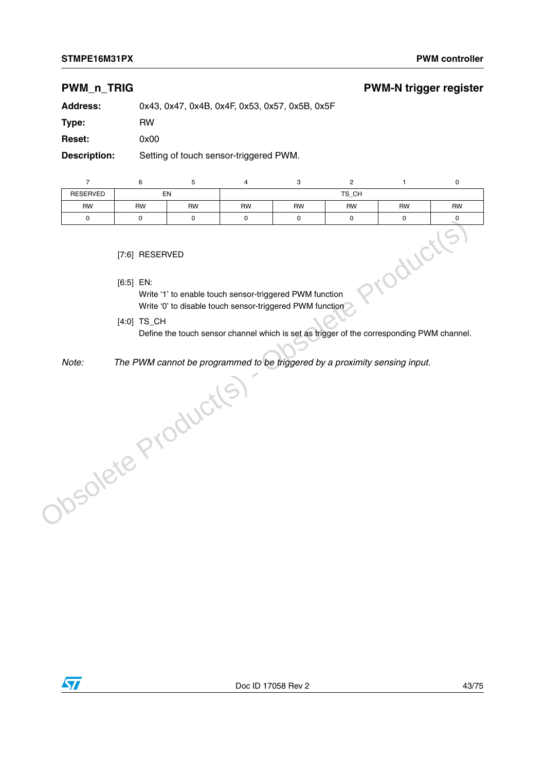#### **STMPE16M31PX** PWM controller

#### **PWM\_n\_TRIG PWM-N trigger register**

**Address:** 0x43, 0x47, 0x4B, 0x4F, 0x53, 0x57, 0x5B, 0x5F

**Type:** RW

**Reset:** 0x00

**Description:** Setting of touch sensor-triggered PWM.

|                                                                        | 6                                                        | 5         |           | 3                                                | ◠ |          |  |  |  |  |  |
|------------------------------------------------------------------------|----------------------------------------------------------|-----------|-----------|--------------------------------------------------|---|----------|--|--|--|--|--|
| <b>RESERVED</b>                                                        | EN                                                       |           | TS CH     |                                                  |   |          |  |  |  |  |  |
| <b>RW</b>                                                              | <b>RW</b>                                                | <b>RW</b> | <b>RW</b> | <b>RW</b><br><b>RW</b><br><b>RW</b><br><b>RW</b> |   |          |  |  |  |  |  |
| 0                                                                      | 0                                                        | ŋ         | $\Omega$  | 0                                                |   | $\Omega$ |  |  |  |  |  |
| [7:6] RESERVED                                                         |                                                          |           |           |                                                  |   |          |  |  |  |  |  |
| $[6:5]$ EN:<br>Write '1' to enable touch sensor-triggered PWM function |                                                          |           |           |                                                  |   |          |  |  |  |  |  |
|                                                                        | Write '0' to disable touch sensor-triggered PWM function |           |           |                                                  |   |          |  |  |  |  |  |

[4:0] TS\_CH

Define the touch sensor channel which is set as trigger of the corresponding PWM channel.

*Note: The PWM cannot be programmed to be triggered by a proximity sensing input.* Obsolete Product(s)

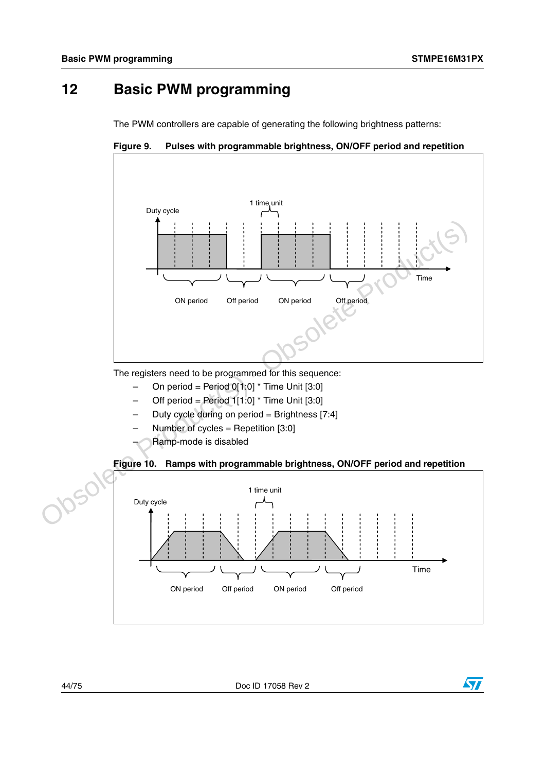# **12 Basic PWM programming**

The PWM controllers are capable of generating the following brightness patterns:





The registers need to be programmed for this sequence:

- On period = Period  $0[1:0]$  \* Time Unit [3:0]
- Off period = Period  $1[1:0]$  \* Time Unit [3:0]
- Duty cycle during on period = Brightness  $[7:4]$
- Number of cycles = Repetition  $[3:0]$
- Ramp-mode is disabled





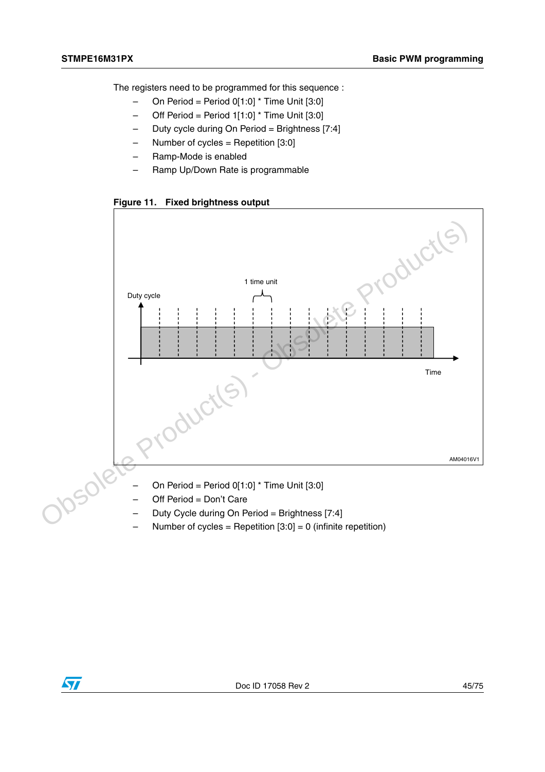The registers need to be programmed for this sequence :

- $-$  On Period = Period 0[1:0] \* Time Unit [3:0]
- $-$  Off Period = Period 1[1:0]  $*$  Time Unit [3:0]
- Duty cycle during On Period = Brightness [7:4]
- Number of cycles = Repetition  $[3:0]$
- Ramp-Mode is enabled
- Ramp Up/Down Rate is programmable

**Figure 11. Fixed brightness output**



- On Period = Period  $0[1:0]$  \* Time Unit  $[3:0]$
- Off Period = Don't Care
- Duty Cycle during On Period = Brightness [7:4]
- Number of cycles = Repetition  $[3:0] = 0$  (infinite repetition)

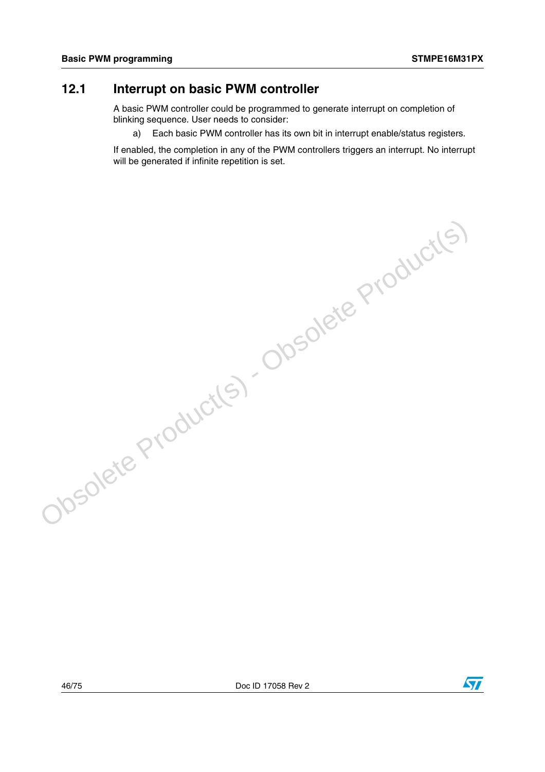## **12.1 Interrupt on basic PWM controller**

A basic PWM controller could be programmed to generate interrupt on completion of blinking sequence. User needs to consider:

a) Each basic PWM controller has its own bit in interrupt enable/status registers.

If enabled, the completion in any of the PWM controllers triggers an interrupt. No interrupt will be generated if infinite repetition is set.

Obsolete Product(s) - Obsolete Product(s)

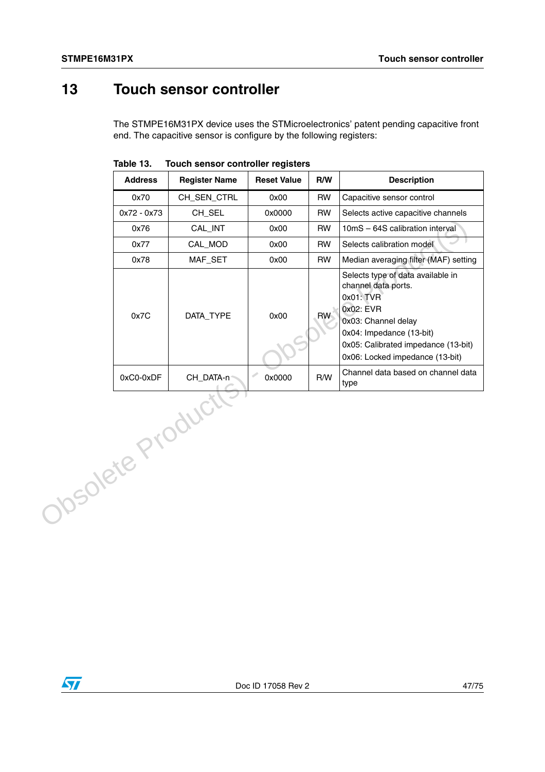# **13 Touch sensor controller**

The STMPE16M31PX device uses the STMicroelectronics' patent pending capacitive front end. The capacitive sensor is configure by the following registers:

|                  | <b>Address</b> | <b>Register Name</b> | <b>Reset Value</b> | R/W       | <b>Description</b>                                                                                                                                                                                              |
|------------------|----------------|----------------------|--------------------|-----------|-----------------------------------------------------------------------------------------------------------------------------------------------------------------------------------------------------------------|
|                  | 0x70           | CH_SEN_CTRL          | 0x00               | <b>RW</b> | Capacitive sensor control                                                                                                                                                                                       |
|                  | 0x72 - 0x73    | CH_SEL               | 0x0000             | <b>RW</b> | Selects active capacitive channels                                                                                                                                                                              |
|                  | 0x76           | CAL_INT              | 0x00               | <b>RW</b> | 10mS - 64S calibration interval                                                                                                                                                                                 |
|                  | 0x77           | CAL_MOD              | 0x00               | <b>RW</b> | Selects calibration model                                                                                                                                                                                       |
|                  | 0x78           | MAF_SET              | 0x00               | <b>RW</b> | Median averaging filter (MAF) setting                                                                                                                                                                           |
|                  | 0x7C           | DATA_TYPE            | 0x00               | <b>RW</b> | Selects type of data available in<br>channel data ports.<br>0x01: TVR<br>0x02: EVR<br>0x03: Channel delay<br>0x04: Impedance (13-bit)<br>0x05: Calibrated impedance (13-bit)<br>0x06: Locked impedance (13-bit) |
|                  | 0xC0-0xDF      | CH_DATA-n            | Í<br>0x0000        | R/W       | Channel data based on channel data<br>type                                                                                                                                                                      |
| Josolete Product |                |                      |                    |           |                                                                                                                                                                                                                 |

**Table 13. Touch sensor controller registers**

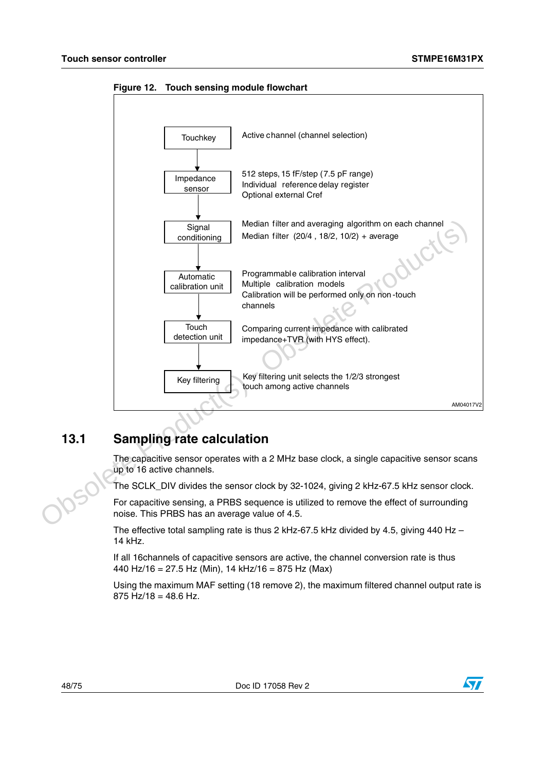

**Figure 12. Touch sensing module flowchart**

# **13.1 Sampling rate calculation**

The capacitive sensor operates with a 2 MHz base clock, a single capacitive sensor scans up to 16 active channels.

The SCLK\_DIV divides the sensor clock by 32-1024, giving 2 kHz-67.5 kHz sensor clock.

For capacitive sensing, a PRBS sequence is utilized to remove the effect of surrounding noise. This PRBS has an average value of 4.5.

The effective total sampling rate is thus 2 kHz-67.5 kHz divided by 4.5, giving 440 Hz  $-$ 14 kHz.

If all 16channels of capacitive sensors are active, the channel conversion rate is thus 440 Hz/16 = 27.5 Hz (Min), 14 kHz/16 = 875 Hz (Max)

Using the maximum MAF setting (18 remove 2), the maximum filtered channel output rate is  $875$  Hz/18 = 48.6 Hz.

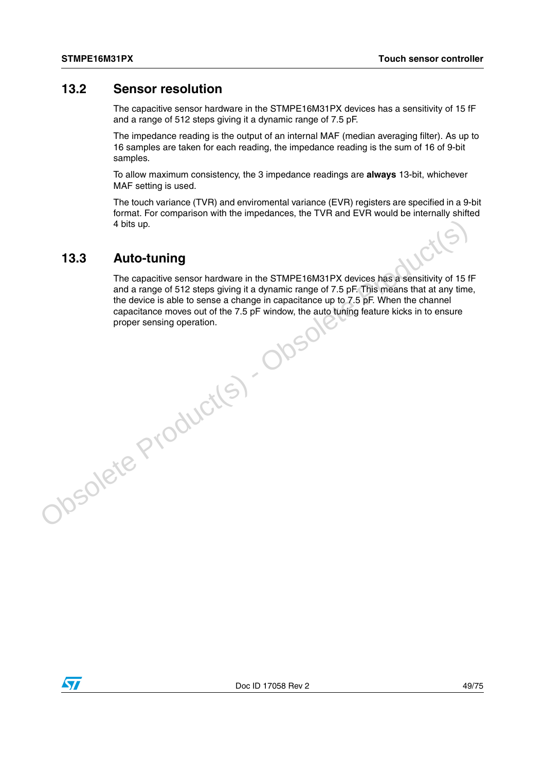## **13.2 Sensor resolution**

The capacitive sensor hardware in the STMPE16M31PX devices has a sensitivity of 15 fF and a range of 512 steps giving it a dynamic range of 7.5 pF.

The impedance reading is the output of an internal MAF (median averaging filter). As up to 16 samples are taken for each reading, the impedance reading is the sum of 16 of 9-bit samples.

To allow maximum consistency, the 3 impedance readings are **always** 13-bit, whichever MAF setting is used.

The touch variance (TVR) and enviromental variance (EVR) registers are specified in a 9-bit format. For comparison with the impedances, the TVR and EVR would be internally shifted 4 bits up.

## **13.3 Auto-tuning**

The capacitive sensor hardware in the STMPE16M31PX devices has a sensitivity of 15 fF and a range of 512 steps giving it a dynamic range of 7.5 pF. This means that at any time, the device is able to sense a change in capacitance up to 7.5 pF. When the channel capacitance moves out of the 7.5 pF window, the auto tuning feature kicks in to ensure proper sensing operation.4 bits up.<br>
The capacitive sensor hardware in the STMPE16M31PX devices has a sensitivity of 15<br>
and a range of 512 steps giving it a dynamic range of 7.5 pF. This means that at any time<br>
the device is able to sense a chan

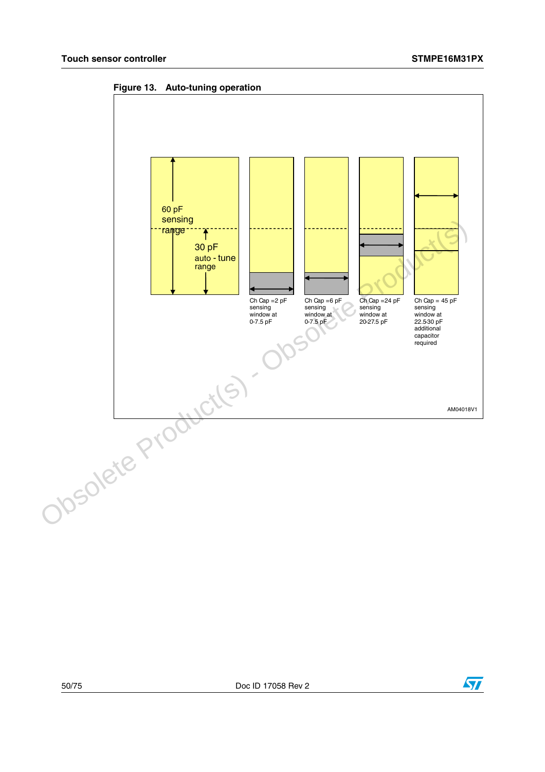**Figure 13. Auto-tuning operation**



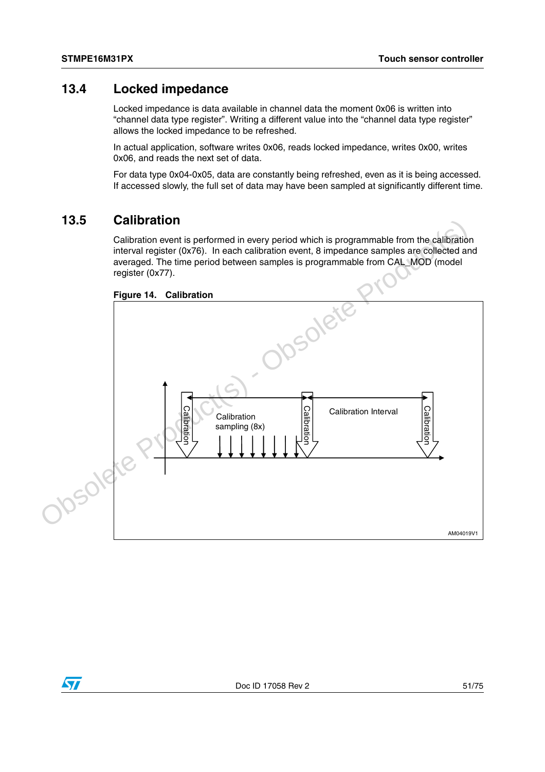## **13.4 Locked impedance**

Locked impedance is data available in channel data the moment 0x06 is written into "channel data type register". Writing a different value into the "channel data type register" allows the locked impedance to be refreshed.

In actual application, software writes 0x06, reads locked impedance, writes 0x00, writes 0x06, and reads the next set of data.

For data type 0x04-0x05, data are constantly being refreshed, even as it is being accessed. If accessed slowly, the full set of data may have been sampled at significantly different time.

## **13.5 Calibration**

Calibration event is performed in every period which is programmable from the calibration interval register (0x76). In each calibration event, 8 impedance samples are collected and averaged. The time period between samples is programmable from CAL\_MOD (model register (0x77).



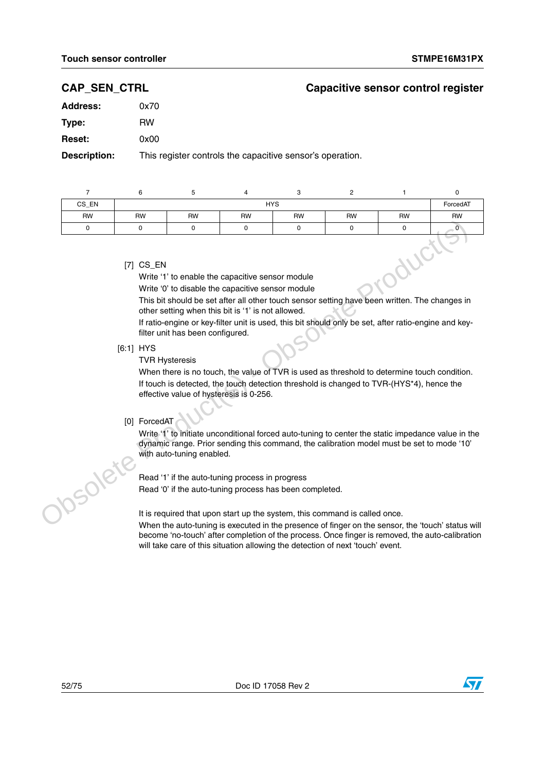### **CAP\_SEN\_CTRL Capacitive sensor control register**

| 0x70 |
|------|
| RW   |
| 0x00 |
|      |

**Description:** This register controls the capacitive sensor's operation.

| CS_EN                                                           |           | <b>HYS</b> |           |           |           |           |           |  |  |
|-----------------------------------------------------------------|-----------|------------|-----------|-----------|-----------|-----------|-----------|--|--|
| <b>RW</b>                                                       | <b>RW</b> | <b>RW</b>  | <b>RW</b> | <b>RW</b> | <b>RW</b> | <b>RW</b> | <b>RW</b> |  |  |
| O                                                               |           |            |           |           |           |           |           |  |  |
| $[7]$ CS_EN<br>Write '1' to enable the capacitive sensor module |           |            |           |           |           |           |           |  |  |

Write '0' to disable the capacitive sensor module

This bit should be set after all other touch sensor setting have been written. The changes in other setting when this bit is '1' is not allowed.

If ratio-engine or key-filter unit is used, this bit should only be set, after ratio-engine and keyfilter unit has been configured.

[6:1] HYS

TVR Hysteresis

When there is no touch, the value of TVR is used as threshold to determine touch condition. If touch is detected, the touch detection threshold is changed to TVR-(HYS\*4), hence the effective value of hysteresis is 0-256. Controller Controller Controller Controller Controller Controller Controller Controller Controller Controller Controller Controller Controller Controller Controller Controller Controller Controller Controller Controller Co

#### [0] ForcedAT

Write '1' to initiate unconditional forced auto-tuning to center the static impedance value in the dynamic range. Prior sending this command, the calibration model must be set to mode '10' with auto-tuning enabled.

Read '1' if the auto-tuning process in progress Read '0' if the auto-tuning process has been completed.

It is required that upon start up the system, this command is called once.

When the auto-tuning is executed in the presence of finger on the sensor, the 'touch' status will become 'no-touch' after completion of the process. Once finger is removed, the auto-calibration will take care of this situation allowing the detection of next 'touch' event.

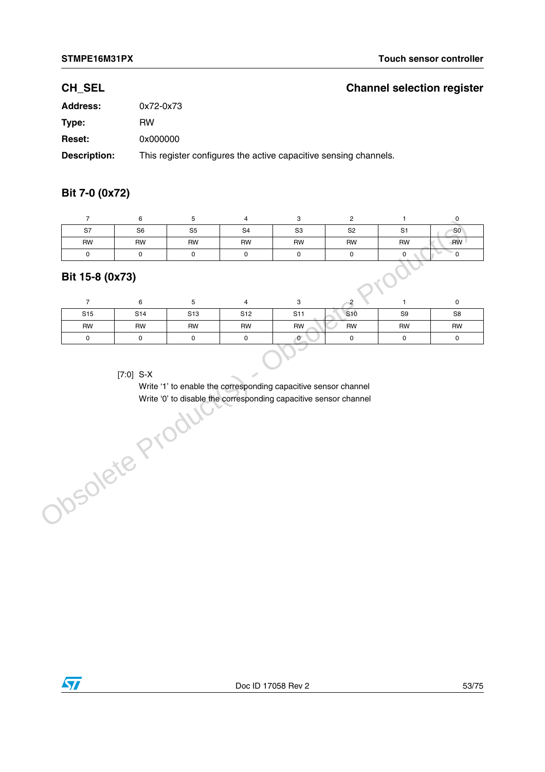## **CH\_SEL Channel selection register**

| <b>Address:</b>     | 0x72-0x73                                                        |
|---------------------|------------------------------------------------------------------|
| Type:               | RW                                                               |
| <b>Reset:</b>       | 0x000000                                                         |
| <b>Description:</b> | This register configures the active capacitive sensing channels. |

### **Bit 7-0 (0x72)**

| S7        | S <sub>6</sub> | S <sub>5</sub> | S <sub>4</sub> | S <sub>3</sub> | S <sub>2</sub> | S <sub>1</sub> | SO <sub>2</sub> |
|-----------|----------------|----------------|----------------|----------------|----------------|----------------|-----------------|
| <b>RW</b> | <b>RW</b>      | <b>RW</b>      | <b>RW</b>      | <b>RW</b>      | <b>RW</b>      | <b>RW</b>      | <b>RW</b>       |
|           |                |                |                |                |                |                |                 |

## **Bit 15-8 (0x73)**

| S <sub>15</sub> | S <sub>14</sub> | S <sub>13</sub> | S12 | S <sub>11</sub> | S <sub>10</sub> | S9        | S <sub>8</sub> |
|-----------------|-----------------|-----------------|-----|-----------------|-----------------|-----------|----------------|
| RW              | RW              | RW              | RW  | <b>RW</b>       | <b>RW</b>       | <b>RW</b> | <b>RW</b>      |
|                 |                 |                 |     | 0               |                 |           |                |

#### [7:0] S-X

Write '1' to enable the corresponding capacitive sensor channel Write '0' to disable the corresponding capacitive sensor channel[7:0] S-X<br>Write '1' to enable the corresponding capace<br>Write '0' to disable the corresponding capace<br>Obsolete Product (S)

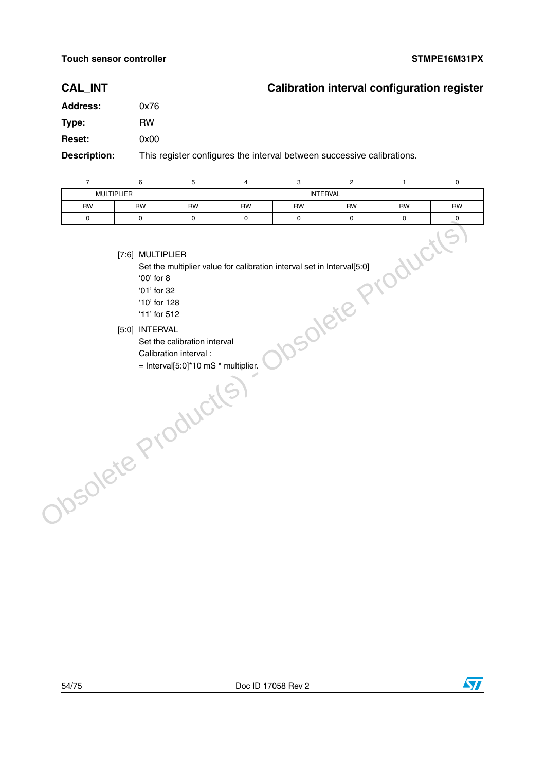## **CAL\_INT Calibration interval configuration register**

| <b>Address:</b> | 0x76                              |
|-----------------|-----------------------------------|
| Type:           | <b>RW</b>                         |
| <b>Reset:</b>   | 0x00                              |
|                 | This register configures the inte |

**Description:** This register configures the interval between successive calibrations.

|           | <b>MULTIPLIER</b> |           |    | <b>INTERVAL</b> |           |           |           |
|-----------|-------------------|-----------|----|-----------------|-----------|-----------|-----------|
| <b>RW</b> | RW                | <b>RW</b> | RW | <b>RW</b>       | <b>RW</b> | <b>RW</b> | <b>RW</b> |
|           |                   |           |    |                 |           |           |           |

[7:6] MULTIPLIER

Set the multiplier value for calibration interval set in Interval[5:0]

'00' for 8 '01' for 32

'10' for 128

'11' for 512

- [5:0] INTERVAL
	- Set the calibration interval

Calibration interval :

= Interval[5:0]\*10 mS \* multiplier.Obsolete Product(s)



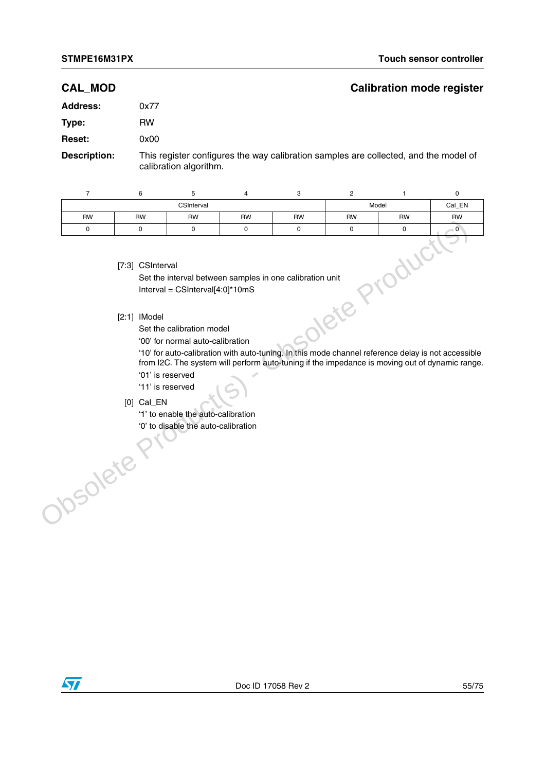#### **CAL\_MOD Calibration mode register**

# **Address:** 0x77 **Type:** RW **Reset:** 0x00

**Description:** This register configures the way calibration samples are collected, and the model of calibration algorithm.

| $\overline{7}$  | 6                                                                                          | 5                                                                                                                                                                                                                                            | 4         | 3         | $\overline{2}$                                                                                               | $\mathbf{1}$ | $\pmb{0}$                                                                                           |
|-----------------|--------------------------------------------------------------------------------------------|----------------------------------------------------------------------------------------------------------------------------------------------------------------------------------------------------------------------------------------------|-----------|-----------|--------------------------------------------------------------------------------------------------------------|--------------|-----------------------------------------------------------------------------------------------------|
| CSInterval      |                                                                                            |                                                                                                                                                                                                                                              |           |           | Model                                                                                                        | Cal_EN       |                                                                                                     |
| <b>RW</b>       | <b>RW</b>                                                                                  | <b>RW</b>                                                                                                                                                                                                                                    | <b>RW</b> | <b>RW</b> | <b>RW</b>                                                                                                    | <b>RW</b>    | <b>RW</b>                                                                                           |
| 0               | 0                                                                                          | 0                                                                                                                                                                                                                                            | 0         | 0         | 0                                                                                                            | 0            | $\overline{0}$                                                                                      |
| <b>70SOlete</b> | [7:3] CSInterval<br>$[2:1]$ IModel<br>'01' is reserved<br>'11' is reserved<br>$[0]$ Cal_EN | Set the interval between samples in one calibration unit<br>Interval = $CSInterval[4:0]^*10mS$<br>Set the calibration model<br>'00' for normal auto-calibration<br>'1' to enable the auto-calibration<br>'0' to disable the auto-calibration |           |           | Oletep<br>'10' for auto-calibration with auto-tuning. In this mode channel reference delay is not accessible | oduct        | ृ<br>from I2C. The system will perform auto-tuning if the impedance is moving out of dynamic range. |

#### [7:3] CSInterval

#### [2:1] IModel

- '01' is reserved
- '11' is reserved
- [0] Cal\_EN

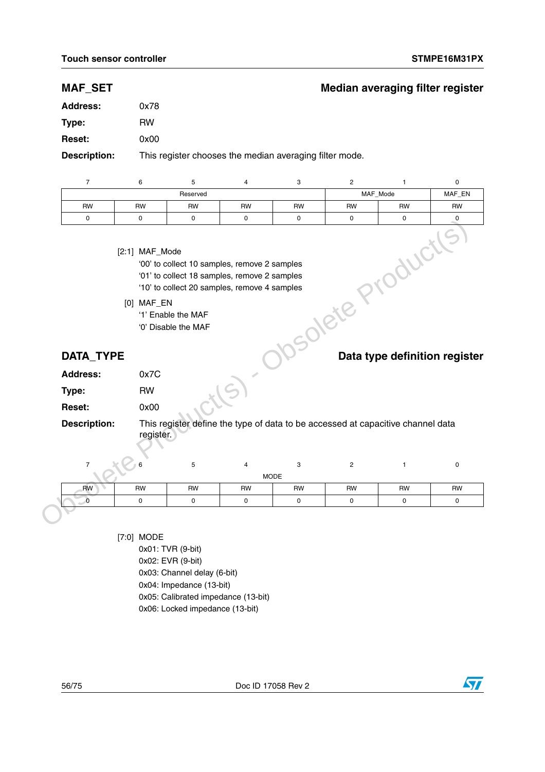## **MAF\_SET Median averaging filter register**

| <b>Address:</b>                       | 0x78       |                                           |                                                                                              |           |                         |              |                                            |
|---------------------------------------|------------|-------------------------------------------|----------------------------------------------------------------------------------------------|-----------|-------------------------|--------------|--------------------------------------------|
| Type:                                 | <b>RW</b>  |                                           |                                                                                              |           |                         |              |                                            |
| <b>Reset:</b>                         | 0x00       |                                           |                                                                                              |           |                         |              |                                            |
| <b>Description:</b>                   |            |                                           | This register chooses the median averaging filter mode.                                      |           |                         |              |                                            |
|                                       |            |                                           |                                                                                              |           |                         |              |                                            |
| $\overline{7}$                        | 6          | 5                                         | $\overline{\mathbf{4}}$                                                                      | 3         | $\overline{c}$          | $\mathbf{1}$ | $\pmb{0}$                                  |
|                                       |            | Reserved                                  |                                                                                              |           |                         | MAF_Mode     | MAF_EN                                     |
| <b>RW</b>                             | <b>RW</b>  | <b>RW</b>                                 | <b>RW</b>                                                                                    | <b>RW</b> | <b>RW</b>               | <b>RW</b>    | RW                                         |
| $\mathbf 0$                           | 0          | $\pmb{0}$                                 | $\mathsf 0$                                                                                  | 0         | 0                       | $\mathbf 0$  | $\mathbf 0$                                |
|                                       | [0] MAF_EN |                                           | '01' to collect 18 samples, remove 2 samples<br>'10' to collect 20 samples, remove 4 samples |           |                         |              |                                            |
|                                       |            | '1' Enable the MAF<br>'0' Disable the MAF |                                                                                              |           |                         |              |                                            |
| <b>DATA_TYPE</b>                      |            |                                           |                                                                                              |           | Solete Products         |              |                                            |
|                                       | 0x7C       |                                           |                                                                                              |           |                         |              |                                            |
| <b>Address:</b><br>Type:              | <b>RW</b>  |                                           |                                                                                              |           |                         |              |                                            |
| <b>Reset:</b>                         | 0x00       |                                           |                                                                                              |           |                         |              |                                            |
|                                       | register.  |                                           | This register define the type of data to be accessed at capacitive channel data              |           |                         |              |                                            |
| <b>Description:</b><br>$\overline{7}$ |            |                                           |                                                                                              |           |                         |              |                                            |
|                                       |            | 5                                         | $\overline{\mathbf{4}}$<br><b>MODE</b>                                                       | 3         | $\overline{\mathbf{c}}$ | $\mathbf{1}$ | 0                                          |
| <b>RW</b>                             | <b>RW</b>  | <b>RW</b>                                 | <b>RW</b>                                                                                    | <b>RW</b> | <b>RW</b>               | RW           | Data type definition register<br><b>RW</b> |

| Auuress.            | <b>UXI U</b>                                                                    |
|---------------------|---------------------------------------------------------------------------------|
| Type:               | RW                                                                              |
| <b>Reset:</b>       | 0x00                                                                            |
| <b>Description:</b> | This register define the type of data to be accessed at capacitive channel data |

- [7:0] MODE
	- 0x01: TVR (9-bit)

- 0x02: EVR (9-bit)
- 0x03: Channel delay (6-bit)
- 0x04: Impedance (13-bit)
- 0x05: Calibrated impedance (13-bit)
- 0x06: Locked impedance (13-bit)

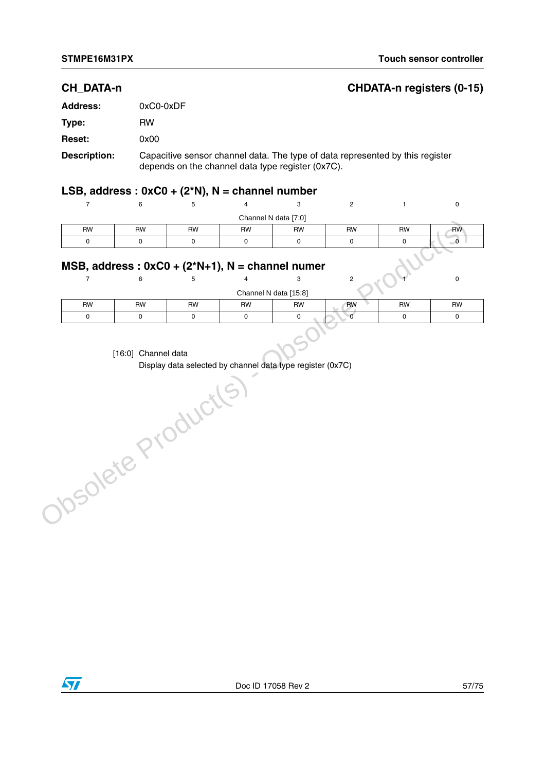## **CH\_DATA-n CHDATA-n registers (0-15)**

| <b>Address:</b>     | $0xC0-0xDF$                                                                                                                        |
|---------------------|------------------------------------------------------------------------------------------------------------------------------------|
| Type:               | RW                                                                                                                                 |
| <b>Reset:</b>       | 0x00                                                                                                                               |
| <b>Description:</b> | Capacitive sensor channel data. The type of data represented by this register<br>depends on the channel data type register (0x7C). |

## **LSB, address : 0xC0 + (2\*N), N = channel number**

|                                                    |           |           |           | Channel N data [7:0] |           |           |           |
|----------------------------------------------------|-----------|-----------|-----------|----------------------|-----------|-----------|-----------|
| <b>RW</b>                                          | <b>RW</b> | <b>RW</b> | <b>RW</b> | <b>RW</b>            | <b>RW</b> | <b>RW</b> | <b>RW</b> |
|                                                    |           |           |           |                      |           |           |           |
| MSB, address: $0xC0 + (2*N+1)$ , N = channel numer |           |           |           |                      |           |           |           |
|                                                    |           |           |           |                      |           |           |           |

### **MSB, address : 0xC0 + (2\*N+1), N = channel numer**

|                       |           |           |           | Channel N data [15:8] |           |           |           |
|-----------------------|-----------|-----------|-----------|-----------------------|-----------|-----------|-----------|
| <b>RW</b>             | <b>RW</b> | <b>RW</b> | <b>RW</b> | RW                    | <b>RW</b> | <b>RW</b> | <b>RW</b> |
|                       |           |           |           |                       |           |           |           |
| $[16.0]$ Channol data |           |           |           |                       |           |           |           |

#### [16:0] Channel data

Display data selected by channel data type register (0x7C)Obsolete Product(s)

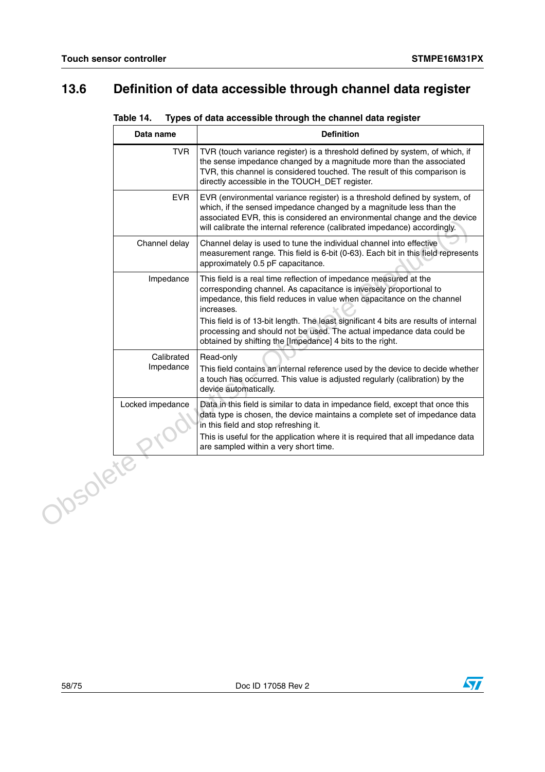# **13.6 Definition of data accessible through channel data register**

| Table 14. | Types of data accessible through the channel data register |  |
|-----------|------------------------------------------------------------|--|
|           |                                                            |  |

|          | Data name               | <b>Definition</b>                                                                                                                                                                                                                                                                                                       |
|----------|-------------------------|-------------------------------------------------------------------------------------------------------------------------------------------------------------------------------------------------------------------------------------------------------------------------------------------------------------------------|
|          | <b>TVR</b>              | TVR (touch variance register) is a threshold defined by system, of which, if<br>the sense impedance changed by a magnitude more than the associated<br>TVR, this channel is considered touched. The result of this comparison is<br>directly accessible in the TOUCH_DET register.                                      |
|          | <b>EVR</b>              | EVR (environmental variance register) is a threshold defined by system, of<br>which, if the sensed impedance changed by a magnitude less than the<br>associated EVR, this is considered an environmental change and the device<br>will calibrate the internal reference (calibrated impedance) accordingly.             |
|          | Channel delay           | Channel delay is used to tune the individual channel into effective<br>measurement range. This field is 6-bit (0-63). Each bit in this field represents<br>approximately 0.5 pF capacitance.                                                                                                                            |
|          | Impedance               | This field is a real time reflection of impedance measured at the<br>corresponding channel. As capacitance is inversely proportional to<br>impedance, this field reduces in value when capacitance on the channel<br>increases.<br>This field is of 13-bit length. The least significant 4 bits are results of internal |
|          |                         | processing and should not be used. The actual impedance data could be<br>obtained by shifting the [Impedance] 4 bits to the right.                                                                                                                                                                                      |
|          | Calibrated<br>Impedance | Read-only<br>This field contains an internal reference used by the device to decide whether<br>a touch has occurred. This value is adjusted regularly (calibration) by the<br>device automatically.                                                                                                                     |
|          | Locked impedance        | Data in this field is similar to data in impedance field, except that once this<br>data type is chosen, the device maintains a complete set of impedance data<br>in this field and stop refreshing it.                                                                                                                  |
|          |                         | This is useful for the application where it is required that all impedance data<br>are sampled within a very short time.                                                                                                                                                                                                |
| Josolete |                         |                                                                                                                                                                                                                                                                                                                         |

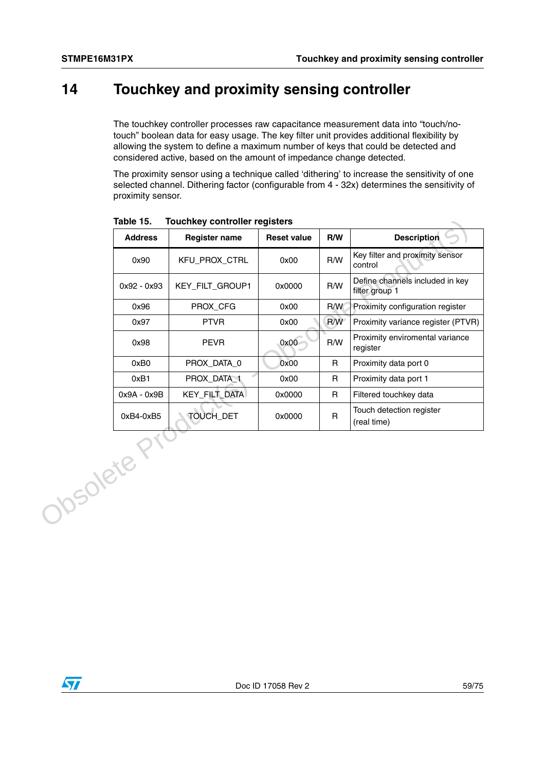# **14 Touchkey and proximity sensing controller**

The touchkey controller processes raw capacitance measurement data into "touch/notouch" boolean data for easy usage. The key filter unit provides additional flexibility by allowing the system to define a maximum number of keys that could be detected and considered active, based on the amount of impedance change detected.

The proximity sensor using a technique called 'dithering' to increase the sensitivity of one selected channel. Dithering factor (configurable from 4 - 32x) determines the sensitivity of proximity sensor.

| Table 15.      | Touchkey controller registers |                    |              |                                                   |
|----------------|-------------------------------|--------------------|--------------|---------------------------------------------------|
| <b>Address</b> | <b>Register name</b>          | <b>Reset value</b> | R/W          | <b>Description</b>                                |
| 0x90           | KFU_PROX_CTRL                 | 0x00               | R/W          | Key filter and proximity sensor<br>control        |
| 0x92 - 0x93    | KEY_FILT_GROUP1               | 0x0000             | R/W          | Define channels included in key<br>filter group 1 |
| 0x96           | PROX_CFG                      | 0x00               | R/W          | Proximity configuration register                  |
| 0x97           | <b>PTVR</b>                   | 0x00               | R/W          | Proximity variance register (PTVR)                |
| 0x98           | <b>PEVR</b>                   | 0x00               | R/W          | Proximity enviromental variance<br>register       |
| 0xB0           | PROX_DATA_0                   | 0x00               | $\mathsf{R}$ | Proximity data port 0                             |
| 0xB1           | PROX_DATA_1                   | 0x00               | $\mathsf{R}$ | Proximity data port 1                             |
| 0x9A - 0x9B    | KEY_FILT_DATA                 | 0x0000             | R            | Filtered touchkey data                            |
| 0xB4-0xB5      | <b>TOUCH DET</b>              | 0x0000             | $\mathsf{R}$ | Touch detection register<br>(real time)           |
| Josdete F      |                               |                    |              |                                                   |

**Table 15. Touchkey controller registers**

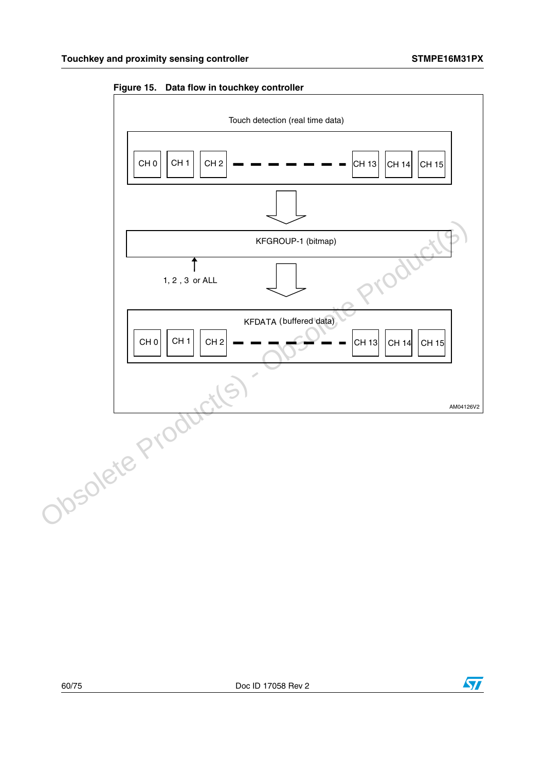

**Figure 15. Data flow in touchkey controller**



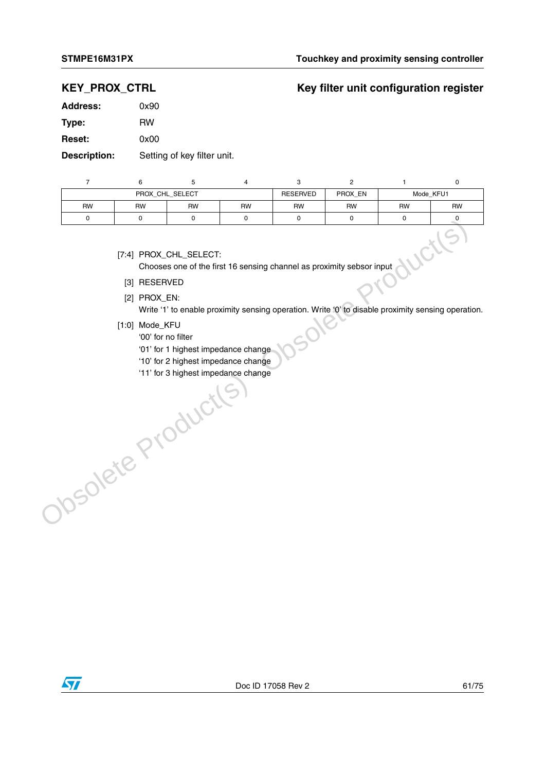## **KEY\_PROX\_CTRL Key filter unit configuration register**

| <b>Address:</b> | 0x90 |  |
|-----------------|------|--|
| Type:           | RW   |  |
| <b>Reset:</b>   | 0x00 |  |
|                 |      |  |

**Description:** Setting of key filter unit.

| PROX_CHL_SELECT |           |           | <b>RESERVED</b> | PROX_EN   | Mode_KFU1 |           |           |
|-----------------|-----------|-----------|-----------------|-----------|-----------|-----------|-----------|
| <b>RW</b>       | <b>RW</b> | <b>RW</b> | <b>RW</b>       | <b>RW</b> | <b>RW</b> | <b>RW</b> | <b>RW</b> |
|                 |           |           |                 |           |           |           |           |

[7:4] PROX\_CHL\_SELECT:

CHO CHOOSES ONE OF THE SELECT:<br>Chooses one of the first 16 sensing channel as proximity sebsor input<br>PROX\_EN:

- [3] RESERVED
- [2] PROX\_EN:

Write '1' to enable proximity sensing operation. Write '0' to disable proximity sensing operation.

- [1:0] Mode\_KFU
	- '00' for no filter
	- '01' for 1 highest impedance change
- '10' for 2 highest impedance change Josolete Product(s)
	- '11' for 3 highest impedance change

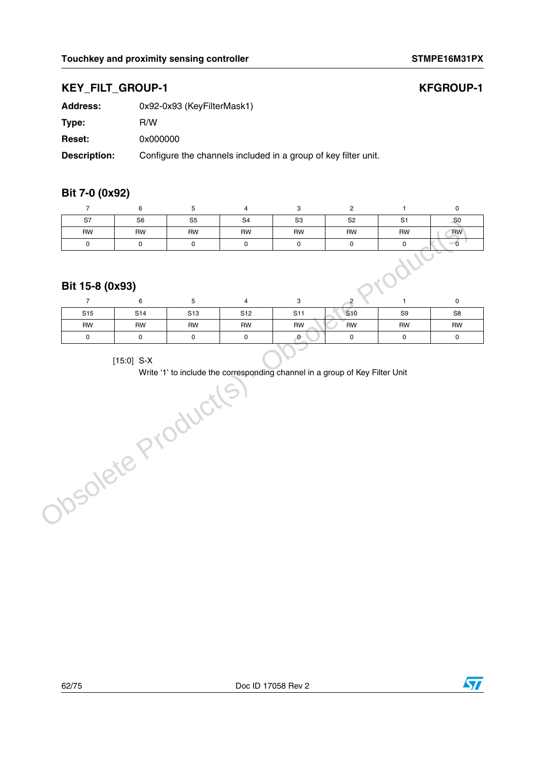## **KEY\_FILT\_GROUP-1**

| <b>KFGROUP-1</b> |  |
|------------------|--|
|------------------|--|

| Address:      | 0x92-0x93 (KeyFilterMask1)     |
|---------------|--------------------------------|
| Type:         | R/W                            |
| <b>Reset:</b> | 0x000000                       |
| Description:  | Configure the channels include |

**Description:** Configure the channels included in a group of key filter unit.

### **Bit 7-0 (0x92)**

| S7 | S <sub>6</sub> | S <sub>5</sub> | S <sub>4</sub> | S <sub>3</sub> | S <sub>2</sub> | $\sim$<br>ັ | $-$ SO    |
|----|----------------|----------------|----------------|----------------|----------------|-------------|-----------|
| RW | RW             | <b>RW</b>      | <b>RW</b>      | RW             | <b>RW</b>      | RW          | <b>RW</b> |
|    |                |                |                |                |                |             |           |

### **Bit 15-8 (0x93)**

|                 | $\sim$ $\sim$   |                 |                 |                 |                 |                |                |
|-----------------|-----------------|-----------------|-----------------|-----------------|-----------------|----------------|----------------|
| S <sub>15</sub> | S <sub>14</sub> | S <sub>13</sub> | S <sub>12</sub> | S <sub>11</sub> | S <sub>10</sub> | S <sub>9</sub> | S <sub>8</sub> |
| <b>RW</b>       | <b>RW</b>       | <b>RW</b>       | <b>RW</b>       | <b>RW</b>       | <b>RW</b>       | <b>RW</b>      | <b>RW</b>      |
|                 |                 |                 |                 | U.              |                 |                |                |

[15:0] S-X

Write '1' to include the corresponding channel in a group of Key Filter UnitObsolete Producte

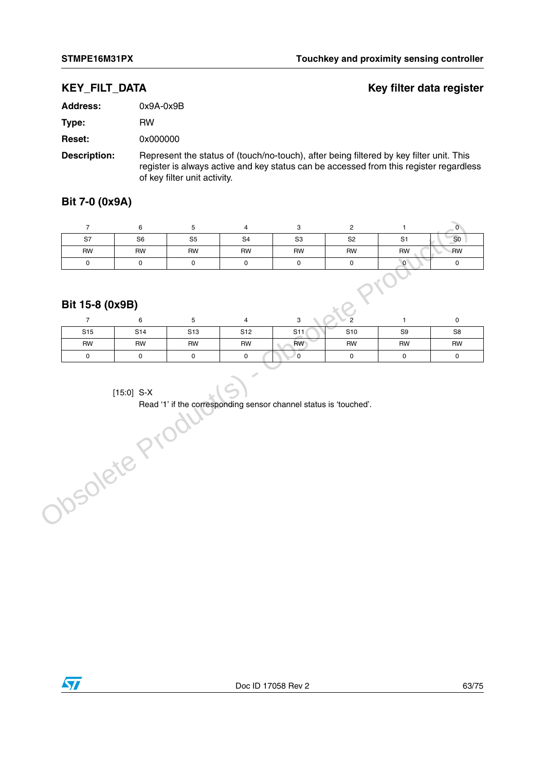## **KEY\_FILT\_DATA Key filter data register**

| <b>Address:</b>     | $0x9A-0x9B$                                                                                                                                                                                                       |
|---------------------|-------------------------------------------------------------------------------------------------------------------------------------------------------------------------------------------------------------------|
| Type:               | <b>RW</b>                                                                                                                                                                                                         |
| <b>Reset:</b>       | 0x000000                                                                                                                                                                                                          |
| <b>Description:</b> | Represent the status of (touch/no-touch), after being filtered by key filter unit. This<br>register is always active and key status can be accessed from this register regardless<br>of key filter unit activity. |

**Bit 7-0 (0x9A)**

| S7        | S <sub>6</sub> | S <sub>5</sub> | S <sub>4</sub> | S <sub>3</sub> | S <sub>2</sub> | S1        | S <sub>0</sub> |
|-----------|----------------|----------------|----------------|----------------|----------------|-----------|----------------|
| <b>RW</b> | RW             | <b>RW</b>      | <b>RW</b>      | <b>RW</b>      | <b>RW</b>      | <b>RW</b> | <b>RW</b>      |
|           |                |                |                |                |                | $\sim$    |                |

### **Bit 15-8 (0x9B)**

| S <sub>15</sub> | S <sub>14</sub> | S <sub>13</sub> | S <sub>12</sub> | S11 | S <sub>10</sub> | S <sub>9</sub> | S8        |
|-----------------|-----------------|-----------------|-----------------|-----|-----------------|----------------|-----------|
| <b>RW</b>       | <b>RW</b>       | RW              | <b>RW</b>       | RW  | <b>RW</b>       | <b>RW</b>      | <b>RW</b> |
|                 |                 |                 |                 |     |                 |                |           |

[15:0] S-X

Read '1' if the corresponding sensor channel status is 'touched'.[15:0] S-X<br>Read '1' if the corresponding sen

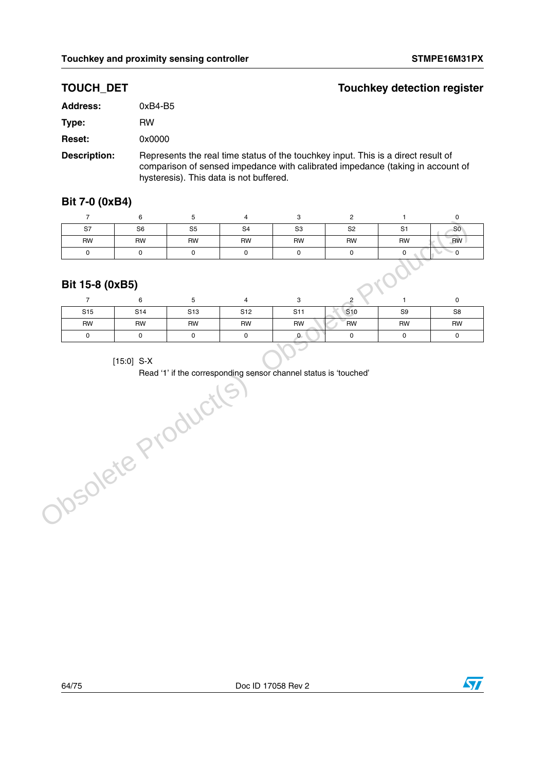## **TOUCH\_DET Touchkey detection register**

| <b>Address:</b> | 0xB4-B5                                                                           |
|-----------------|-----------------------------------------------------------------------------------|
| Type:           | RW                                                                                |
| <b>Reset:</b>   | 0x0000                                                                            |
| Description:    | Represents the real time status of the touchkey input. This is a direct result of |

comparison of sensed impedance with calibrated impedance (taking in account of hysteresis). This data is not buffered.

### **Bit 7-0 (0xB4)**

| S7        | S <sub>6</sub> | S <sub>5</sub> | S <sub>4</sub> | S <sub>3</sub> | S <sub>2</sub> | S <sub>1</sub> | S <sub>0</sub> |
|-----------|----------------|----------------|----------------|----------------|----------------|----------------|----------------|
| <b>RW</b> | RW             | <b>RW</b>      | <b>RW</b>      | RW             | <b>RW</b>      | RW             | <b>RW</b>      |
|           |                |                |                |                |                |                |                |

### **Bit 15-8 (0xB5)**

| S <sub>15</sub> | S14       | S <sub>13</sub> | S <sub>12</sub> | S <sub>11</sub> | S <sub>10</sub> | S <sub>9</sub> | S <sub>8</sub> |
|-----------------|-----------|-----------------|-----------------|-----------------|-----------------|----------------|----------------|
| <b>RW</b>       | <b>RW</b> | <b>RW</b>       | <b>RW</b>       | <b>RW</b>       | RW              | <b>RW</b>      | <b>RW</b>      |
|                 |           |                 |                 |                 |                 |                |                |
|                 |           |                 |                 |                 |                 |                |                |

[15:0] S-X

Read '1' if the corresponding sensor channel status is 'touched'Obsolete Product(S

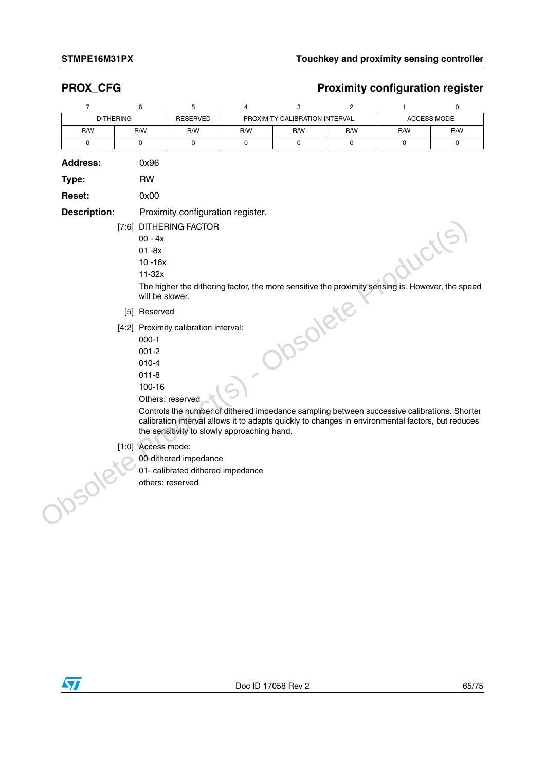## **PROX\_CFG** PROX\_CFG

|     | PROXIMITY CALIBRATION INTERVAL<br><b>DITHERING</b><br><b>RESERVED</b> |     |     |            | <b>ACCESS MODE</b> |     |     |
|-----|-----------------------------------------------------------------------|-----|-----|------------|--------------------|-----|-----|
| R/W | R/W                                                                   | R/W | R/W | R/W<br>R/W |                    | R/W | R/W |
|     |                                                                       |     |     |            |                    |     |     |

| 0x96                                                                                                                                                                                                                                                                                                                                                                                 |
|--------------------------------------------------------------------------------------------------------------------------------------------------------------------------------------------------------------------------------------------------------------------------------------------------------------------------------------------------------------------------------------|
| <b>RW</b>                                                                                                                                                                                                                                                                                                                                                                            |
| 0x00                                                                                                                                                                                                                                                                                                                                                                                 |
| Proximity configuration register.                                                                                                                                                                                                                                                                                                                                                    |
| [7:6] DITHERING FACTOR<br>$00 - 4x$<br>WCtl<br>$01 - 8x$<br>$10 - 16x$<br>$11-32x$                                                                                                                                                                                                                                                                                                   |
| The higher the dithering factor, the more sensitive the proximity sensing is. However, the speed<br>will be slower.                                                                                                                                                                                                                                                                  |
| [5] Reserved                                                                                                                                                                                                                                                                                                                                                                         |
| Solett<br>[4:2] Proximity calibration interval:<br>$000 - 1$<br>$001 - 2$<br>$010 - 4$<br>$011 - 8$<br>100-16<br>Others: reserved<br>Controls the number of dithered impedance sampling between successive calibrations. Shorter<br>calibration interval allows it to adapts quickly to changes in environmental factors, but reduces<br>the sensitivity to slowly approaching hand. |
| [1:0] Access mode:<br>00-dithered impedance<br>01- calibrated dithered impedance<br>others: reserved                                                                                                                                                                                                                                                                                 |
|                                                                                                                                                                                                                                                                                                                                                                                      |

- $[1:0] \,\text{Access mode:} \,\, 00\text{-dithered im} \,\, 01\text{-calibrated} \,\, 00\text{-dithered in} \,\, 01\text{-calibrated} \,\, 01\text{-caled there.} \,\, 02\text{-valibrated} \,\, 01\text{-caled there.} \,\, 02\text{-valated} \,\, 01\text{-caled here.} \,\, 02\text{-valued} \,\, 01\text{-caled here.} \,\, 03\text{-valued} \,\, 04\text{-valued} \,\, 01\text{-valized} \,\, 01\text{-valized} \,\, 01\text{-valued} \,\,$ 
	- 00-dithered impedance
	- 01- calibrated dithered impedance
	- others: reserved

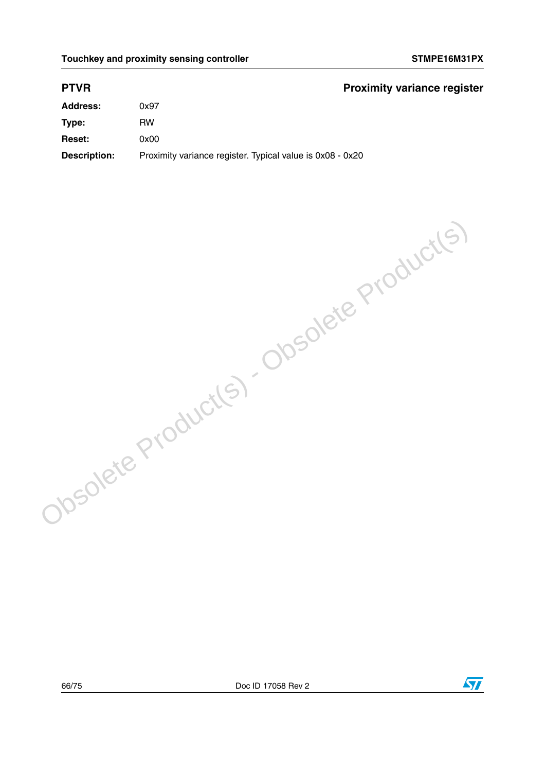### **PTVR Proximity variance register**

| <b>Address:</b> | -<br>0x97 |
|-----------------|-----------|
| Type:           | <b>RW</b> |
| Reset:          | 0x00      |

Obsolete Product(s) - Obsolete Product(s)

**Description:** Proximity variance register. Typical value is 0x08 - 0x20

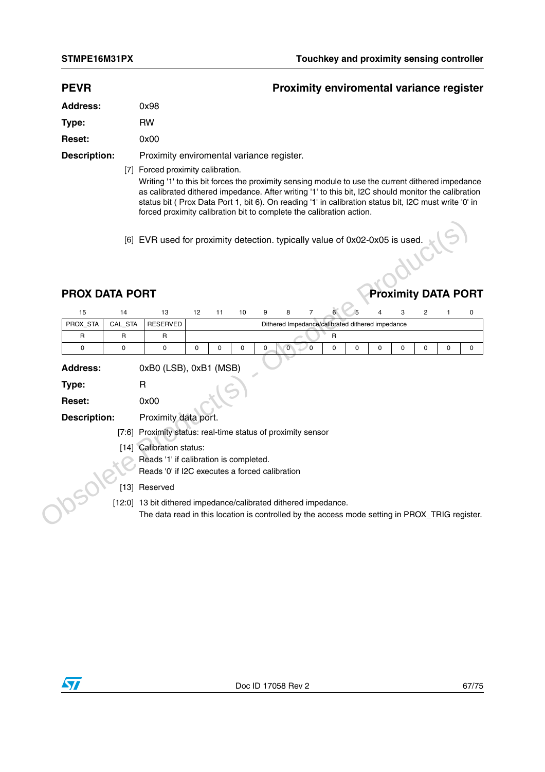| <b>PEVR</b> | <b>Proximity enviromental variance register</b> |
|-------------|-------------------------------------------------|
|             |                                                 |

| <b>Address:</b> | 0x98 |
|-----------------|------|
| Type:           | RW   |
| <b>Reset:</b>   | 0x00 |
|                 |      |

**Description:** Proximity enviromental variance register.

[7] Forced proximity calibration.

Writing '1' to this bit forces the proximity sensing module to use the current dithered impedance as calibrated dithered impedance. After writing '1' to this bit, I2C should monitor the calibration status bit ( Prox Data Port 1, bit 6). On reading '1' in calibration status bit, I2C must write '0' in forced proximity calibration bit to complete the calibration action.

# **PROX DATA PORT PROX DATA PORT**

|                                        |              |                                                                                                                                                                   |    |    |    |   | [6] EVR used for proximity detection. typically value of 0x02-0x05 is used. |          |              |             |   |                            |   |   |
|----------------------------------------|--------------|-------------------------------------------------------------------------------------------------------------------------------------------------------------------|----|----|----|---|-----------------------------------------------------------------------------|----------|--------------|-------------|---|----------------------------|---|---|
| <b>PROX DATA PORT</b>                  |              |                                                                                                                                                                   |    |    |    |   |                                                                             |          |              |             |   | <b>Proximity DATA PORT</b> |   |   |
| 15                                     | 14           | 13                                                                                                                                                                | 12 | 11 | 10 | 9 | 8                                                                           | 7        |              |             |   | 3                          |   |   |
| PROX_STA                               | CAL_STA      | <b>RESERVED</b>                                                                                                                                                   |    |    |    |   | Dithered Impedance/calibrated dithered impedance                            |          |              |             |   |                            |   |   |
| $\mathsf{R}$                           | $\mathsf{R}$ | R                                                                                                                                                                 |    |    |    |   |                                                                             |          | $\mathsf{R}$ |             |   |                            |   |   |
| 0                                      | $\mathbf 0$  | 0                                                                                                                                                                 | 0  | 0  | 0  | 0 | 0                                                                           | $\Omega$ | $\mathbf 0$  | $\mathbf 0$ | 0 | 0                          | 0 | 0 |
| Type:<br>Reset:<br><b>Description:</b> |              | $\mathsf{R}$<br>0x00<br>Proximity data port.                                                                                                                      |    |    |    |   |                                                                             |          |              |             |   |                            |   |   |
|                                        | [7:6]        | Proximity status: real-time status of proximity sensor                                                                                                            |    |    |    |   |                                                                             |          |              |             |   |                            |   |   |
|                                        |              | [14] Calibration status:<br>Reads '1' if calibration is completed.<br>Reads '0' if I2C executes a forced calibration                                              |    |    |    |   |                                                                             |          |              |             |   |                            |   |   |
|                                        | $[13]$       | Reserved                                                                                                                                                          |    |    |    |   |                                                                             |          |              |             |   |                            |   |   |
|                                        |              | [12:0] 13 bit dithered impedance/calibrated dithered impedance.<br>The data read in this location is controlled by the access mode setting in PROX_TRIG register. |    |    |    |   |                                                                             |          |              |             |   |                            |   |   |

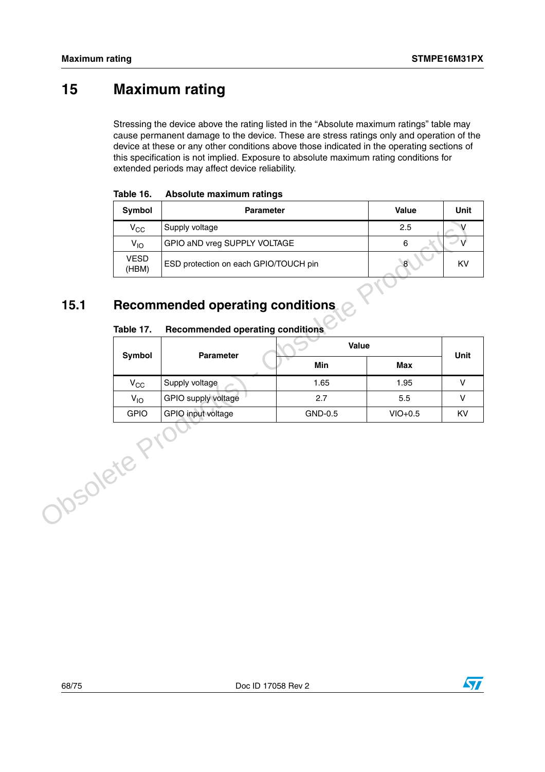# **15 Maximum rating**

Stressing the device above the rating listed in the "Absolute maximum ratings" table may cause permanent damage to the device. These are stress ratings only and operation of the device at these or any other conditions above those indicated in the operating sections of this specification is not implied. Exposure to absolute maximum rating conditions for extended periods may affect device reliability.

| Symbol               | Value<br><b>Parameter</b>             |     |    |  |  |  |  |
|----------------------|---------------------------------------|-----|----|--|--|--|--|
| $\rm v_{cc}$         | Supply voltage                        | 2.5 |    |  |  |  |  |
| $V_{1O}$             | GPIO aND vreg SUPPLY VOLTAGE          | 6   |    |  |  |  |  |
| <b>VESD</b><br>(HBM) | ESD protection on each GPIO/TOUCH pin | 8   | KV |  |  |  |  |

| Table 16. |  | Absolute maximum ratings |  |
|-----------|--|--------------------------|--|
|-----------|--|--------------------------|--|

# **15.1 Recommended operating conditions**

#### Table 17. **Table 17. Recommended operating conditions**

|            | $V_{\rm CC}$         | Supply voltage                          | 2.5     | $\vee$     |        |
|------------|----------------------|-----------------------------------------|---------|------------|--------|
|            | $V_{IO}$             | GPIO aND vreg SUPPLY VOLTAGE            | 6       | $\vee$     |        |
|            | <b>VESD</b><br>(HBM) | ESD protection on each GPIO/TOUCH pin   |         | $\bf 8$    | KV     |
|            |                      |                                         |         |            |        |
| 15.1       |                      | <b>Recommended operating conditions</b> |         |            |        |
|            | Table 17.            | <b>Recommended operating conditions</b> |         |            |        |
|            | Symbol               | <b>Parameter</b>                        | Value   |            |        |
|            |                      |                                         | Min     | <b>Max</b> | Unit   |
|            | $V_{CC}$             | Supply voltage                          | 1.65    | 1.95       | V      |
|            | $V_{IO}$             | GPIO supply voltage                     | 2.7     | 5.5        | $\vee$ |
|            | <b>GPIO</b>          | GPIO input voltage                      | GND-0.5 | $VIO+0.5$  | KV     |
| Josolete F |                      |                                         |         |            |        |

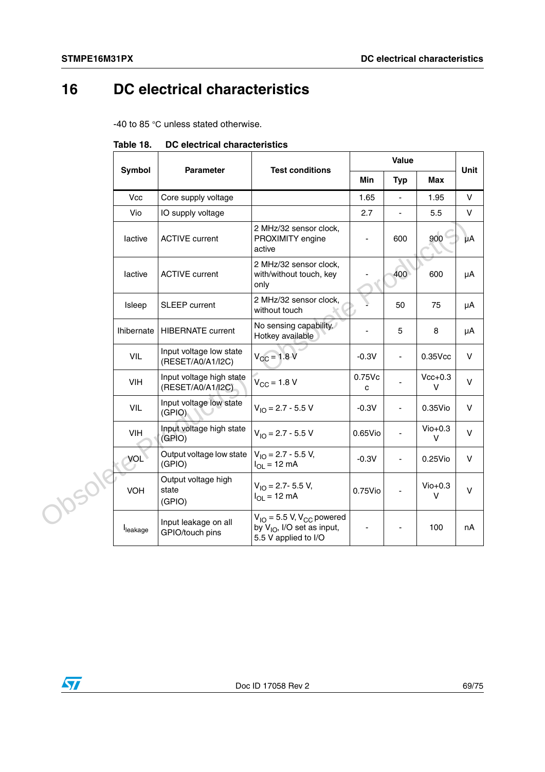# **16 DC electrical characteristics**

-40 to 85 °C unless stated otherwise.

|        |                   |                                               | Value                                                                                                |                          | <b>Unit</b>              |                     |              |
|--------|-------------------|-----------------------------------------------|------------------------------------------------------------------------------------------------------|--------------------------|--------------------------|---------------------|--------------|
|        | Symbol            | <b>Parameter</b>                              | <b>Test conditions</b>                                                                               | Min                      | <b>Typ</b>               | <b>Max</b>          |              |
|        | <b>Vcc</b>        | Core supply voltage                           |                                                                                                      | 1.65                     | $\overline{\phantom{a}}$ | 1.95                | $\mathsf{V}$ |
|        | Vio               | IO supply voltage                             |                                                                                                      | 2.7                      | $\blacksquare$           | 5.5                 | $\mathsf{V}$ |
|        | lactive           | <b>ACTIVE current</b>                         | 2 MHz/32 sensor clock,<br>PROXIMITY engine<br>active                                                 | $\overline{\phantom{a}}$ | 600                      | 900                 | μA           |
|        | lactive           | <b>ACTIVE current</b>                         | 2 MHz/32 sensor clock,<br>with/without touch, key<br>only                                            |                          | 400                      | 600                 | μA           |
|        | Isleep            | SLEEP current                                 | 2 MHz/32 sensor clock,<br>without touch                                                              |                          | 50                       | 75                  | μA           |
|        | <b>Ihibernate</b> | <b>HIBERNATE</b> current                      | No sensing capability.<br>Hotkey available                                                           |                          | 5                        | 8                   | μA           |
|        | VIL               | Input voltage low state<br>(RESET/A0/A1/I2C)  | $V_{CC}$ = 1.8 V                                                                                     | $-0.3V$                  | $\blacksquare$           | $0.35$ Vcc          | $\vee$       |
|        | <b>VIH</b>        | Input voltage high state<br>(RESET/A0/A1/I2C) | $V_{\rm CC} = 1.8 V$                                                                                 | 0.75Vc<br>c              |                          | $Vcc+0.3$<br>V      | $\vee$       |
|        | VIL               | Input voltage low state<br>(GPIO)             | $V_{10} = 2.7 - 5.5 V$                                                                               | $-0.3V$                  | $\frac{1}{2}$            | 0.35Vio             | $\mathsf{V}$ |
|        | <b>VIH</b>        | Input voltage high state<br>(GPIO)            | $V_{10} = 2.7 - 5.5 V$                                                                               | $0.65$ Vio               | $\frac{1}{2}$            | $Vio+0.3$<br>$\vee$ | $\vee$       |
|        | VOL               | Output voltage low state<br>(GPIO)            | $V_{10} = 2.7 - 5.5 V$ ,<br>$I_{OI}$ = 12 mA                                                         | $-0.3V$                  | L.                       | 0.25Vio             | $\vee$       |
| J05019 | <b>VOH</b>        | Output voltage high<br>state<br>(GPIO)        | $V_{1O} = 2.7 - 5.5 V$ ,<br>$I_{\text{OI}} = 12 \text{ mA}$                                          | 0.75Vio                  |                          | $Vio+0.3$<br>$\vee$ | $\vee$       |
|        | leakage           | Input leakage on all<br>GPIO/touch pins       | $V_{IO}$ = 5.5 V, V <sub>CC</sub> powered<br>by $V_{1O}$ , I/O set as input,<br>5.5 V applied to I/O |                          |                          | 100                 | nA           |

**Table 18. DC electrical characteristics**

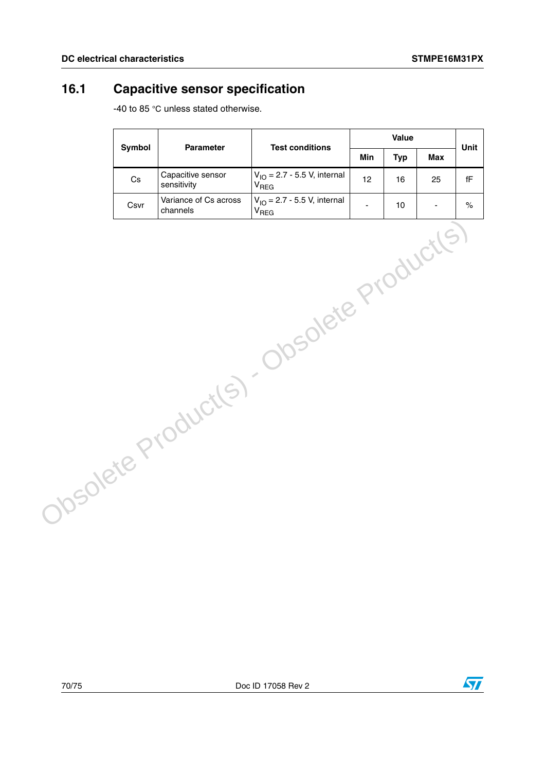# **16.1 Capacitive sensor specification**

-40 to 85 °C unless stated otherwise.

|  | <b>Symbol</b> | Parameter                         | <b>Test conditions</b>                                |            | Value      |                | Unit                   |
|--|---------------|-----------------------------------|-------------------------------------------------------|------------|------------|----------------|------------------------|
|  |               |                                   | Min                                                   | <b>Typ</b> | <b>Max</b> |                |                        |
|  | $\mathsf{Cs}$ | Capacitive sensor<br>sensitivity  | $V_{IO} = 2.7 - 5.5 V$ , internal<br>V <sub>REG</sub> | 12         | 16         | 25             | $\mathsf{f}\mathsf{F}$ |
|  | Csvr          | Variance of Cs across<br>channels | $V_{IO} = 2.7 - 5.5 V$ , internal<br>V <sub>REG</sub> | ä,         | 10         | $\blacksquare$ | $\%$                   |
|  |               |                                   | Obsolete Product(s) - Obsolete Product(s)             |            |            |                |                        |

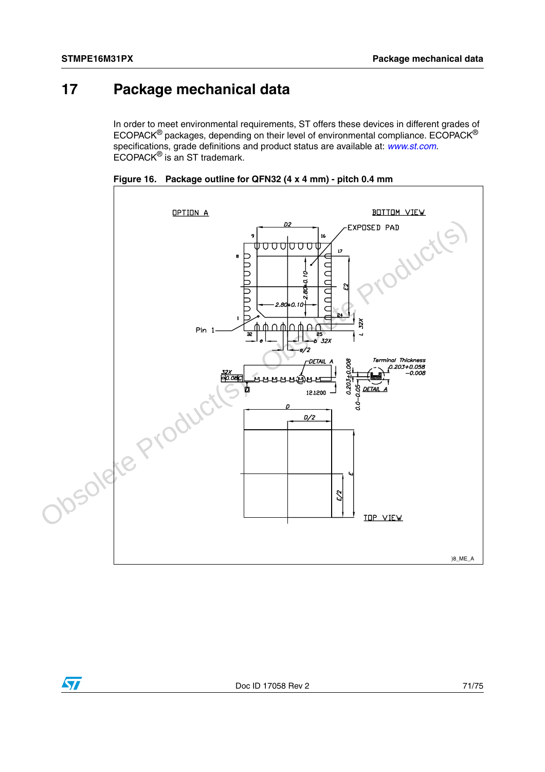# **17 Package mechanical data**

In order to meet environmental requirements, ST offers these devices in different grades of ECOPACK® packages, depending on their level of environmental compliance. ECOPACK® specifications, grade definitions and product status are available at: *[www.st.com](http://www.st.com)*. ECOPACK® is an ST trademark.



**Figure 16. Package outline for QFN32 (4 x 4 mm) - pitch 0.4 mm**

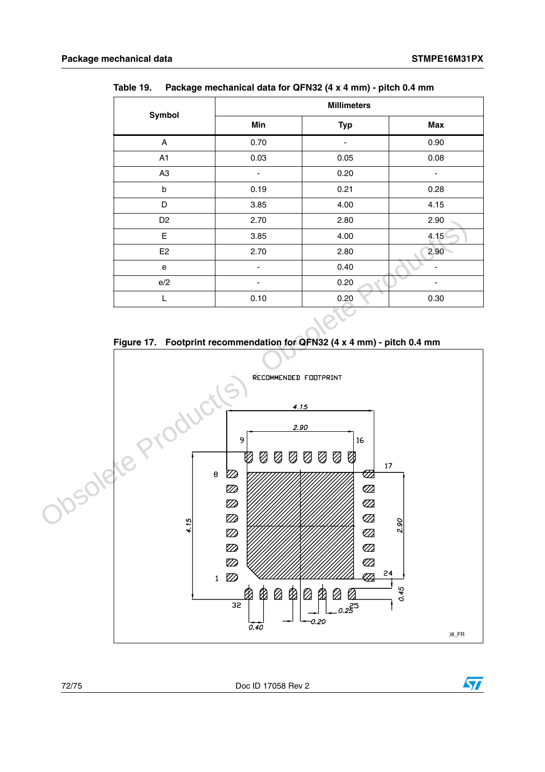| Symbol         | <b>Millimeters</b> |                              |            |  |  |
|----------------|--------------------|------------------------------|------------|--|--|
|                | Min                | <b>Typ</b>                   | <b>Max</b> |  |  |
| Α              | 0.70               |                              | 0.90       |  |  |
| A1             | 0.03               | 0.05                         | 0.08       |  |  |
| A <sub>3</sub> | ۰                  | 0.20                         | ۰          |  |  |
| $\sf b$        | 0.19               | 0.21                         | 0.28       |  |  |
| D              | 3.85               | 4.00                         | 4.15       |  |  |
| D <sub>2</sub> | 2.70               | 2.80                         | 2.90       |  |  |
| E.             | 3.85               | 4.00                         | 4.15       |  |  |
| E <sub>2</sub> | 2.70               | 2.80                         | 2.90       |  |  |
| ${\bf e}$      | ۰                  | 0.40                         |            |  |  |
| e/2            |                    | 0.20                         |            |  |  |
| L              | 0.10               | 0.20                         | 0.30       |  |  |
|                |                    | $\sim$ 1.4 $\sim$ 4.4 $\sim$ |            |  |  |

**Table 19. Package mechanical data for QFN32 (4 x 4 mm) - pitch 0.4 mm**





72/75 Doc ID 17058 Rev 2

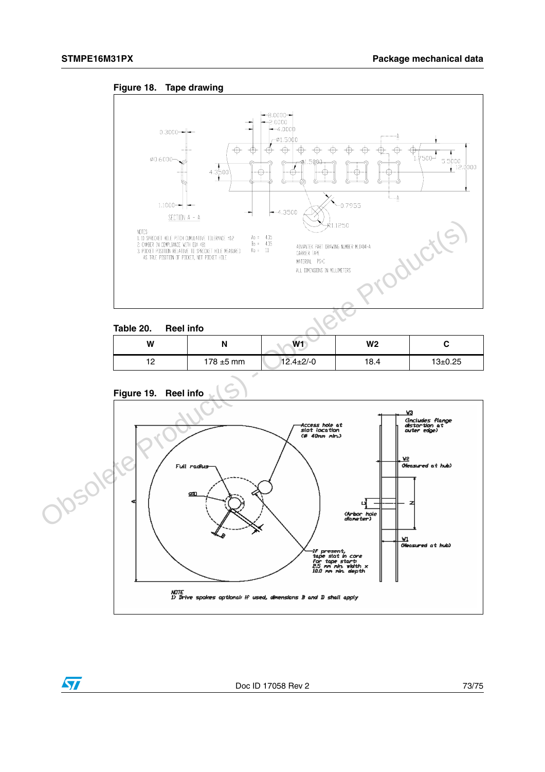



## **Table 20. Reel info**

| W                        | N              | W1              | W <sub>2</sub> |               |
|--------------------------|----------------|-----------------|----------------|---------------|
| $\overline{\phantom{a}}$ | $178 \pm 5$ mm | $12.4 \pm 2/-0$ | 18.4           | $13 \pm 0.25$ |



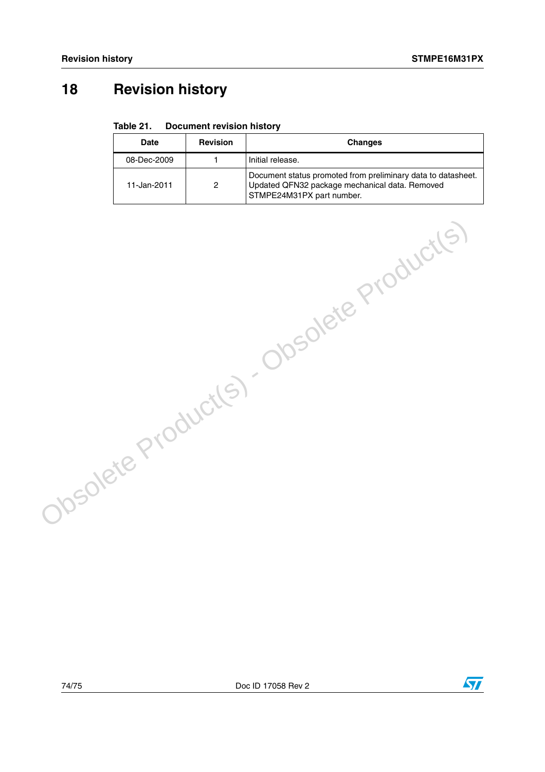## **18 Revision history**

## Table 21. **Document revision history**

| Date        | <b>Revision</b> | <b>Changes</b>                                                                                                                              |  |
|-------------|-----------------|---------------------------------------------------------------------------------------------------------------------------------------------|--|
| 08-Dec-2009 |                 | Initial release.                                                                                                                            |  |
| 11-Jan-2011 | 2               | Document status promoted from preliminary data to datasheet.<br>Updated QFN32 package mechanical data. Removed<br>STMPE24M31PX part number. |  |

Obsolete Product(s) - Obsolete Product(s)